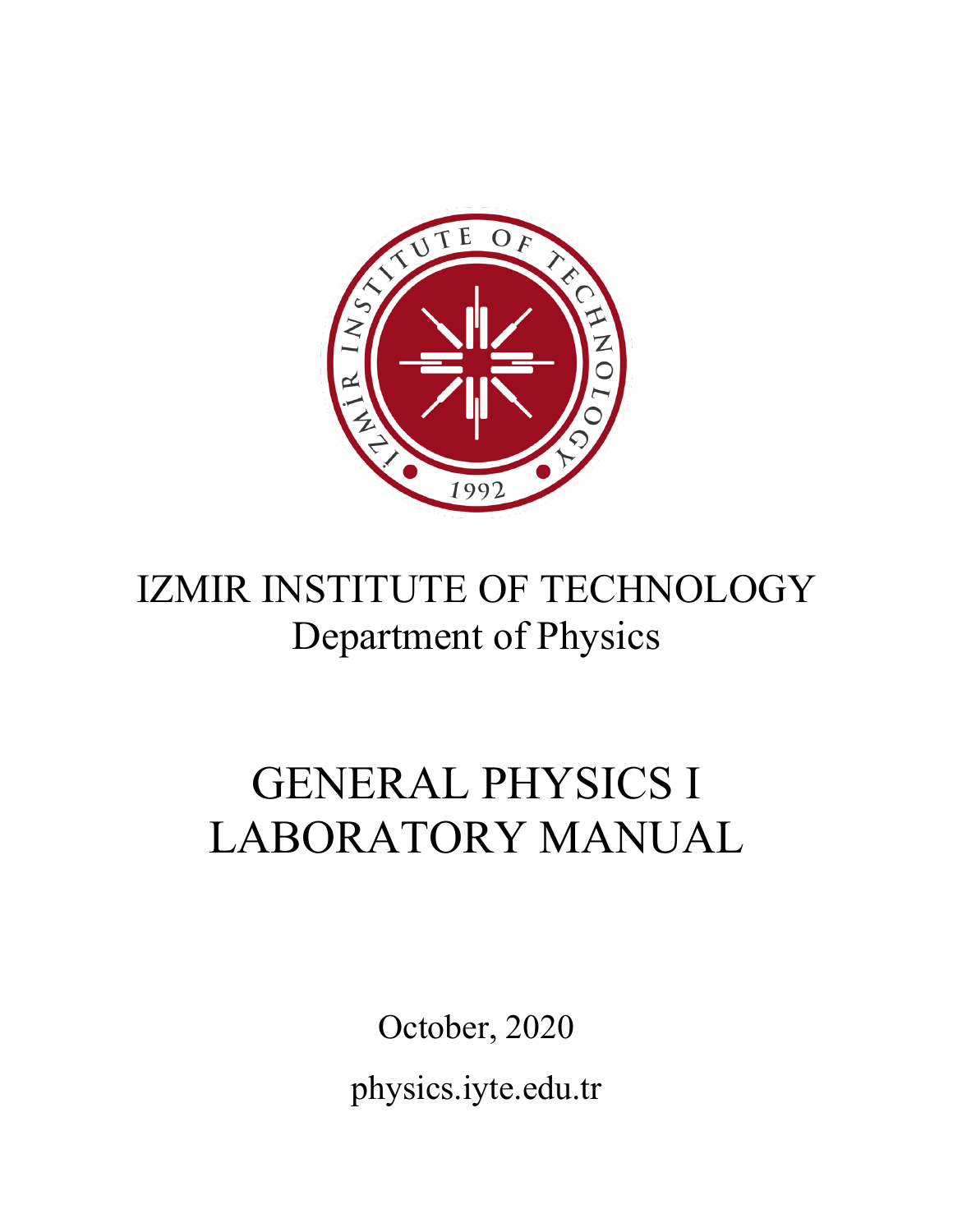

## IZMIR INSTITUTE OF TECHNOLOGY Department of Physics

# GENERAL PHYSICS I LABORATORY MANUAL

October, 2020 physics.iyte.edu.tr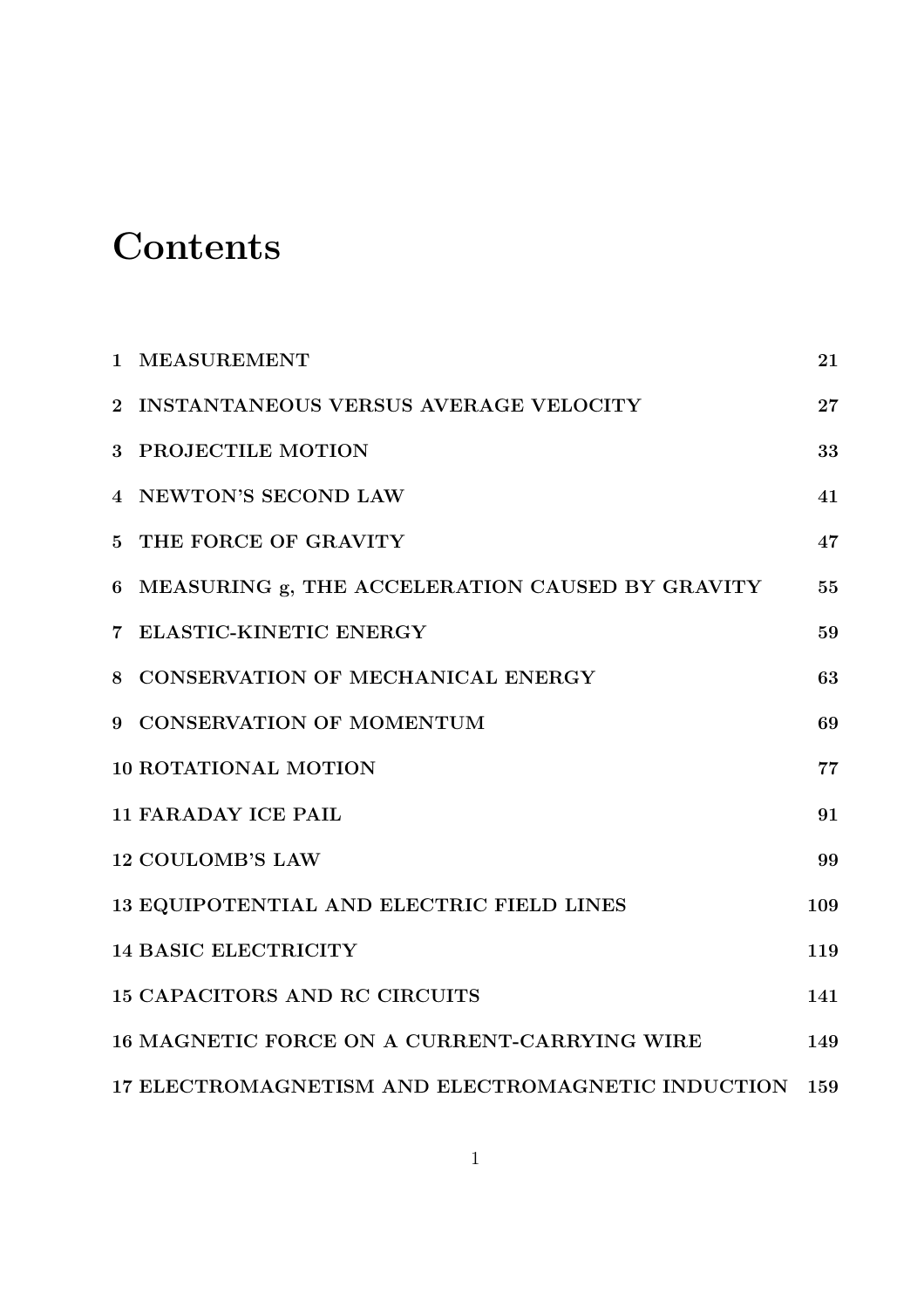## **Contents**

|                 | 1 MEASUREMENT                                       | 21  |
|-----------------|-----------------------------------------------------|-----|
|                 | 2 INSTANTANEOUS VERSUS AVERAGE VELOCITY             | 27  |
| $3\phantom{.0}$ | <b>PROJECTILE MOTION</b>                            | 33  |
|                 | 4 NEWTON'S SECOND LAW                               | 41  |
|                 | 5 THE FORCE OF GRAVITY                              | 47  |
|                 | 6 MEASURING g, THE ACCELERATION CAUSED BY GRAVITY   | 55  |
|                 | 7 ELASTIC-KINETIC ENERGY                            | 59  |
|                 | 8 CONSERVATION OF MECHANICAL ENERGY                 | 63  |
|                 | 9 CONSERVATION OF MOMENTUM                          | 69  |
|                 | <b>10 ROTATIONAL MOTION</b>                         | 77  |
|                 | <b>11 FARADAY ICE PAIL</b>                          | 91  |
|                 | <b>12 COULOMB'S LAW</b>                             | 99  |
|                 | 13 EQUIPOTENTIAL AND ELECTRIC FIELD LINES           | 109 |
|                 | <b>14 BASIC ELECTRICITY</b>                         | 119 |
|                 | <b>15 CAPACITORS AND RC CIRCUITS</b>                | 141 |
|                 | <b>16 MAGNETIC FORCE ON A CURRENT-CARRYING WIRE</b> | 149 |
|                 | 17 ELECTROMAGNETISM AND ELECTROMAGNETIC INDUCTION   | 159 |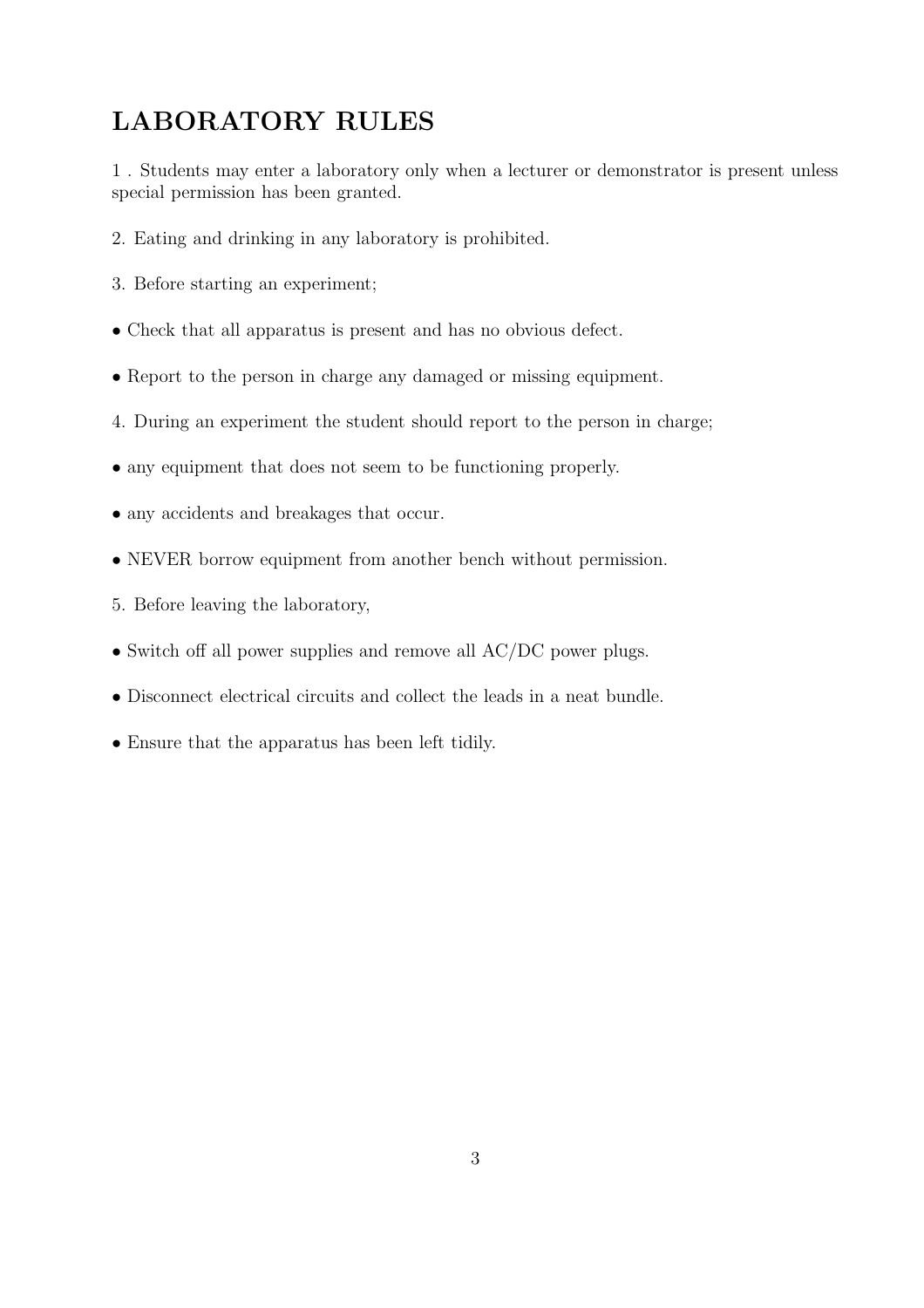## LABORATORY RULES

1 . Students may enter a laboratory only when a lecturer or demonstrator is present unless special permission has been granted.

- 2. Eating and drinking in any laboratory is prohibited.
- 3. Before starting an experiment;
- Check that all apparatus is present and has no obvious defect.
- Report to the person in charge any damaged or missing equipment.
- 4. During an experiment the student should report to the person in charge;
- any equipment that does not seem to be functioning properly.
- any accidents and breakages that occur.
- NEVER borrow equipment from another bench without permission.
- 5. Before leaving the laboratory,
- Switch off all power supplies and remove all AC/DC power plugs.
- Disconnect electrical circuits and collect the leads in a neat bundle.
- Ensure that the apparatus has been left tidily.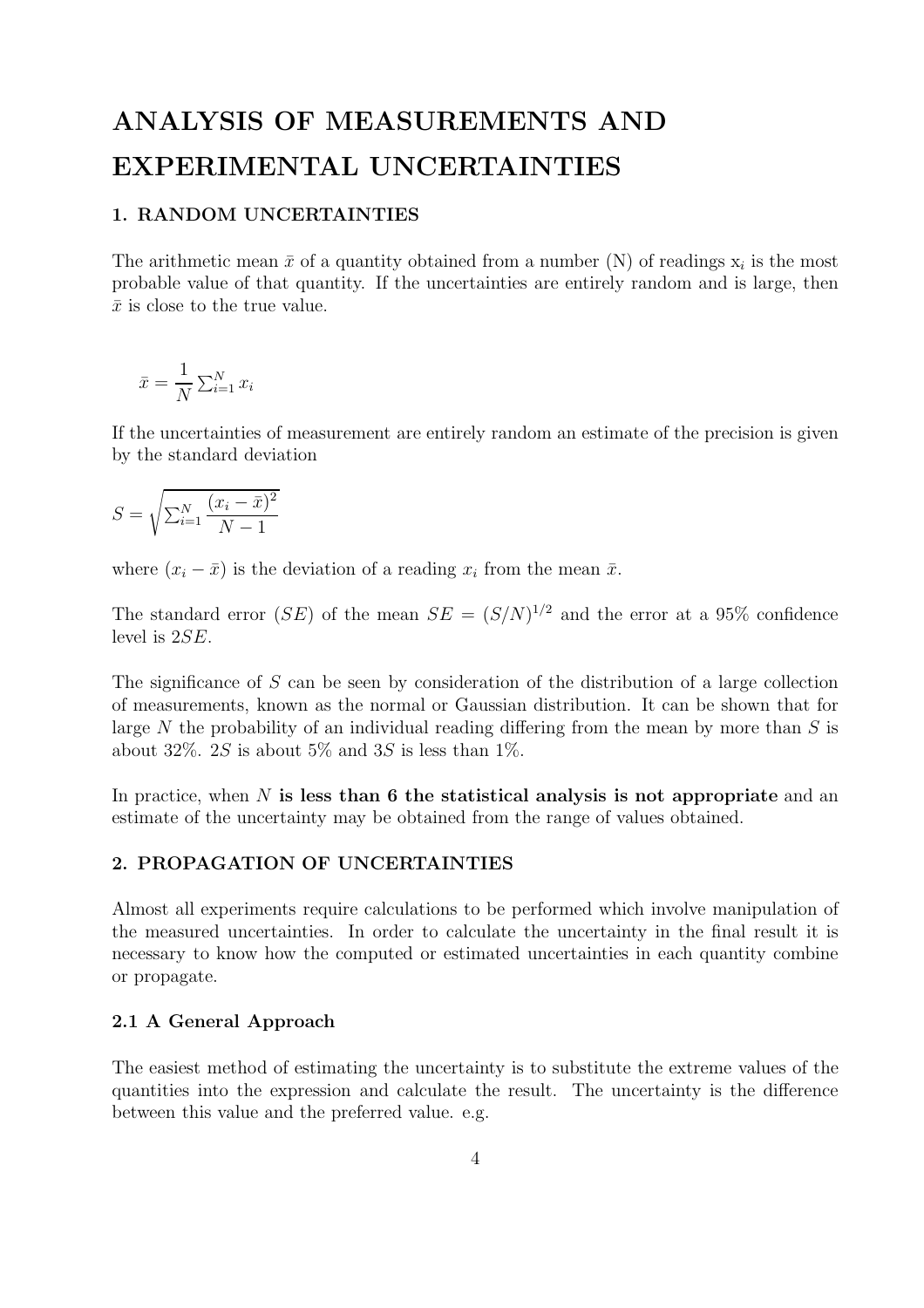## ANALYSIS OF MEASUREMENTS AND EXPERIMENTAL UNCERTAINTIES

#### 1. RANDOM UNCERTAINTIES

The arithmetic mean  $\bar{x}$  of a quantity obtained from a number (N) of readings  $x_i$  is the most probable value of that quantity. If the uncertainties are entirely random and is large, then  $\bar{x}$  is close to the true value.

$$
\bar{x} = \frac{1}{N} \sum_{i=1}^{N} x_i
$$

If the uncertainties of measurement are entirely random an estimate of the precision is given by the standard deviation

$$
S = \sqrt{\sum_{i=1}^{N} \frac{(x_i - \bar{x})^2}{N - 1}}
$$

where  $(x_i - \bar{x})$  is the deviation of a reading  $x_i$  from the mean  $\bar{x}$ .

The standard error (SE) of the mean  $SE = (S/N)^{1/2}$  and the error at a 95% confidence level is 2SE.

The significance of S can be seen by consideration of the distribution of a large collection of measurements, known as the normal or Gaussian distribution. It can be shown that for large N the probability of an individual reading differing from the mean by more than  $S$  is about 32%. 2S is about 5% and 3S is less than 1%.

In practice, when  $N$  is less than 6 the statistical analysis is not appropriate and an estimate of the uncertainty may be obtained from the range of values obtained.

#### 2. PROPAGATION OF UNCERTAINTIES

Almost all experiments require calculations to be performed which involve manipulation of the measured uncertainties. In order to calculate the uncertainty in the final result it is necessary to know how the computed or estimated uncertainties in each quantity combine or propagate.

#### 2.1 A General Approach

The easiest method of estimating the uncertainty is to substitute the extreme values of the quantities into the expression and calculate the result. The uncertainty is the difference between this value and the preferred value. e.g.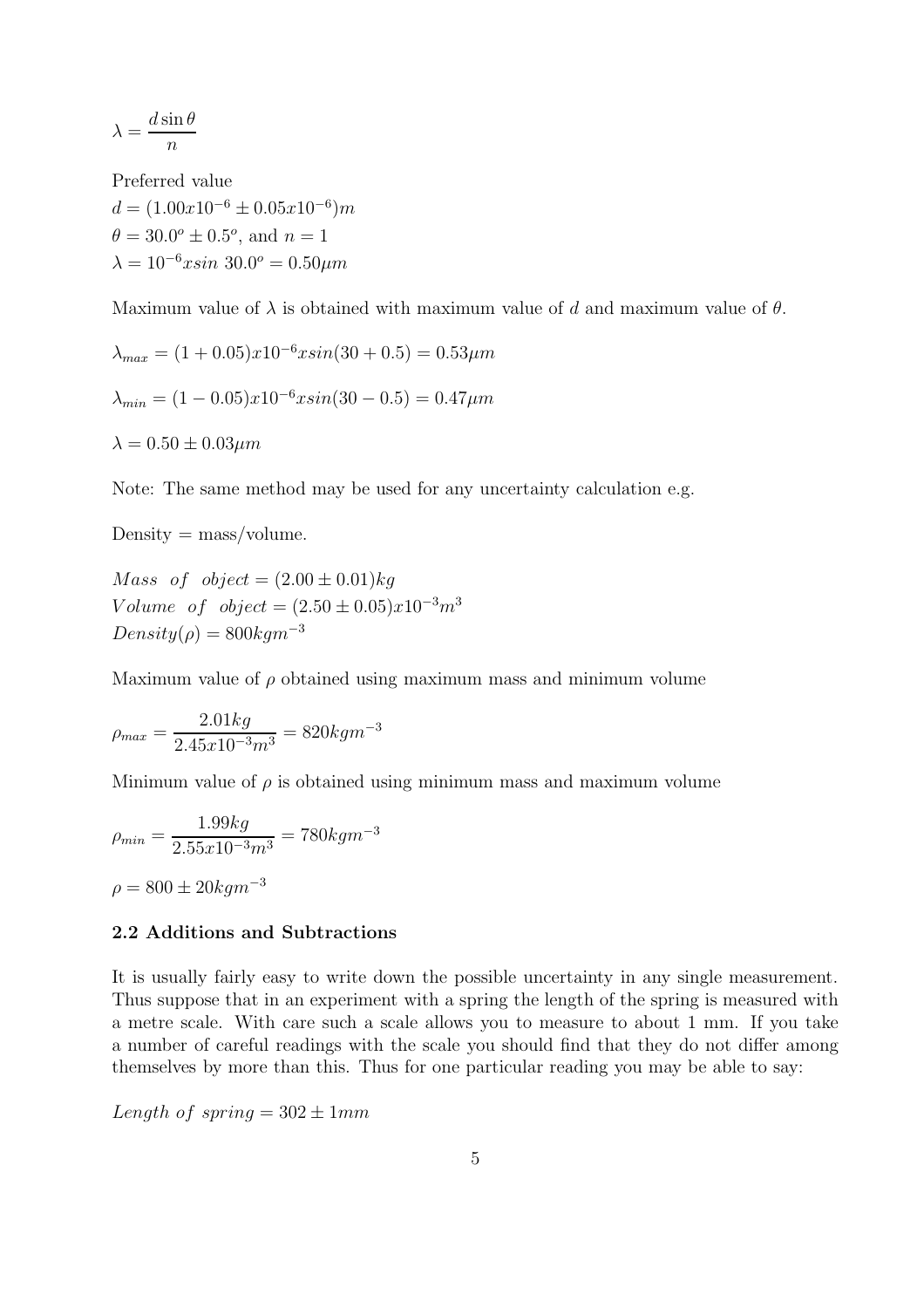$$
\lambda = \frac{d \sin \theta}{n}
$$

Preferred value  $d = (1.00x10^{-6} \pm 0.05x10^{-6})m$  $\theta = 30.0^{\circ} \pm 0.5^{\circ}$ , and  $n = 1$  $\lambda = 10^{-6}x \sin 30.0^{\circ} = 0.50 \mu m$ 

Maximum value of  $\lambda$  is obtained with maximum value of d and maximum value of  $\theta$ .

$$
\lambda_{max} = (1 + 0.05)x10^{-6}x\sin(30 + 0.5) = 0.53\mu m
$$
  

$$
\lambda_{min} = (1 - 0.05)x10^{-6}x\sin(30 - 0.5) = 0.47\mu m
$$
  

$$
\lambda = 0.50 \pm 0.03\mu m
$$

Note: The same method may be used for any uncertainty calculation e.g.

 $Density = mass/volume.$ 

*Mass of object* =  $(2.00 \pm 0.01)$ *kg* V olume of  $object = (2.50 \pm 0.05)x10^{-3}m^3$  $Density(\rho) = 800 kgm^{-3}$ 

Maximum value of  $\rho$  obtained using maximum mass and minimum volume

$$
\rho_{max} = \frac{2.01kg}{2.45x10^{-3}m^3} = 820kgm^{-3}
$$

Minimum value of  $\rho$  is obtained using minimum mass and maximum volume

$$
\rho_{min} = \frac{1.99kg}{2.55x10^{-3}m^3} = 780kgm^{-3}
$$

$$
\rho = 800 \pm 20kgm^{-3}
$$

#### 2.2 Additions and Subtractions

It is usually fairly easy to write down the possible uncertainty in any single measurement. Thus suppose that in an experiment with a spring the length of the spring is measured with a metre scale. With care such a scale allows you to measure to about 1 mm. If you take a number of careful readings with the scale you should find that they do not differ among themselves by more than this. Thus for one particular reading you may be able to say:

Length of spring  $= 302 \pm 1 mm$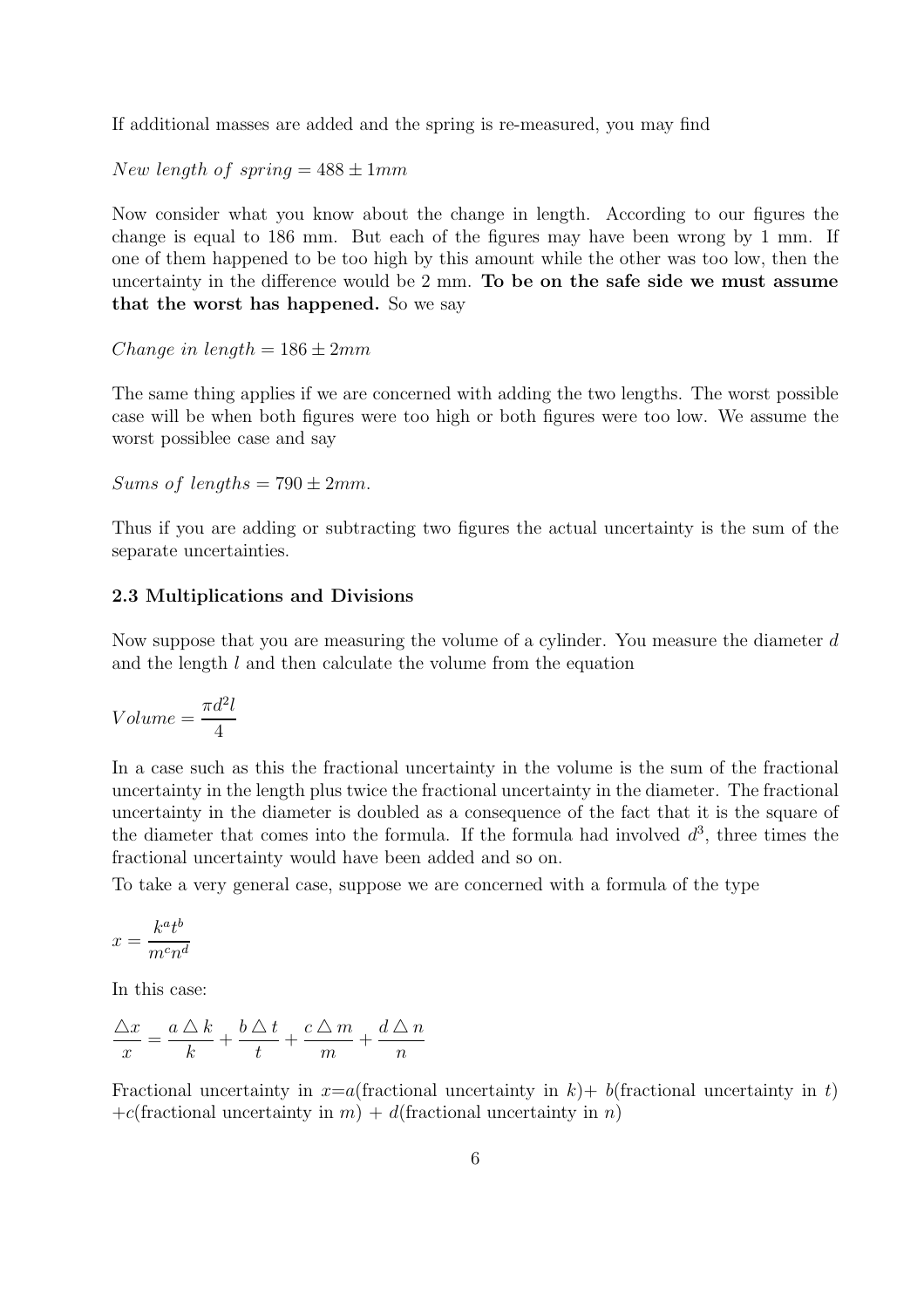If additional masses are added and the spring is re-measured, you may find

New length of spring  $= 488 \pm 1 mm$ 

Now consider what you know about the change in length. According to our figures the change is equal to 186 mm. But each of the figures may have been wrong by 1 mm. If one of them happened to be too high by this amount while the other was too low, then the uncertainty in the difference would be 2 mm. To be on the safe side we must assume that the worst has happened. So we say

Change in length =  $186 \pm 2mm$ 

The same thing applies if we are concerned with adding the two lengths. The worst possible case will be when both figures were too high or both figures were too low. We assume the worst possiblee case and say

Sums of lengths =  $790 \pm 2mm$ .

Thus if you are adding or subtracting two figures the actual uncertainty is the sum of the separate uncertainties.

#### 2.3 Multiplications and Divisions

Now suppose that you are measuring the volume of a cylinder. You measure the diameter d and the length l and then calculate the volume from the equation

$$
Volume = \frac{\pi d^2 l}{4}
$$

In a case such as this the fractional uncertainty in the volume is the sum of the fractional uncertainty in the length plus twice the fractional uncertainty in the diameter. The fractional uncertainty in the diameter is doubled as a consequence of the fact that it is the square of the diameter that comes into the formula. If the formula had involved  $d^3$ , three times the fractional uncertainty would have been added and so on.

To take a very general case, suppose we are concerned with a formula of the type

$$
x=\frac{k^at^b}{m^cn^d}
$$

In this case:

$$
\frac{\triangle x}{x} = \frac{a \triangle k}{k} + \frac{b \triangle t}{t} + \frac{c \triangle m}{m} + \frac{d \triangle n}{n}
$$

Fractional uncertainty in  $x=a$  (fractional uncertainty in t) b (fractional uncertainty in t) +c(fractional uncertainty in m) + d(fractional uncertainty in n)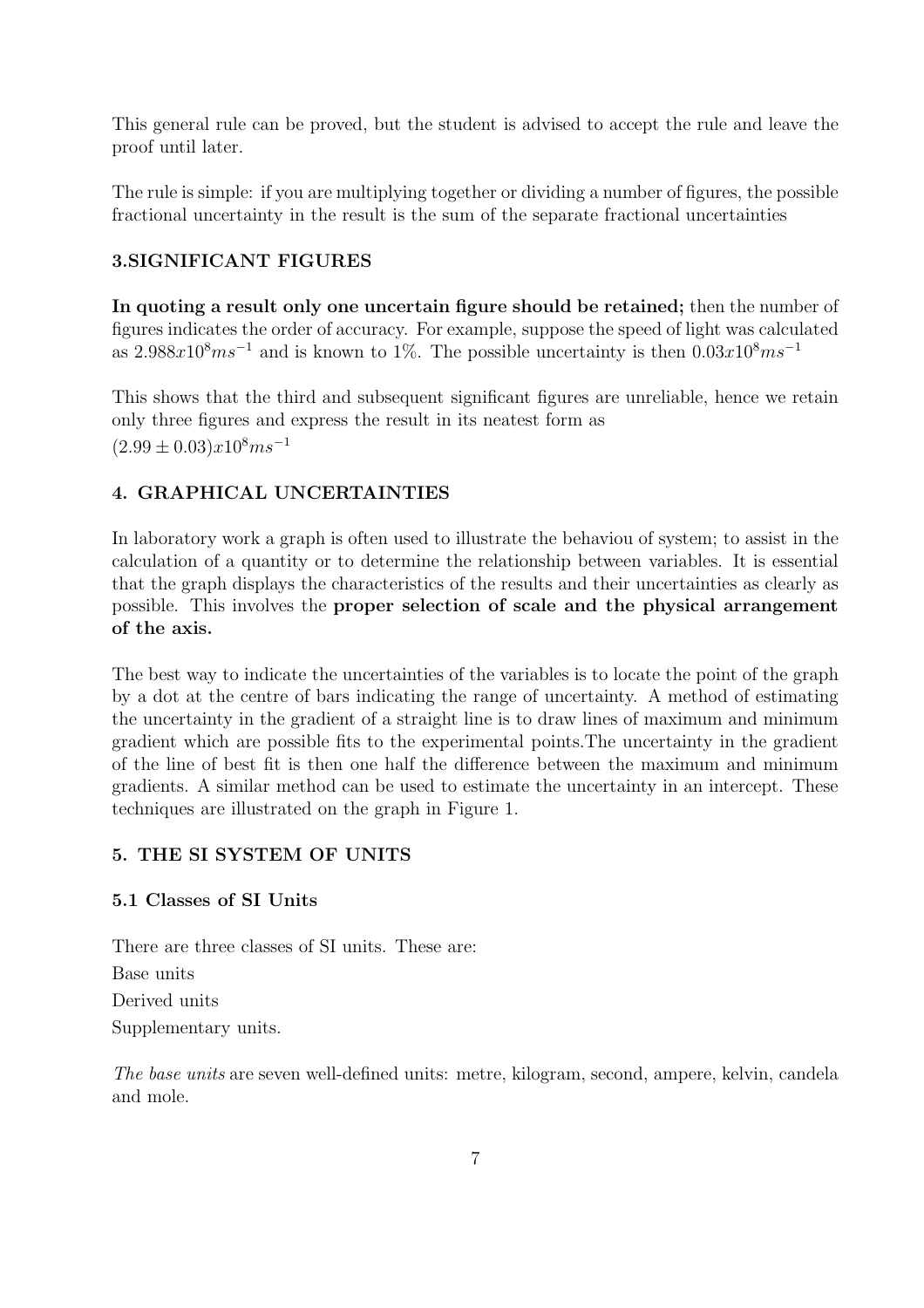This general rule can be proved, but the student is advised to accept the rule and leave the proof until later.

The rule is simple: if you are multiplying together or dividing a number of figures, the possible fractional uncertainty in the result is the sum of the separate fractional uncertainties

#### 3.SIGNIFICANT FIGURES

In quoting a result only one uncertain figure should be retained; then the number of figures indicates the order of accuracy. For example, suppose the speed of light was calculated as  $2.988x10<sup>8</sup>ms<sup>-1</sup>$  and is known to 1%. The possible uncertainty is then  $0.03x10<sup>8</sup>ms<sup>-1</sup>$ 

This shows that the third and subsequent significant figures are unreliable, hence we retain only three figures and express the result in its neatest form as  $(2.99 \pm 0.03)x10^8ms^{-1}$ 

#### 4. GRAPHICAL UNCERTAINTIES

In laboratory work a graph is often used to illustrate the behaviou of system; to assist in the calculation of a quantity or to determine the relationship between variables. It is essential that the graph displays the characteristics of the results and their uncertainties as clearly as possible. This involves the proper selection of scale and the physical arrangement of the axis.

The best way to indicate the uncertainties of the variables is to locate the point of the graph by a dot at the centre of bars indicating the range of uncertainty. A method of estimating the uncertainty in the gradient of a straight line is to draw lines of maximum and minimum gradient which are possible fits to the experimental points.The uncertainty in the gradient of the line of best fit is then one half the difference between the maximum and minimum gradients. A similar method can be used to estimate the uncertainty in an intercept. These techniques are illustrated on the graph in Figure 1.

#### 5. THE SI SYSTEM OF UNITS

#### 5.1 Classes of SI Units

There are three classes of SI units. These are: Base units Derived units Supplementary units.

The base units are seven well-defined units: metre, kilogram, second, ampere, kelvin, candela and mole.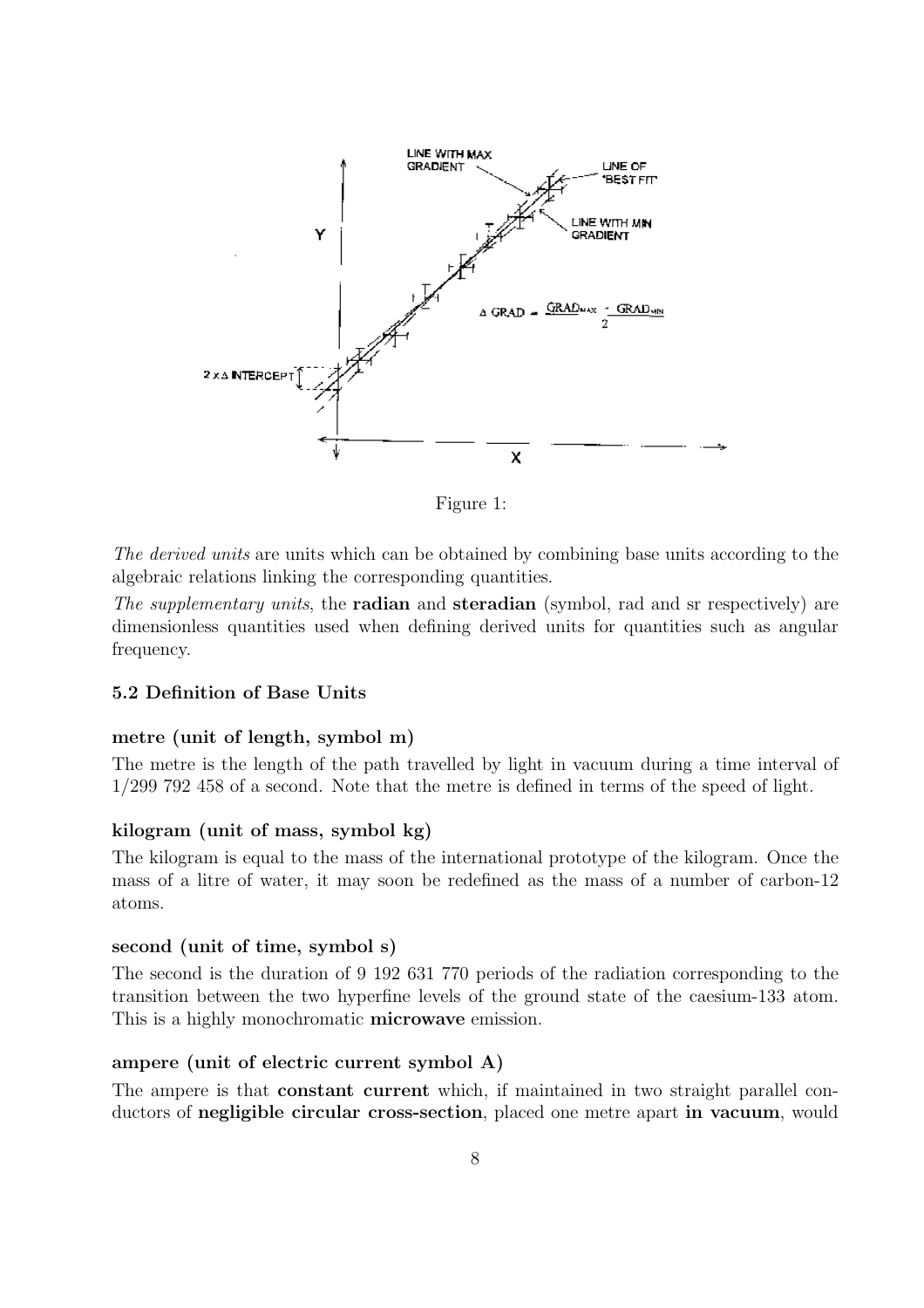

Figure 1:

The derived units are units which can be obtained by combining base units according to the algebraic relations linking the corresponding quantities.

The supplementary units, the **radian** and **steradian** (symbol, rad and sr respectively) are dimensionless quantities used when defining derived units for quantities such as angular frequency.

#### 5.2 Definition of Base Units

#### metre (unit of length, symbol m)

The metre is the length of the path travelled by light in vacuum during a time interval of 1/299 792 458 of a second. Note that the metre is defined in terms of the speed of light.

#### kilogram (unit of mass, symbol kg)

The kilogram is equal to the mass of the international prototype of the kilogram. Once the mass of a litre of water, it may soon be redefined as the mass of a number of carbon-12 atoms.

#### second (unit of time, symbol s)

The second is the duration of 9 192 631 770 periods of the radiation corresponding to the transition between the two hyperfine levels of the ground state of the caesium-133 atom. This is a highly monochromatic **microwave** emission.

#### ampere (unit of electric current symbol A)

The ampere is that constant current which, if maintained in two straight parallel conductors of negligible circular cross-section, placed one metre apart in vacuum, would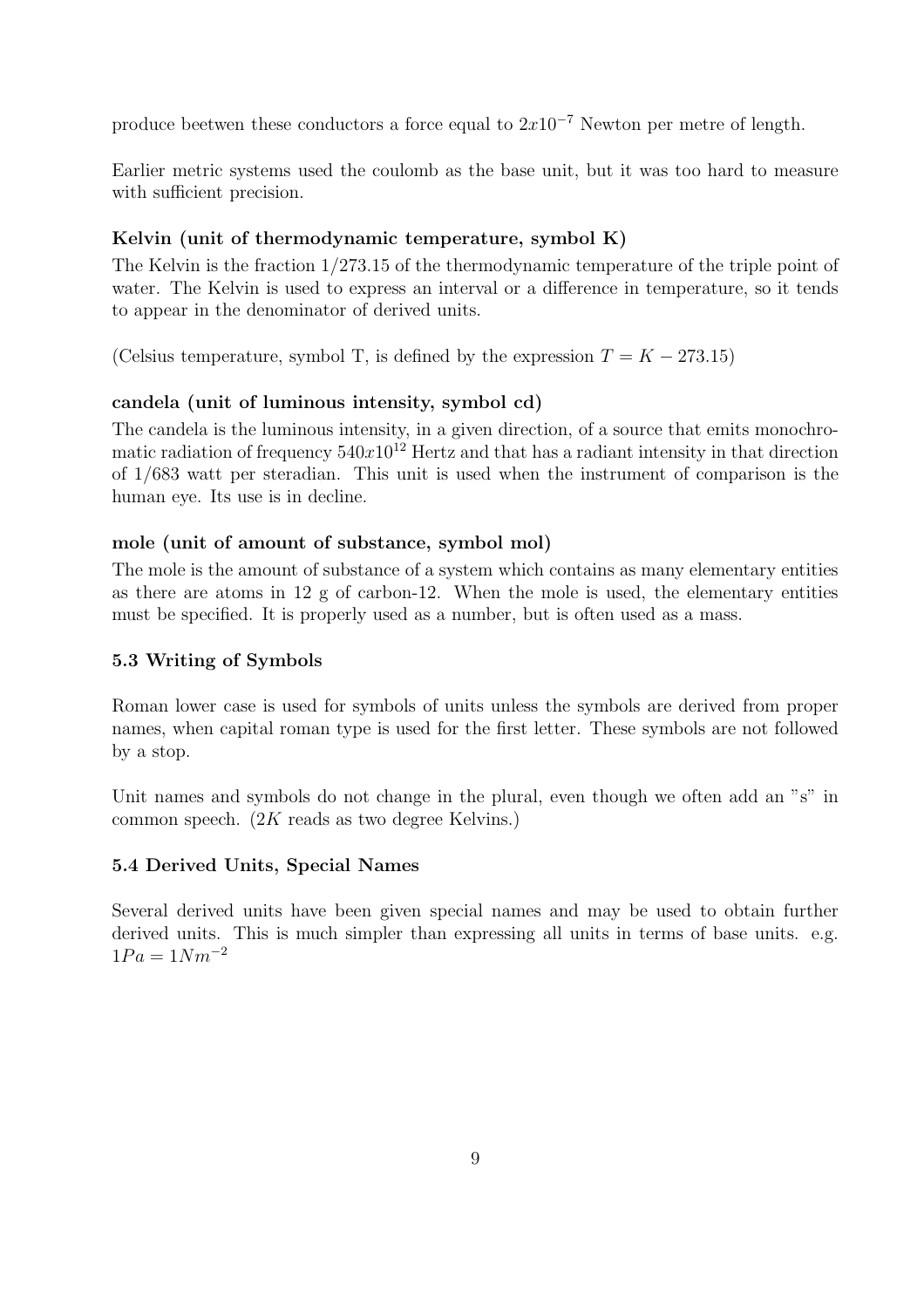produce beetwen these conductors a force equal to  $2x10^{-7}$  Newton per metre of length.

Earlier metric systems used the coulomb as the base unit, but it was too hard to measure with sufficient precision.

#### Kelvin (unit of thermodynamic temperature, symbol K)

The Kelvin is the fraction 1/273.15 of the thermodynamic temperature of the triple point of water. The Kelvin is used to express an interval or a difference in temperature, so it tends to appear in the denominator of derived units.

(Celsius temperature, symbol T, is defined by the expression  $T = K - 273.15$ )

#### candela (unit of luminous intensity, symbol cd)

The candela is the luminous intensity, in a given direction, of a source that emits monochromatic radiation of frequency  $540x10^{12}$  Hertz and that has a radiant intensity in that direction of 1/683 watt per steradian. This unit is used when the instrument of comparison is the human eye. Its use is in decline.

#### mole (unit of amount of substance, symbol mol)

The mole is the amount of substance of a system which contains as many elementary entities as there are atoms in 12 g of carbon-12. When the mole is used, the elementary entities must be specified. It is properly used as a number, but is often used as a mass.

#### 5.3 Writing of Symbols

Roman lower case is used for symbols of units unless the symbols are derived from proper names, when capital roman type is used for the first letter. These symbols are not followed by a stop.

Unit names and symbols do not change in the plural, even though we often add an "s" in common speech. (2K reads as two degree Kelvins.)

#### 5.4 Derived Units, Special Names

Several derived units have been given special names and may be used to obtain further derived units. This is much simpler than expressing all units in terms of base units. e.g.  $1Pa = 1Nm^{-2}$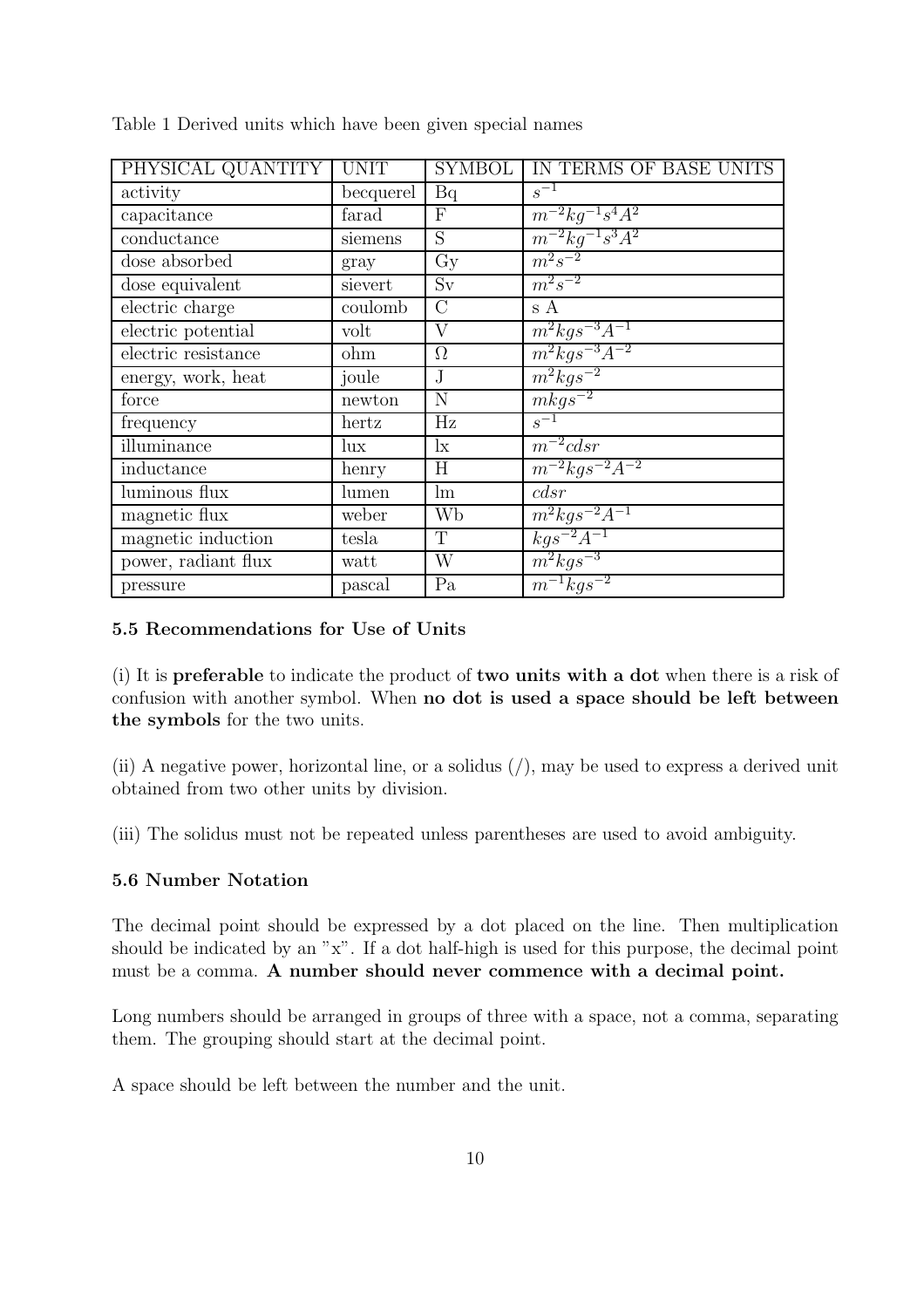| PHYSICAL QUANTITY     | <b>UNIT</b> | <b>SYMBOL</b>   | IN TERMS OF BASE UNITS |
|-----------------------|-------------|-----------------|------------------------|
| activity              | becquerel   | Bq              | $s^{-1}$               |
| capacitance           | farad       | $\mathbf{F}$    | $m^{-2}kg^{-1}s^4A^2$  |
| conductance           | siemens     | S               | $m^{-2}kg^{-1}s^3A^2$  |
| dose absorbed         | gray        | $\overline{Gy}$ | $m^2s^{-2}$            |
| dose equivalent       | sievert     | Sv              | $m^2s^{-2}$            |
| electric charge       | coulomb     | $\mathcal{C}$   | s A                    |
| electric potential    | volt        | $\rm V$         | $m^2kgs^{-3}A^{-1}$    |
| $electric$ resistance | ohm         | $\Omega$        | $m^2kqs^{-3}A^{-2}$    |
| energy, work, heat    | joule       | $\mathbf{J}$    | $m^2kqs^{-2}$          |
| force                 | newton      | N               | $mkgs^{-2}$            |
| frequency             | hertz       | Hz              | $s^{-1}$               |
| illuminance           | $\ln x$     | $\mathbf{I}$    | $m^{-2}cdsr$           |
| inductance            | henry       | H               | $m^{-2}kqs^{-2}A^{-2}$ |
| luminous flux         | lumen       | lm              | cdsr                   |
| magnetic flux         | weber       | Wb              | $m^2kqs^{-2}A^{-1}$    |
| magnetic induction    | tesla       | $\mathbf T$     | $kgs^{-2}A^{-1}$       |
| power, radiant flux   | watt        | W               | $m^2kgs^{-3}$          |
| pressure              | pascal      | Pa              | $m^{-1}kqs^{-2}$       |

Table 1 Derived units which have been given special names

#### 5.5 Recommendations for Use of Units

(i) It is preferable to indicate the product of two units with a dot when there is a risk of confusion with another symbol. When no dot is used a space should be left between the symbols for the two units.

(ii) A negative power, horizontal line, or a solidus  $($ ), may be used to express a derived unit obtained from two other units by division.

(iii) The solidus must not be repeated unless parentheses are used to avoid ambiguity.

#### 5.6 Number Notation

The decimal point should be expressed by a dot placed on the line. Then multiplication should be indicated by an "x". If a dot half-high is used for this purpose, the decimal point must be a comma. A number should never commence with a decimal point.

Long numbers should be arranged in groups of three with a space, not a comma, separating them. The grouping should start at the decimal point.

A space should be left between the number and the unit.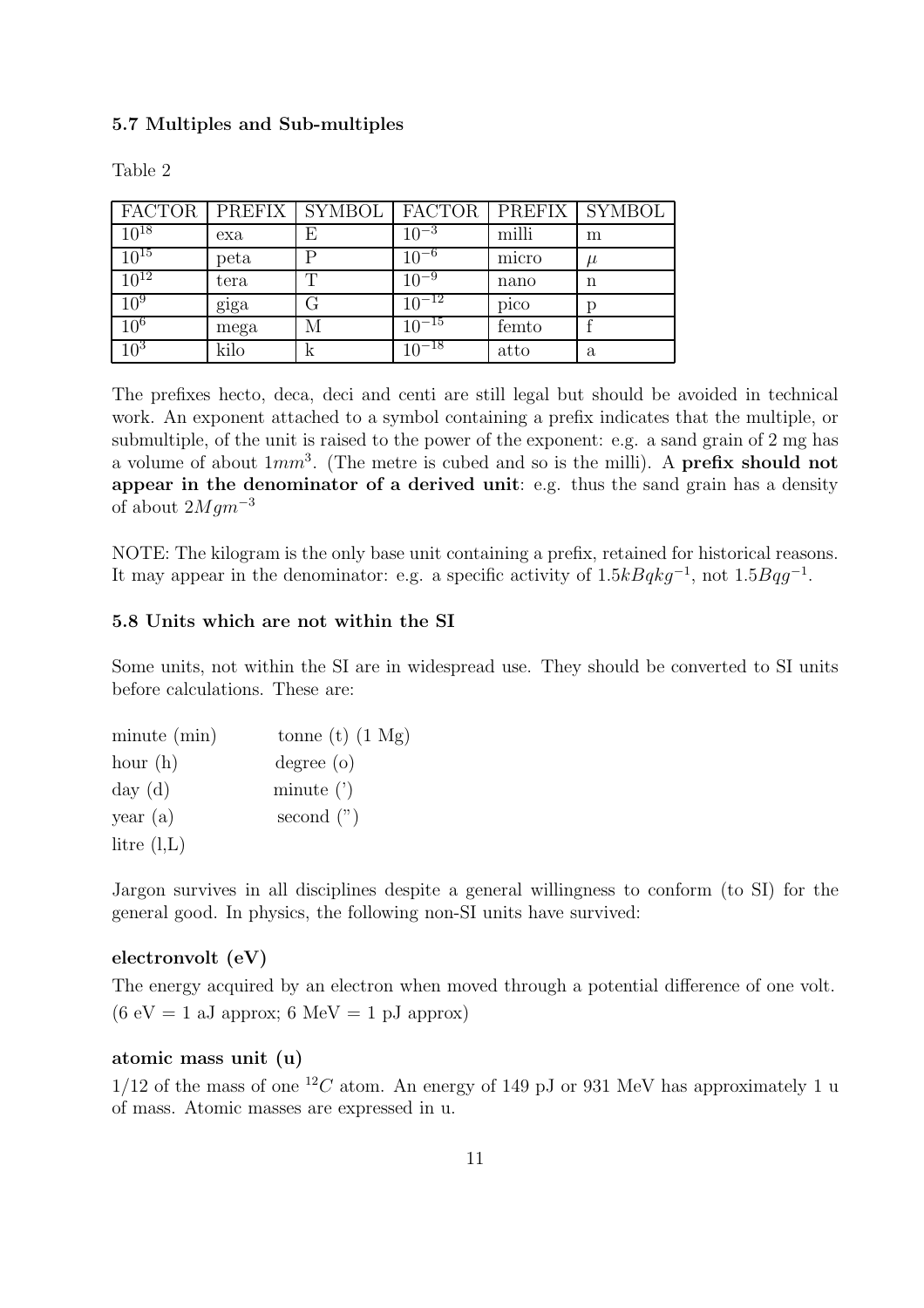#### 5.7 Multiples and Sub-multiples

|                 |      | FACTOR   PREFIX   SYMBOL   FACTOR   PREFIX   SYMBOL |            |       |       |
|-----------------|------|-----------------------------------------------------|------------|-------|-------|
| $10^{18}$       | exa  |                                                     | $10^{-3}$  | milli | m     |
| $10^{15}$       | peta |                                                     | $10^{-6}$  | micro | $\mu$ |
| $10^{12}$       | tera |                                                     | $10^{-9}$  | nano  | n     |
| 10 <sup>9</sup> | giga |                                                     | $10^{-12}$ | pico  |       |
| 10 <sup>6</sup> | mega | М                                                   | $10^{-15}$ | femto |       |
| $10^{3}$        | kilo | k                                                   | $10^{-18}$ | atto  | a     |

Table 2

The prefixes hecto, deca, deci and centi are still legal but should be avoided in technical work. An exponent attached to a symbol containing a prefix indicates that the multiple, or submultiple, of the unit is raised to the power of the exponent: e.g. a sand grain of 2 mg has a volume of about  $1mm^3$ . (The metre is cubed and so is the milli). A **prefix should not** appear in the denominator of a derived unit: e.g. thus the sand grain has a density of about  $2Mgm^{-3}$ 

NOTE: The kilogram is the only base unit containing a prefix, retained for historical reasons. It may appear in the denominator: e.g. a specific activity of  $1.5kBqkg^{-1}$ , not  $1.5Bqg^{-1}$ .

#### 5.8 Units which are not within the SI

Some units, not within the SI are in widespread use. They should be converted to SI units before calculations. These are:

| minute (min)  | tonne (t) $(1 \text{ Mg})$ |
|---------------|----------------------------|
| hour $(h)$    | degree (o)                 |
| day(d)        | minute $($ ' $)$           |
| year $(a)$    | second $($ ")              |
| litre $(l,L)$ |                            |

Jargon survives in all disciplines despite a general willingness to conform (to SI) for the general good. In physics, the following non-SI units have survived:

#### electronvolt (eV)

The energy acquired by an electron when moved through a potential difference of one volt.  $(6 \text{ eV} = 1 \text{ aJ approx}; 6 \text{ MeV} = 1 \text{ pJ approx})$ 

#### atomic mass unit (u)

 $1/12$  of the mass of one <sup>12</sup>C atom. An energy of 149 pJ or 931 MeV has approximately 1 u of mass. Atomic masses are expressed in u.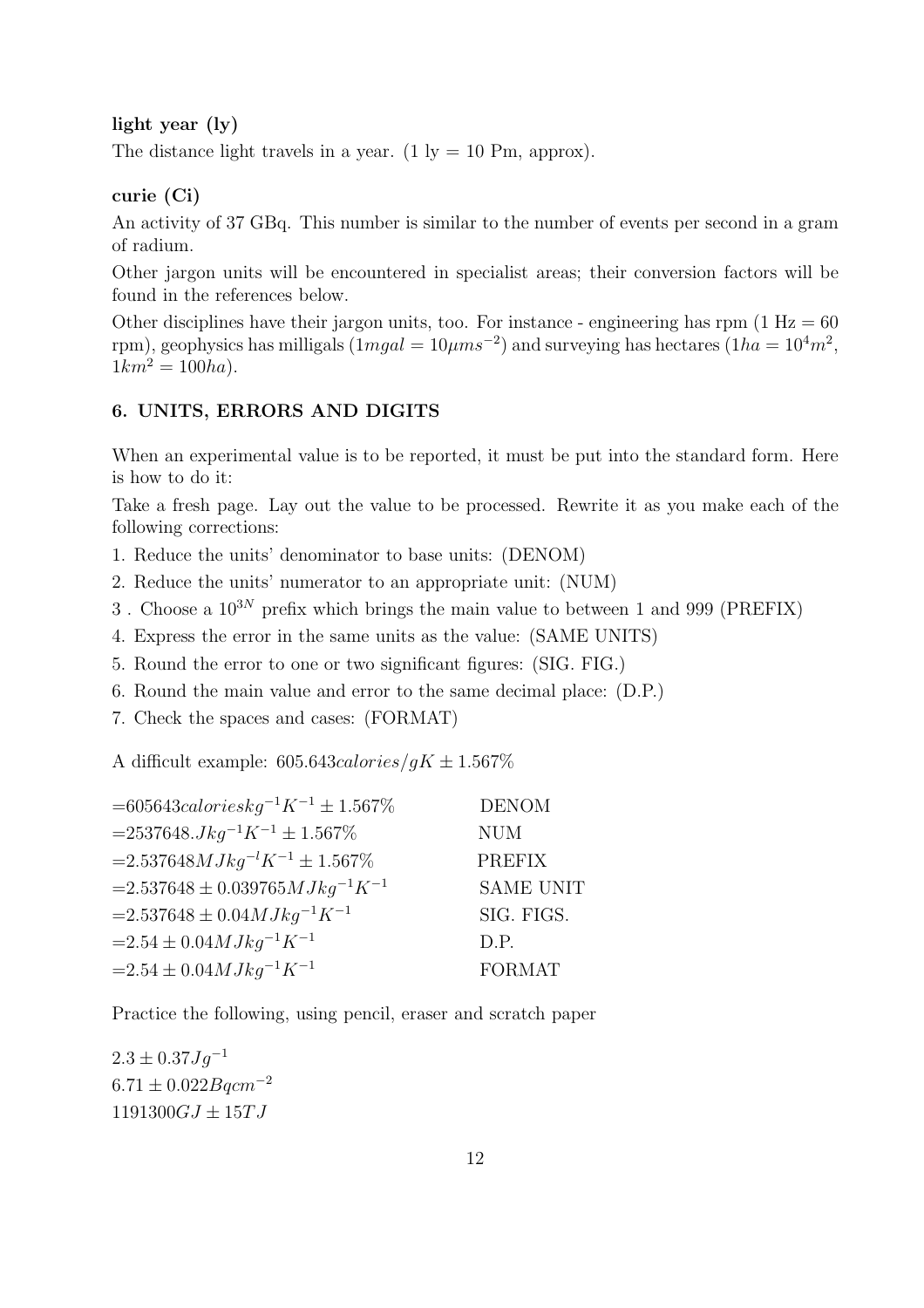light year (ly)

The distance light travels in a year. (1 ly = 10 Pm, approx).

#### curie (Ci)

An activity of 37 GBq. This number is similar to the number of events per second in a gram of radium.

Other jargon units will be encountered in specialist areas; their conversion factors will be found in the references below.

Other disciplines have their jargon units, too. For instance - engineering has rpm  $(1 \text{ Hz} = 60$ rpm), geophysics has milligals  $(1mgal = 10 \mu m s^{-2})$  and surveying has hectares  $(1ha = 10<sup>4</sup>m<sup>2</sup>)$ ,  $1km^2 = 100ha$ .

#### 6. UNITS, ERRORS AND DIGITS

When an experimental value is to be reported, it must be put into the standard form. Here is how to do it:

Take a fresh page. Lay out the value to be processed. Rewrite it as you make each of the following corrections:

- 1. Reduce the units' denominator to base units: (DENOM)
- 2. Reduce the units' numerator to an appropriate unit: (NUM)
- 3. Choose a  $10^{3N}$  prefix which brings the main value to between 1 and 999 (PREFIX)
- 4. Express the error in the same units as the value: (SAME UNITS)
- 5. Round the error to one or two significant figures: (SIG. FIG.)
- 6. Round the main value and error to the same decimal place: (D.P.)
- 7. Check the spaces and cases: (FORMAT)

A difficult example:  $605.643 \, \text{calories/gK} \pm 1.567 \%$ 

| $= 605643 calories kg^{-1}K^{-1} \pm 1.567\%$ | <b>DENOM</b>     |
|-----------------------------------------------|------------------|
| $= 2537648.Jkg^{-1}K^{-1} \pm 1.567\%$        | <b>NUM</b>       |
| $=2.537648MJkg^{-1}K^{-1} \pm 1.567\%$        | <b>PREFIX</b>    |
| $=2.537648 \pm 0.039765 MJkq^{-1}K^{-1}$      | <b>SAME UNIT</b> |
| $=2.537648 \pm 0.04 MJkq^{-1}K^{-1}$          | SIG. FIGS.       |
| $=2.54 \pm 0.04 MJkq^{-1}K^{-1}$              | D.P.             |
| $=2.54\pm0.04 MJkq^{-1}K^{-1}$                | FORMAT           |
|                                               |                  |

Practice the following, using pencil, eraser and scratch paper

 $2.3 \pm 0.37 Jg^{-1}$  $6.71 \pm 0.022$ *Bqcm*<sup>-2</sup>  $1191300GJ \pm 15TJ$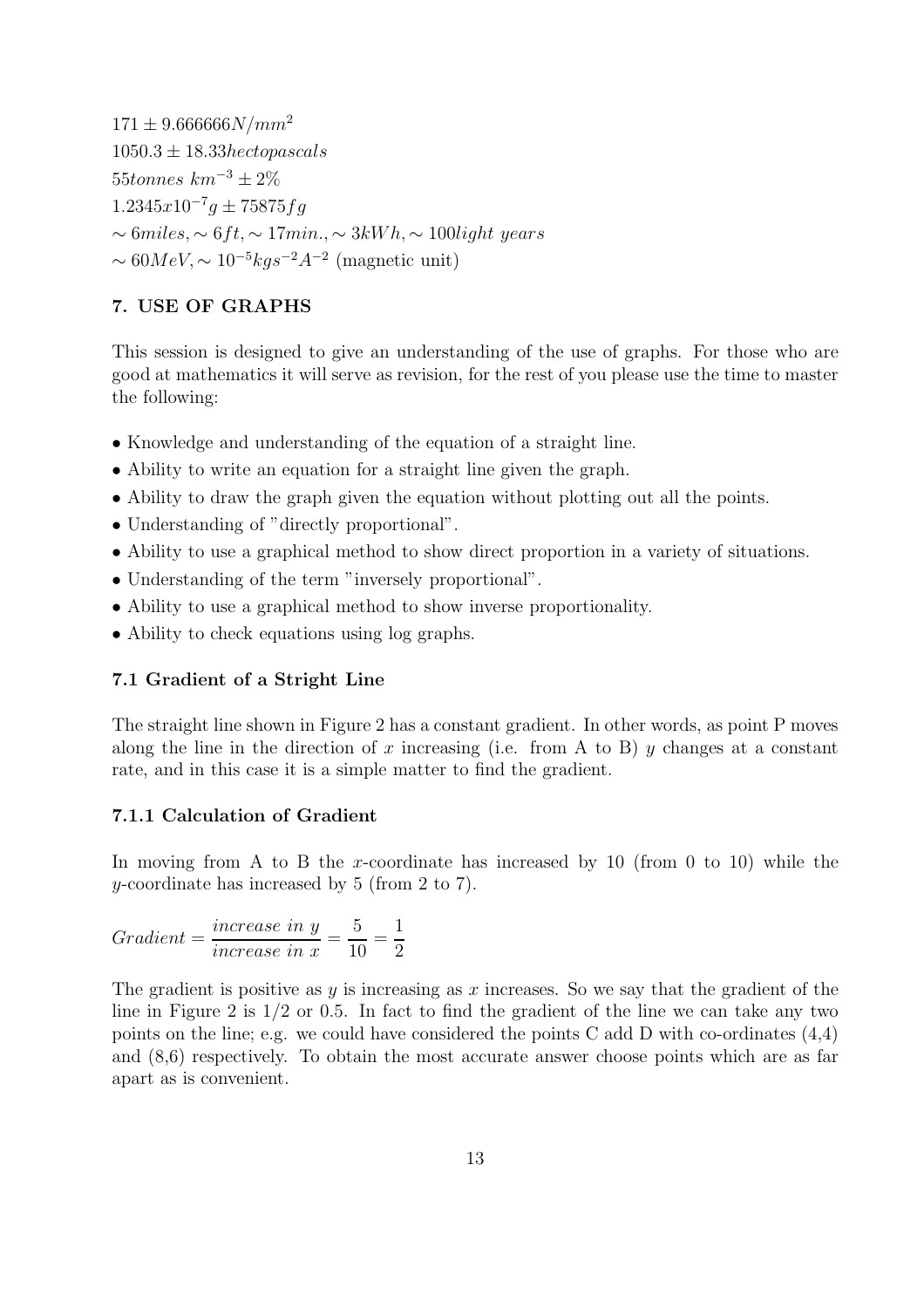$171 \pm 9.666666N/mm^2$  $1050.3 \pm 18.33hecto pascals$ 55*tonnes*  $km^{-3} \pm 2\%$  $1.2345x10^{-7}g \pm 75875fg$  $\sim 6$ miles,  $\sim 6$ ft,  $\sim 17$ min.,  $\sim 3kWh$ ,  $\sim 100$ light years  $\sim 60MeV, \sim 10^{-5}kg s^{-2}A^{-2}$  (magnetic unit)

#### 7. USE OF GRAPHS

This session is designed to give an understanding of the use of graphs. For those who are good at mathematics it will serve as revision, for the rest of you please use the time to master the following:

- Knowledge and understanding of the equation of a straight line.
- Ability to write an equation for a straight line given the graph.
- Ability to draw the graph given the equation without plotting out all the points.
- Understanding of "directly proportional".
- Ability to use a graphical method to show direct proportion in a variety of situations.
- Understanding of the term "inversely proportional".
- Ability to use a graphical method to show inverse proportionality.
- Ability to check equations using log graphs.

#### 7.1 Gradient of a Stright Line

The straight line shown in Figure 2 has a constant gradient. In other words, as point P moves along the line in the direction of x increasing (i.e. from A to B) y changes at a constant rate, and in this case it is a simple matter to find the gradient.

#### 7.1.1 Calculation of Gradient

In moving from A to B the x-coordinate has increased by 10 (from 0 to 10) while the y-coordinate has increased by 5 (from 2 to 7).

Gradient = 
$$
\frac{increase \ in \ y}{increase \ in \ x} = \frac{5}{10} = \frac{1}{2}
$$

The gradient is positive as  $y$  is increasing as x increases. So we say that the gradient of the line in Figure 2 is  $1/2$  or 0.5. In fact to find the gradient of the line we can take any two points on the line; e.g. we could have considered the points C add D with co-ordinates  $(4,4)$ and (8,6) respectively. To obtain the most accurate answer choose points which are as far apart as is convenient.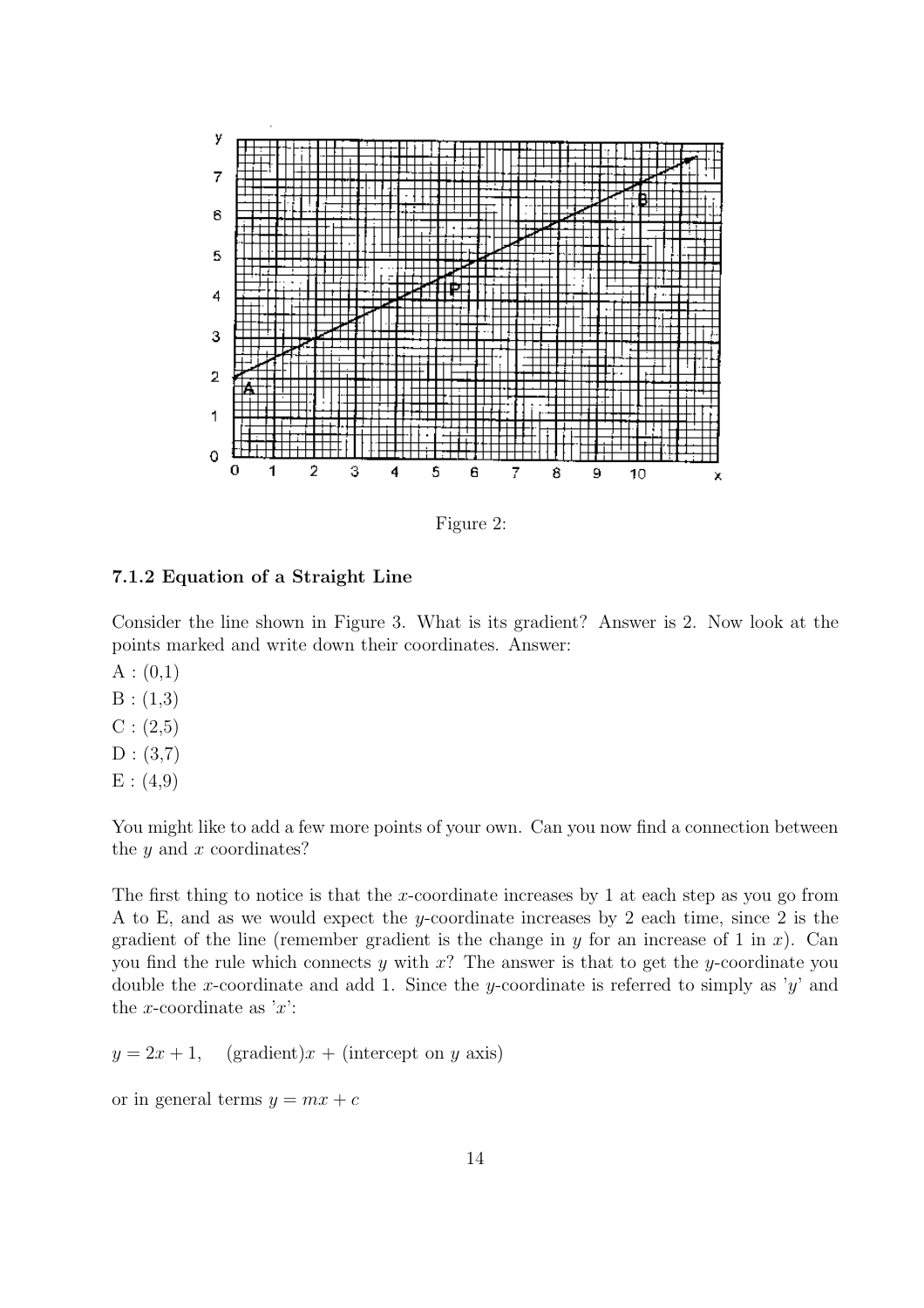

Figure 2:

#### 7.1.2 Equation of a Straight Line

Consider the line shown in Figure 3. What is its gradient? Answer is 2. Now look at the points marked and write down their coordinates. Answer:

- $A:(0,1)$
- $B:(1,3)$
- $C: (2,5)$
- $D : (3,7)$
- $E : (4,9)$

You might like to add a few more points of your own. Can you now find a connection between the  $y$  and  $x$  coordinates?

The first thing to notice is that the x-coordinate increases by 1 at each step as you go from A to E, and as we would expect the y-coordinate increases by 2 each time, since 2 is the gradient of the line (remember gradient is the change in y for an increase of 1 in x). Can you find the rule which connects y with  $x$ ? The answer is that to get the y-coordinate you double the x-coordinate and add 1. Since the y-coordinate is referred to simply as 'y' and the x-coordinate as  $x$ :

 $y = 2x + 1$ , (gradient) $x +$  (intercept on y axis)

or in general terms  $y = mx + c$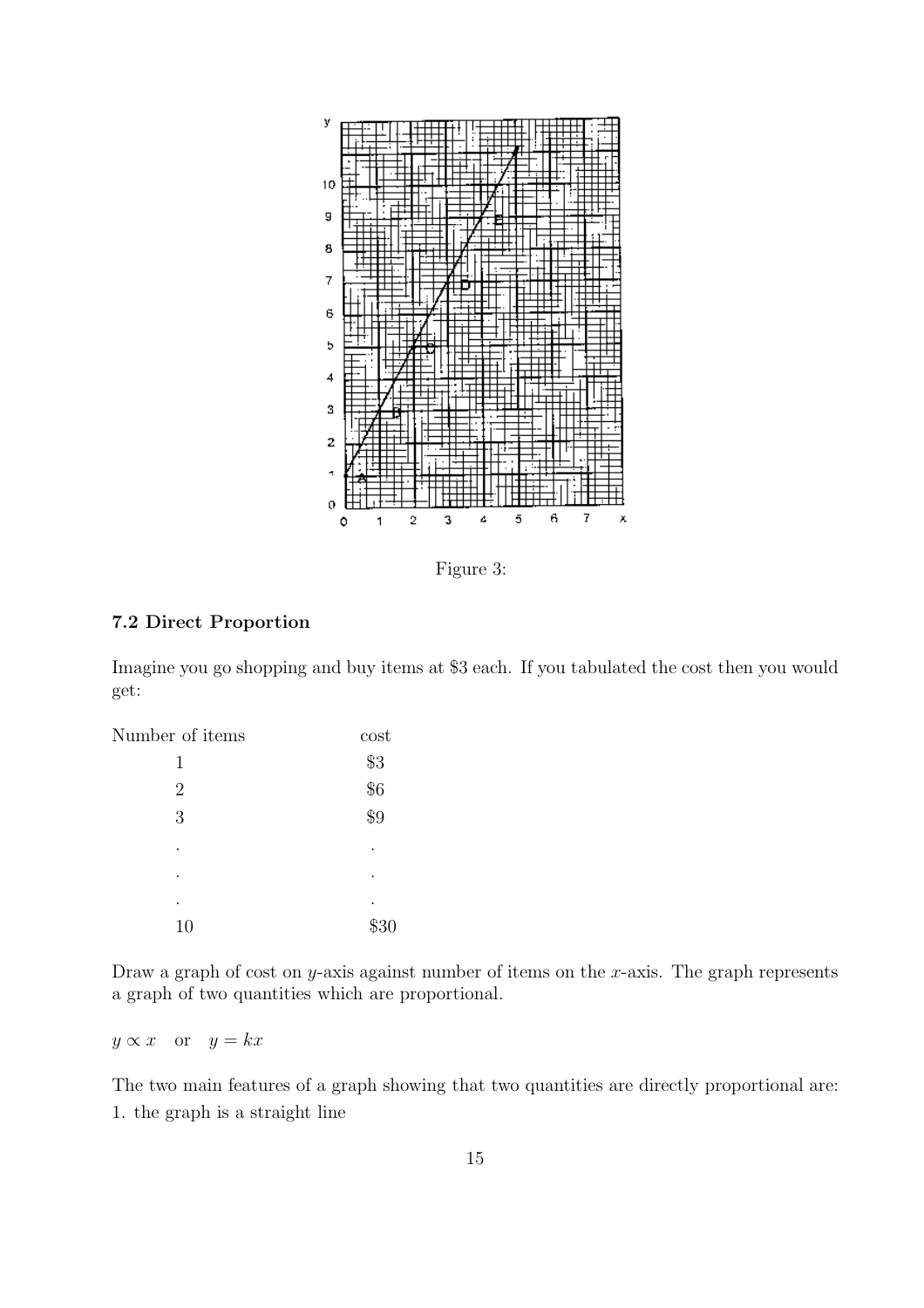

Figure 3:

#### 7.2 Direct Proportion

Imagine you go shopping and buy items at \$3 each. If you tabulated the cost then you would get:

| Number of items | cost           |
|-----------------|----------------|
| 1               | \$3            |
| $\overline{2}$  | $\frac{6}{56}$ |
| 3               | \$9            |
|                 |                |
| ٠               |                |
|                 | ٠              |
| 10              | \$30           |

Draw a graph of cost on y-axis against number of items on the x-axis. The graph represents a graph of two quantities which are proportional.

 $y \propto x$  or  $y = kx$ 

The two main features of a graph showing that two quantities are directly proportional are: 1. the graph is a straight line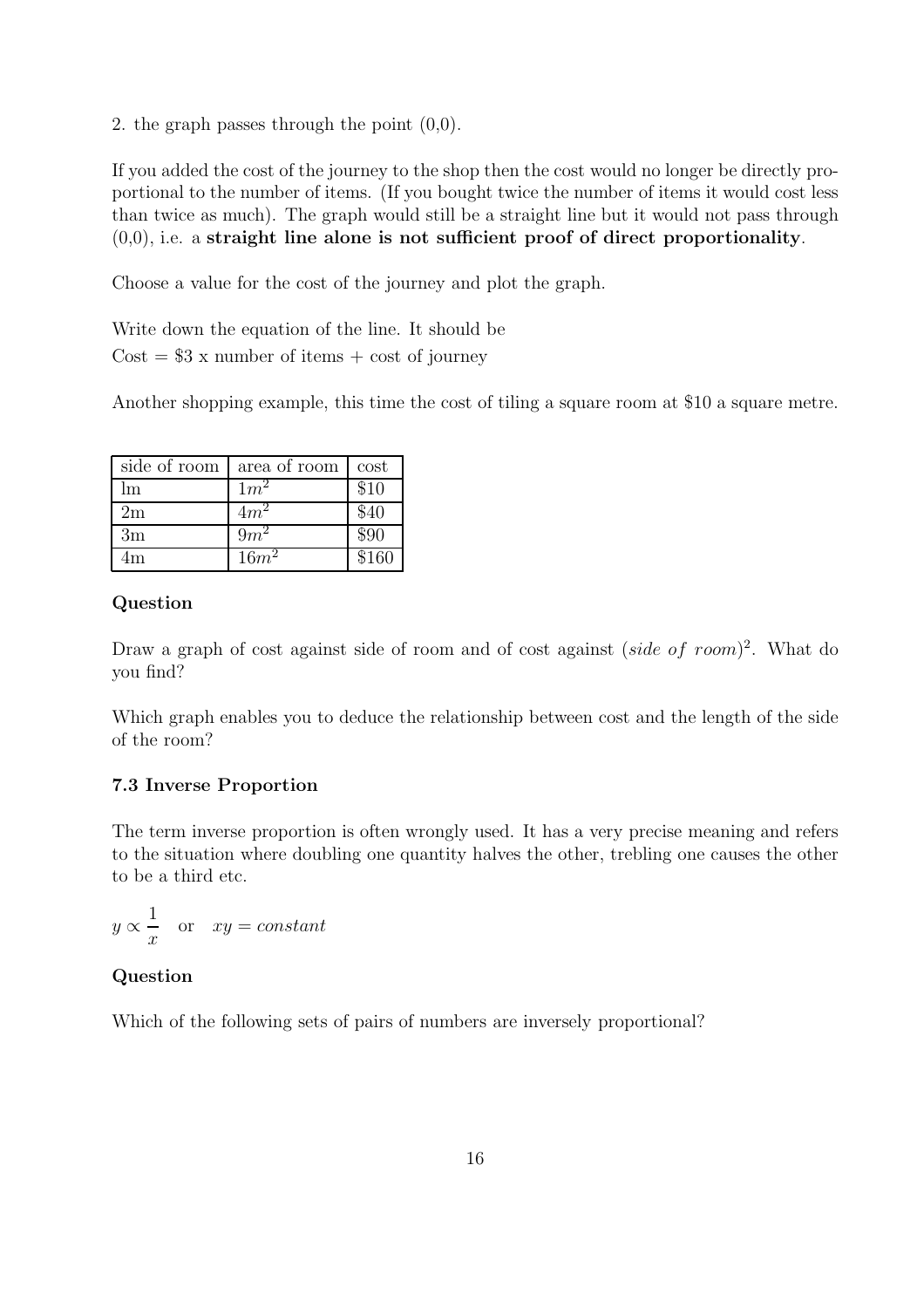2. the graph passes through the point (0,0).

If you added the cost of the journey to the shop then the cost would no longer be directly proportional to the number of items. (If you bought twice the number of items it would cost less than twice as much). The graph would still be a straight line but it would not pass through  $(0,0)$ , i.e. a straight line alone is not sufficient proof of direct proportionality.

Choose a value for the cost of the journey and plot the graph.

Write down the equation of the line. It should be  $Cost = $3 \times$  number of items  $+ \text{ cost of journey}$ 

Another shopping example, this time the cost of tiling a square room at \$10 a square metre.

| side of room | area of room | cost  |
|--------------|--------------|-------|
| Im           | $1m^2$       | \$10  |
| 2m           | $4m^2$       | \$40  |
| 3m           | $9m^2$       | \$90  |
| 1m           | $16m^2$      | \$160 |

#### Question

Draw a graph of cost against side of room and of cost against (side of room)<sup>2</sup>. What do you find?

Which graph enables you to deduce the relationship between cost and the length of the side of the room?

#### 7.3 Inverse Proportion

The term inverse proportion is often wrongly used. It has a very precise meaning and refers to the situation where doubling one quantity halves the other, trebling one causes the other to be a third etc.

 $y \propto$ 1  $\boldsymbol{x}$ or  $xy = constant$ 

#### Question

Which of the following sets of pairs of numbers are inversely proportional?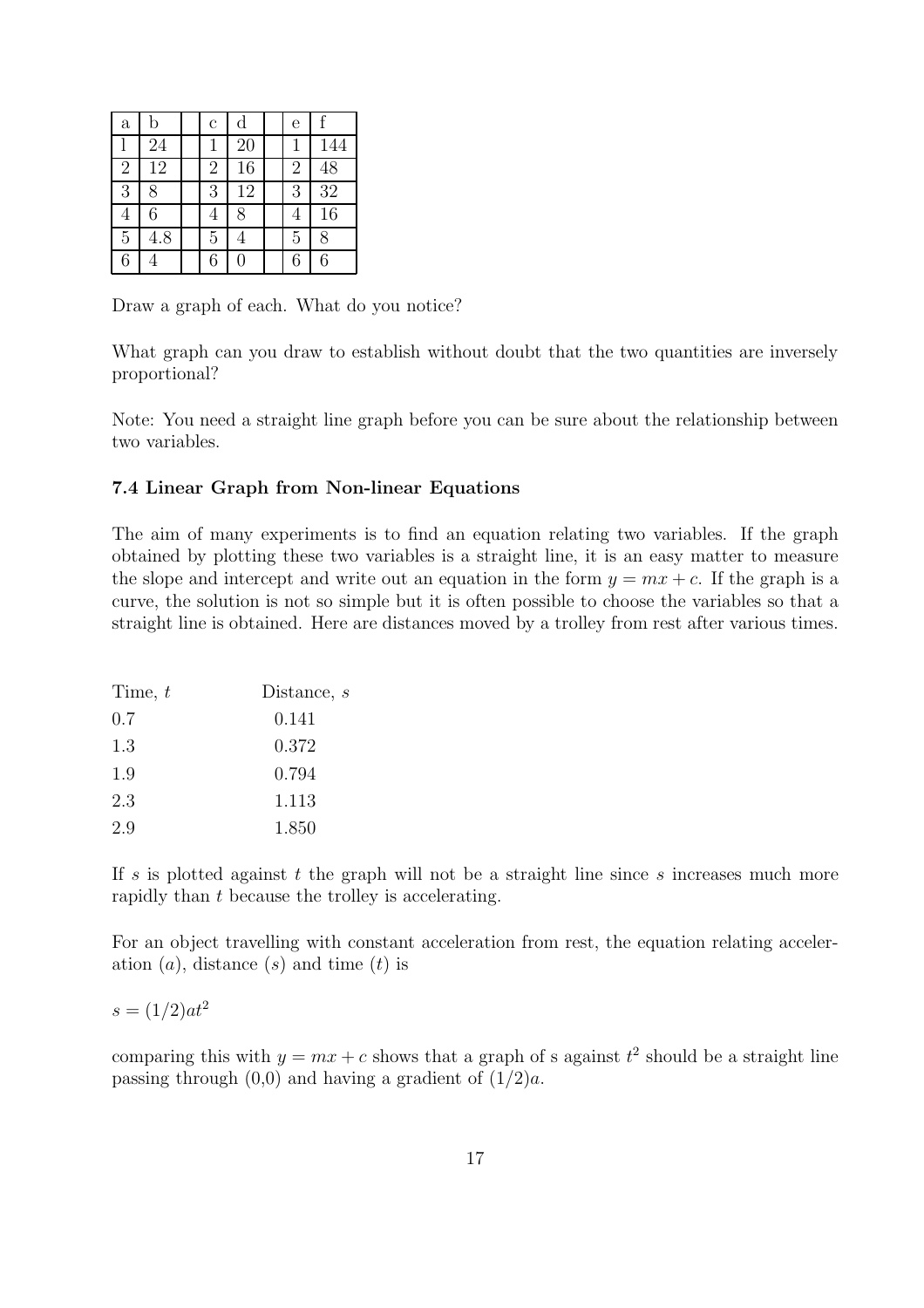| $\mathbf{a}$   | b   | $\mathbf c$    | d              | e              | f   |
|----------------|-----|----------------|----------------|----------------|-----|
|                | 24  |                | 20             |                | 144 |
| $\overline{2}$ | 12  | $\overline{2}$ | 16             | $\overline{2}$ | 48  |
| 3              | 8   | 3              | 12             | 3              | 32  |
| $\overline{4}$ | 6   | 4              | 8              | 4              | 16  |
| $\overline{5}$ | 4.8 | $\overline{5}$ | 4              | 5              | 8   |
| 6              |     | 6              | $\overline{0}$ | 6              | 6   |

Draw a graph of each. What do you notice?

What graph can you draw to establish without doubt that the two quantities are inversely proportional?

Note: You need a straight line graph before you can be sure about the relationship between two variables.

#### 7.4 Linear Graph from Non-linear Equations

The aim of many experiments is to find an equation relating two variables. If the graph obtained by plotting these two variables is a straight line, it is an easy matter to measure the slope and intercept and write out an equation in the form  $y = mx + c$ . If the graph is a curve, the solution is not so simple but it is often possible to choose the variables so that a straight line is obtained. Here are distances moved by a trolley from rest after various times.

| Time, $t$ | Distance, $s$ |
|-----------|---------------|
| 0.7       | 0.141         |
| 1.3       | 0.372         |
| 1.9       | 0.794         |
| 2.3       | 1.113         |
| 2.9       | 1.850         |

If s is plotted against t the graph will not be a straight line since s increases much more rapidly than t because the trolley is accelerating.

For an object travelling with constant acceleration from rest, the equation relating acceleration  $(a)$ , distance  $(s)$  and time  $(t)$  is

$$
s = (1/2)at^2
$$

comparing this with  $y = mx + c$  shows that a graph of s against  $t^2$  should be a straight line passing through  $(0,0)$  and having a gradient of  $(1/2)a$ .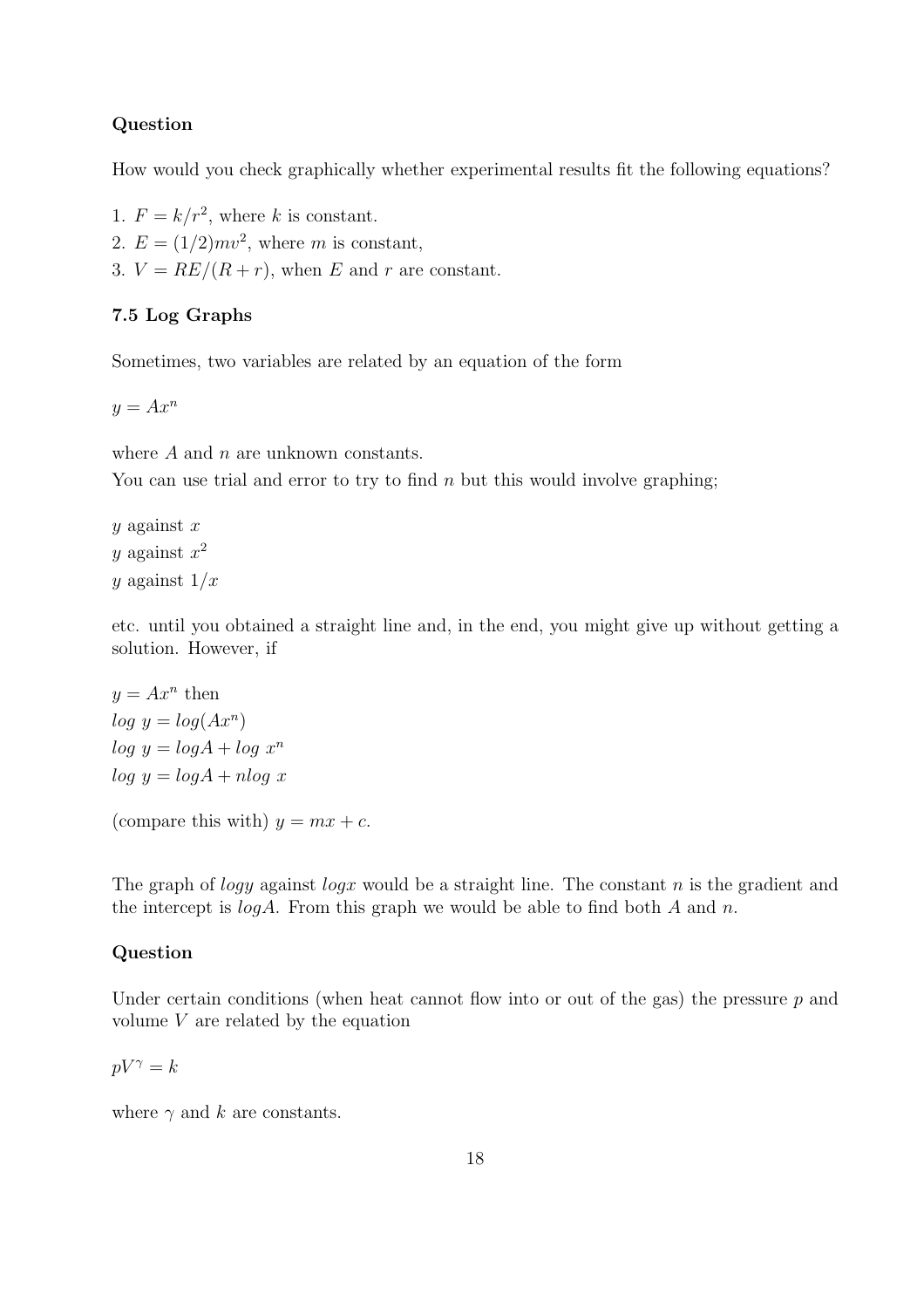#### Question

How would you check graphically whether experimental results fit the following equations?

- 1.  $F = k/r^2$ , where k is constant.
- 2.  $E = (1/2)mv^2$ , where m is constant,
- 3.  $V = RE/(R + r)$ , when E and r are constant.

#### 7.5 Log Graphs

Sometimes, two variables are related by an equation of the form

 $y = Ax^n$ 

where  $A$  and  $n$  are unknown constants.

You can use trial and error to try to find n but this would involve graphing;

 $y$  against  $x$ y against  $x^2$ y against  $1/x$ 

etc. until you obtained a straight line and, in the end, you might give up without getting a solution. However, if

 $y = Ax^n$  then  $log y = log(Ax^n)$  $log y = log A + log x^n$  $log y = log A + n log x$ 

(compare this with)  $y = mx + c$ .

The graph of *logy* against *logx* would be a straight line. The constant n is the gradient and the intercept is  $log A$ . From this graph we would be able to find both A and n.

#### Question

Under certain conditions (when heat cannot flow into or out of the gas) the pressure  $p$  and volume V are related by the equation

 $pV^{\gamma} = k$ 

where  $\gamma$  and k are constants.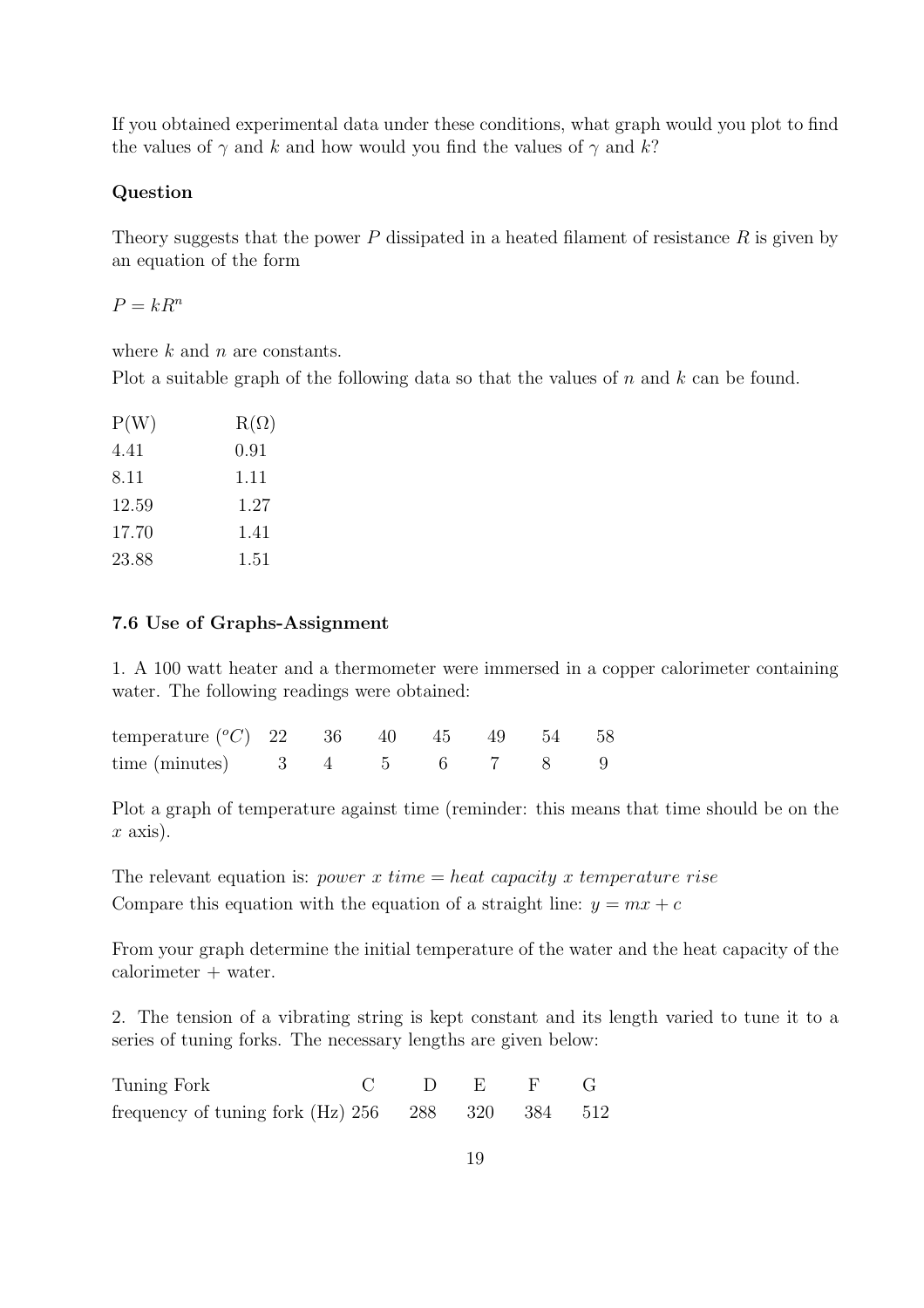If you obtained experimental data under these conditions, what graph would you plot to find the values of  $\gamma$  and k and how would you find the values of  $\gamma$  and k?

#### Question

Theory suggests that the power  $P$  dissipated in a heated filament of resistance  $R$  is given by an equation of the form

 $P = kR^n$ 

where  $k$  and  $n$  are constants.

Plot a suitable graph of the following data so that the values of  $n$  and  $k$  can be found.

| P(W)  | $R(\Omega)$ |
|-------|-------------|
| 4.41  | 0.91        |
| 8.11  | 1.11        |
| 12.59 | 1.27        |
| 17.70 | 1.41        |
| 23.88 | 1.51        |

#### 7.6 Use of Graphs-Assignment

1. A 100 watt heater and a thermometer were immersed in a copper calorimeter containing water. The following readings were obtained:

| temperature $({}^{\circ}C)$ 22 36 40 45 49 54 58 |  |  |  |  |
|--------------------------------------------------|--|--|--|--|
| time (minutes) $3 \t 4 \t 5 \t 6 \t 7 \t 8 \t 9$ |  |  |  |  |

Plot a graph of temperature against time (reminder: this means that time should be on the  $x \text{ axis}.$ 

The relevant equation is: *power* x time  $=$  heat capacity x temperature rise Compare this equation with the equation of a straight line:  $y = mx + c$ 

From your graph determine the initial temperature of the water and the heat capacity of the calorimeter + water.

2. The tension of a vibrating string is kept constant and its length varied to tune it to a series of tuning forks. The necessary lengths are given below:

| Tuning Fork                                         |  | $C$ D E F G |  |
|-----------------------------------------------------|--|-------------|--|
| frequency of tuning fork $(Hz)$ 256 288 320 384 512 |  |             |  |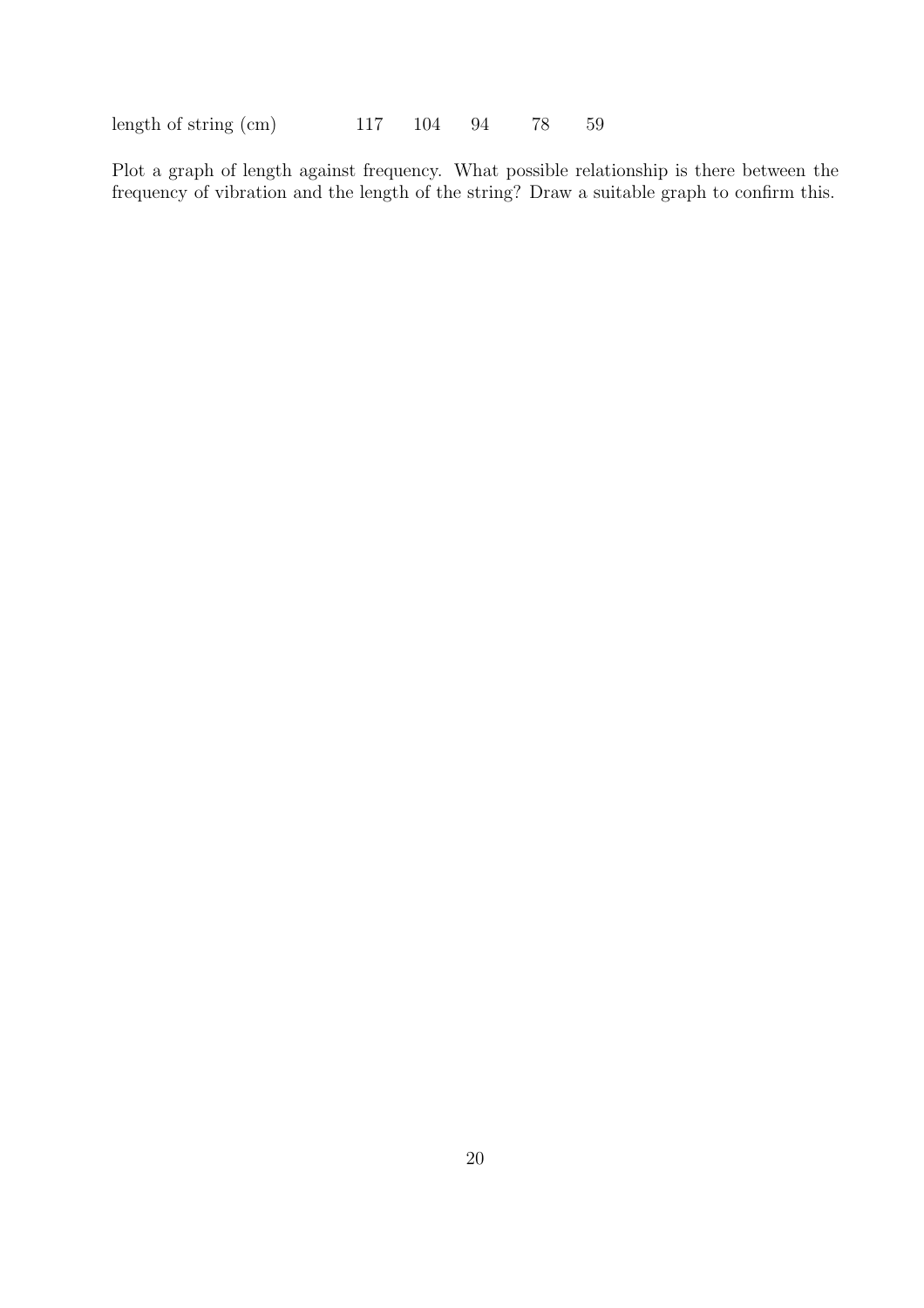length of string (cm) 117 104 94 78 59

Plot a graph of length against frequency. What possible relationship is there between the frequency of vibration and the length of the string? Draw a suitable graph to confirm this.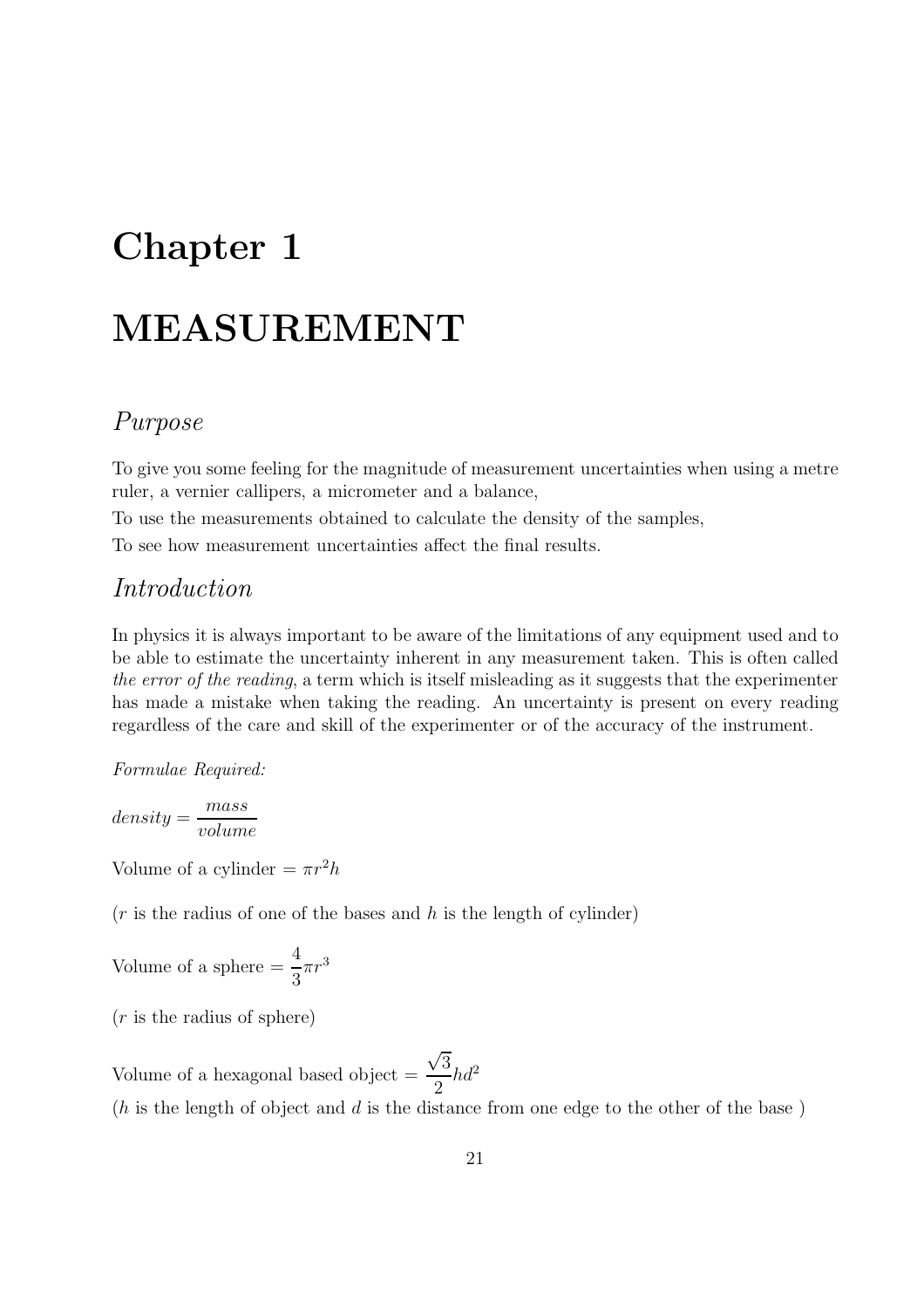## Chapter 1

## MEASUREMENT

### Purpose

To give you some feeling for the magnitude of measurement uncertainties when using a metre ruler, a vernier callipers, a micrometer and a balance,

To use the measurements obtained to calculate the density of the samples,

To see how measurement uncertainties affect the final results.

### Introduction

In physics it is always important to be aware of the limitations of any equipment used and to be able to estimate the uncertainty inherent in any measurement taken. This is often called the error of the reading, a term which is itself misleading as it suggests that the experimenter has made a mistake when taking the reading. An uncertainty is present on every reading regardless of the care and skill of the experimenter or of the accuracy of the instrument.

Formulae Required:

$$
density = \frac{mass}{volume}
$$

Volume of a cylinder  $= \pi r^2 h$ 

 $(r$  is the radius of one of the bases and h is the length of cylinder)

Volume of a sphere 
$$
=\frac{4}{3}\pi r^3
$$

 $(r$  is the radius of sphere)

Volume of a hexagonal based object =  $\sqrt{3}$ 2  $hd<sup>2</sup>$ 

 $(h$  is the length of object and d is the distance from one edge to the other of the base)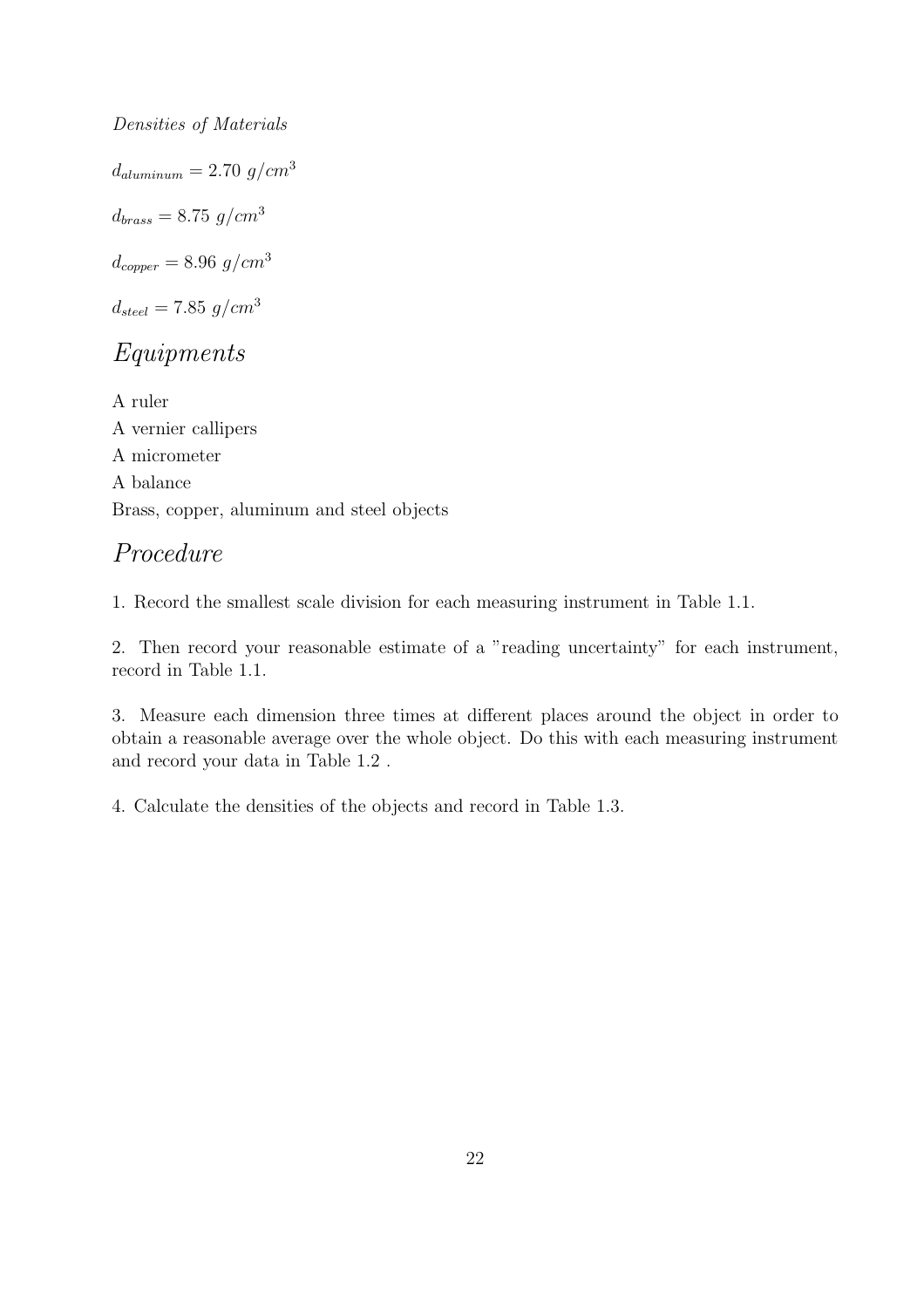Densities of Materials  $d_{aluminum} = 2.70$   $g/cm^3$  $d_{brass} = 8.75 \, g/cm^3$  $d_{copper} = 8.96$  g/cm<sup>3</sup>  $d_{steel} = 7.85 \, g/cm^3$ 

## Equipments

A ruler A vernier callipers A micrometer A balance Brass, copper, aluminum and steel objects

## Procedure

1. Record the smallest scale division for each measuring instrument in Table 1.1.

2. Then record your reasonable estimate of a "reading uncertainty" for each instrument, record in Table 1.1.

3. Measure each dimension three times at different places around the object in order to obtain a reasonable average over the whole object. Do this with each measuring instrument and record your data in Table 1.2 .

4. Calculate the densities of the objects and record in Table 1.3.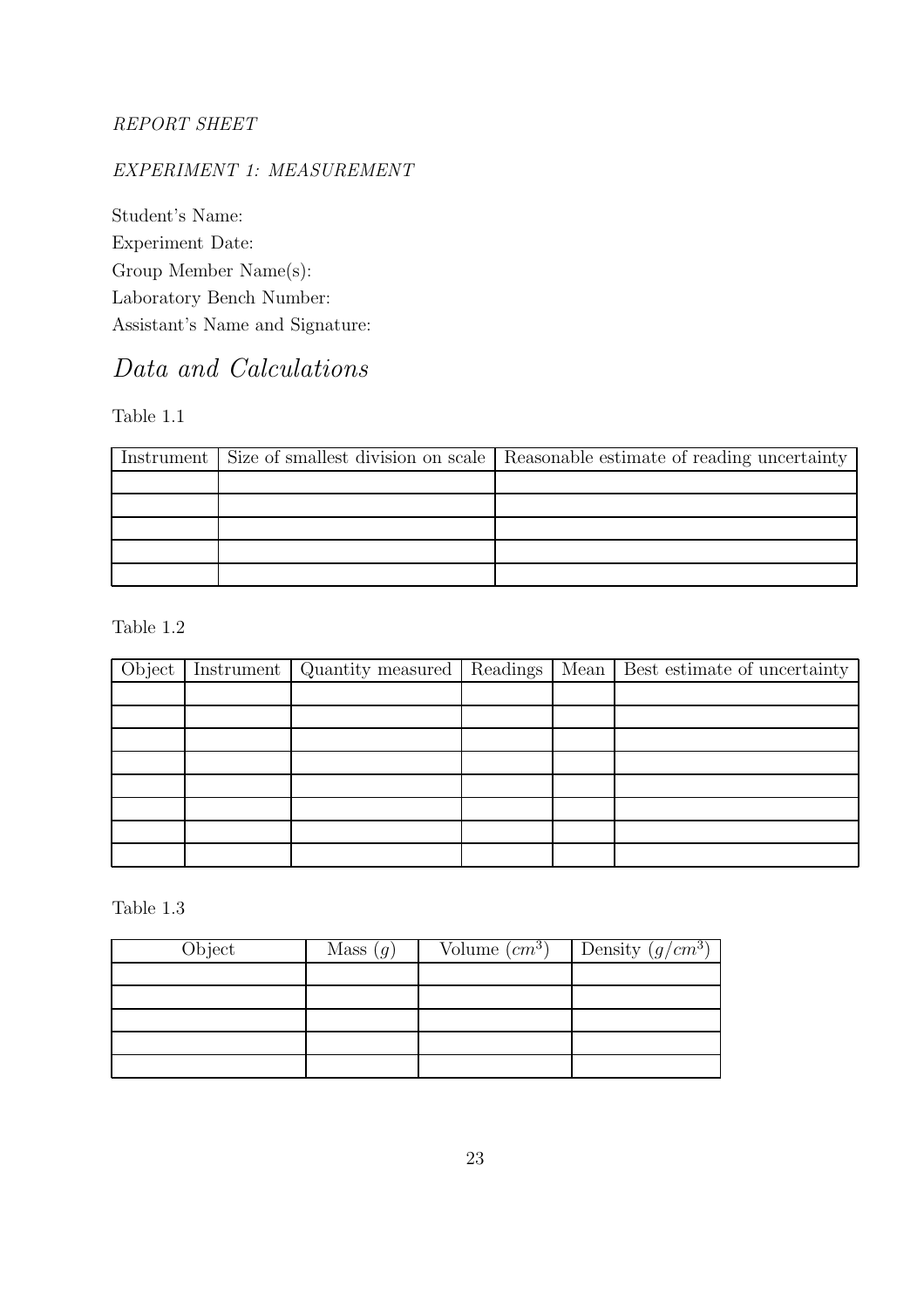#### REPORT SHEET

### EXPERIMENT 1: MEASUREMENT

Student's Name: Experiment Date: Group Member Name(s): Laboratory Bench Number: Assistant's Name and Signature:

## Data and Calculations

Table 1.1

|  | Instrument Size of smallest division on scale   Reasonable estimate of reading uncertainty |
|--|--------------------------------------------------------------------------------------------|
|  |                                                                                            |
|  |                                                                                            |
|  |                                                                                            |
|  |                                                                                            |
|  |                                                                                            |

Table 1.2

|  |  | Object   Instrument   Quantity measured   Readings   Mean   Best estimate of uncertainty |
|--|--|------------------------------------------------------------------------------------------|
|  |  |                                                                                          |
|  |  |                                                                                          |
|  |  |                                                                                          |
|  |  |                                                                                          |
|  |  |                                                                                          |
|  |  |                                                                                          |
|  |  |                                                                                          |
|  |  |                                                                                          |

Table 1.3

| Object | Mass $(g)$ | Volume $(cm^3)$ | Density $(g/cm^3)$ |
|--------|------------|-----------------|--------------------|
|        |            |                 |                    |
|        |            |                 |                    |
|        |            |                 |                    |
|        |            |                 |                    |
|        |            |                 |                    |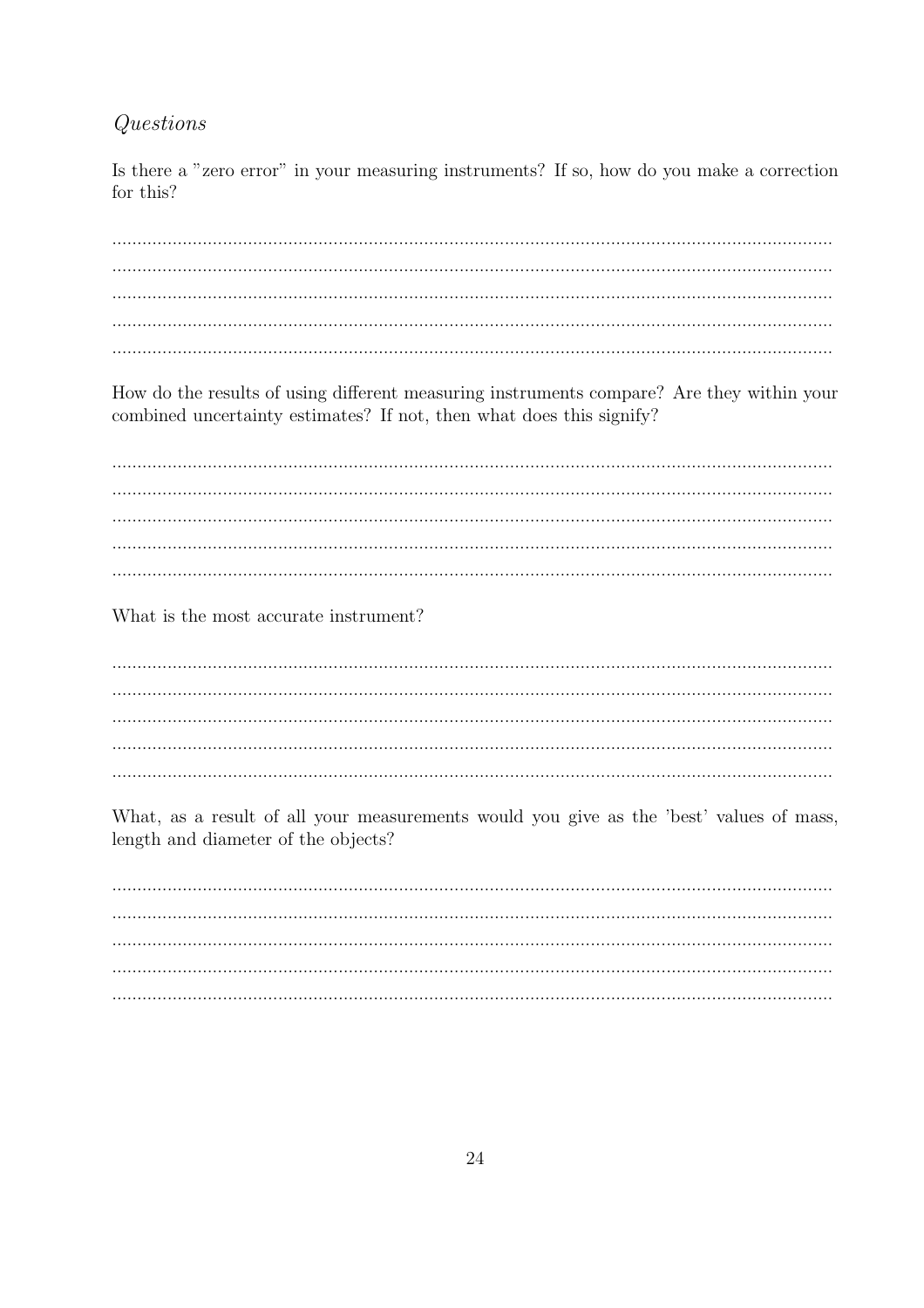### Questions

Is there a "zero error" in your measuring instruments? If so, how do you make a correction for this?

How do the results of using different measuring instruments compare? Are they within your combined uncertainty estimates? If not, then what does this signify?

What is the most accurate instrument?

What, as a result of all your measurements would you give as the 'best' values of mass, length and diameter of the objects?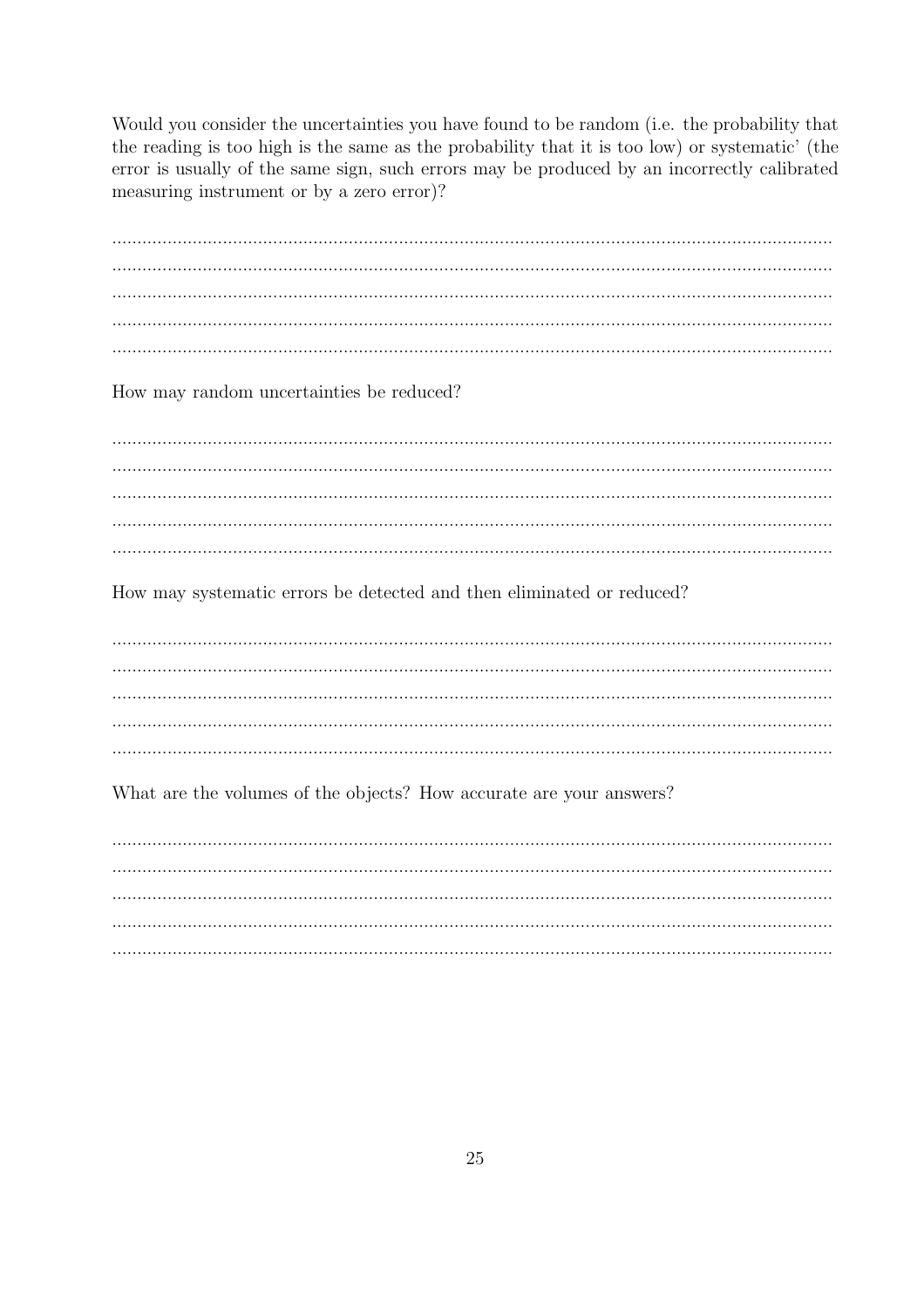Would you consider the uncertainties you have found to be random (i.e. the probability that the reading is too high is the same as the probability that it is too low) or systematic' (the error is usually of the same sign, such errors may be produced by an incorrectly calibrated measuring instrument or by a zero error)?

How may random uncertainties be reduced?

How may systematic errors be detected and then eliminated or reduced?

What are the volumes of the objects? How accurate are your answers?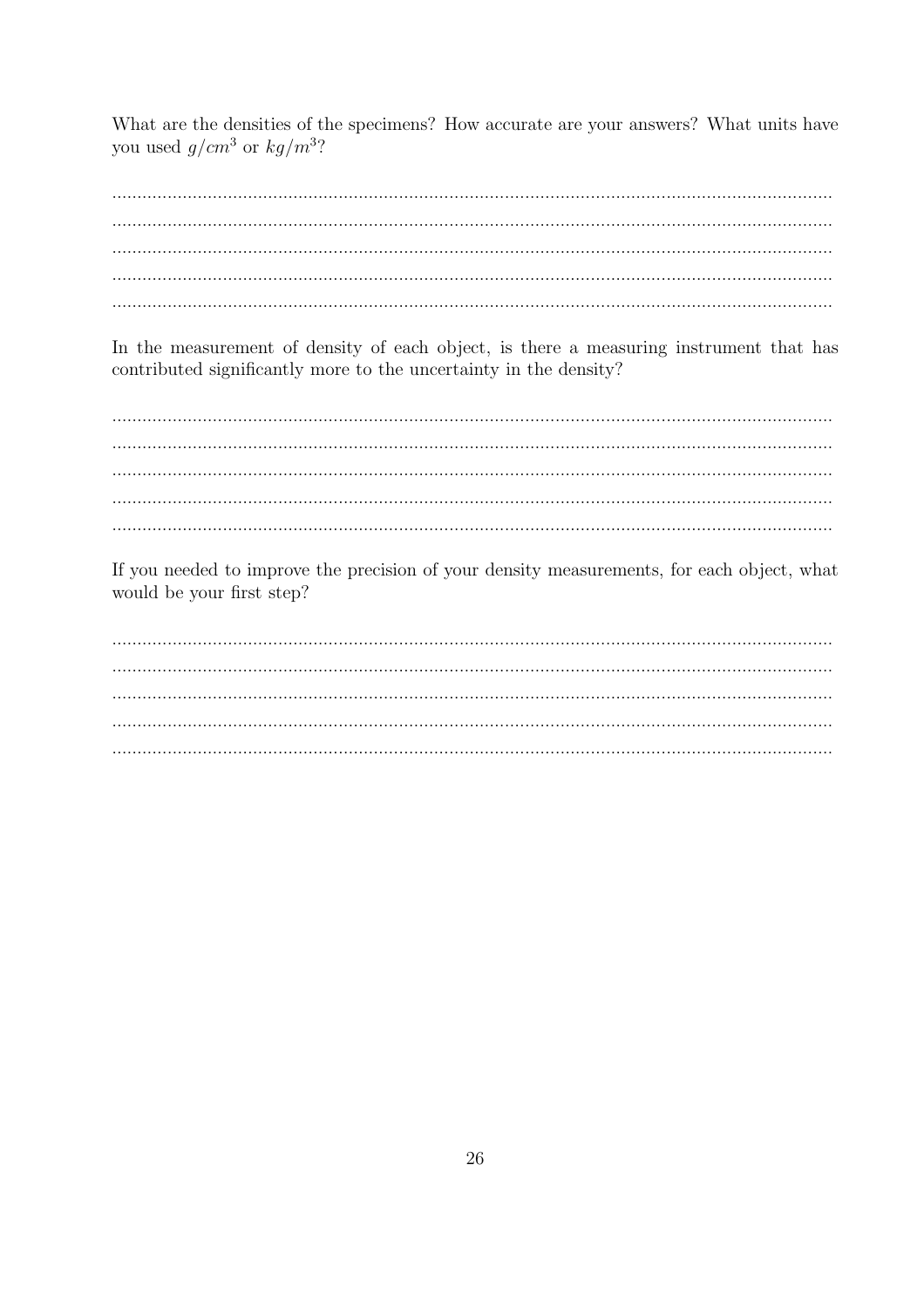What are the densities of the specimens? How accurate are your answers? What units have you used  $g/cm^3$  or  $kg/m^3$ ?

In the measurement of density of each object, is there a measuring instrument that has contributed significantly more to the uncertainty in the density?

If you needed to improve the precision of your density measurements, for each object, what would be your first step?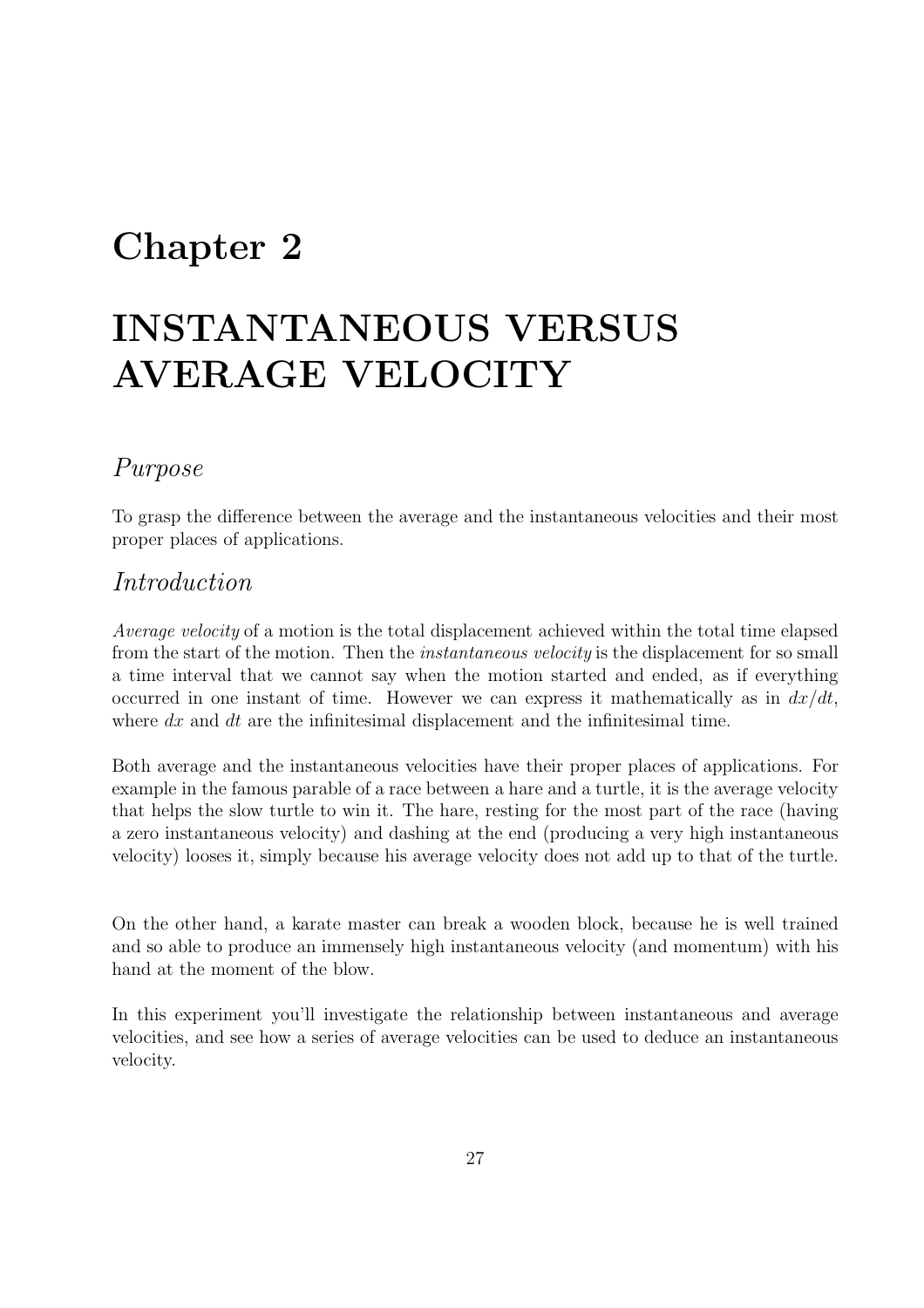## Chapter 2

## INSTANTANEOUS VERSUS AVERAGE VELOCITY

### Purpose

To grasp the difference between the average and the instantaneous velocities and their most proper places of applications.

### Introduction

Average velocity of a motion is the total displacement achieved within the total time elapsed from the start of the motion. Then the *instantaneous velocity* is the displacement for so small a time interval that we cannot say when the motion started and ended, as if everything occurred in one instant of time. However we can express it mathematically as in  $dx/dt$ , where  $dx$  and  $dt$  are the infinitesimal displacement and the infinitesimal time.

Both average and the instantaneous velocities have their proper places of applications. For example in the famous parable of a race between a hare and a turtle, it is the average velocity that helps the slow turtle to win it. The hare, resting for the most part of the race (having a zero instantaneous velocity) and dashing at the end (producing a very high instantaneous velocity) looses it, simply because his average velocity does not add up to that of the turtle.

On the other hand, a karate master can break a wooden block, because he is well trained and so able to produce an immensely high instantaneous velocity (and momentum) with his hand at the moment of the blow.

In this experiment you'll investigate the relationship between instantaneous and average velocities, and see how a series of average velocities can be used to deduce an instantaneous velocity.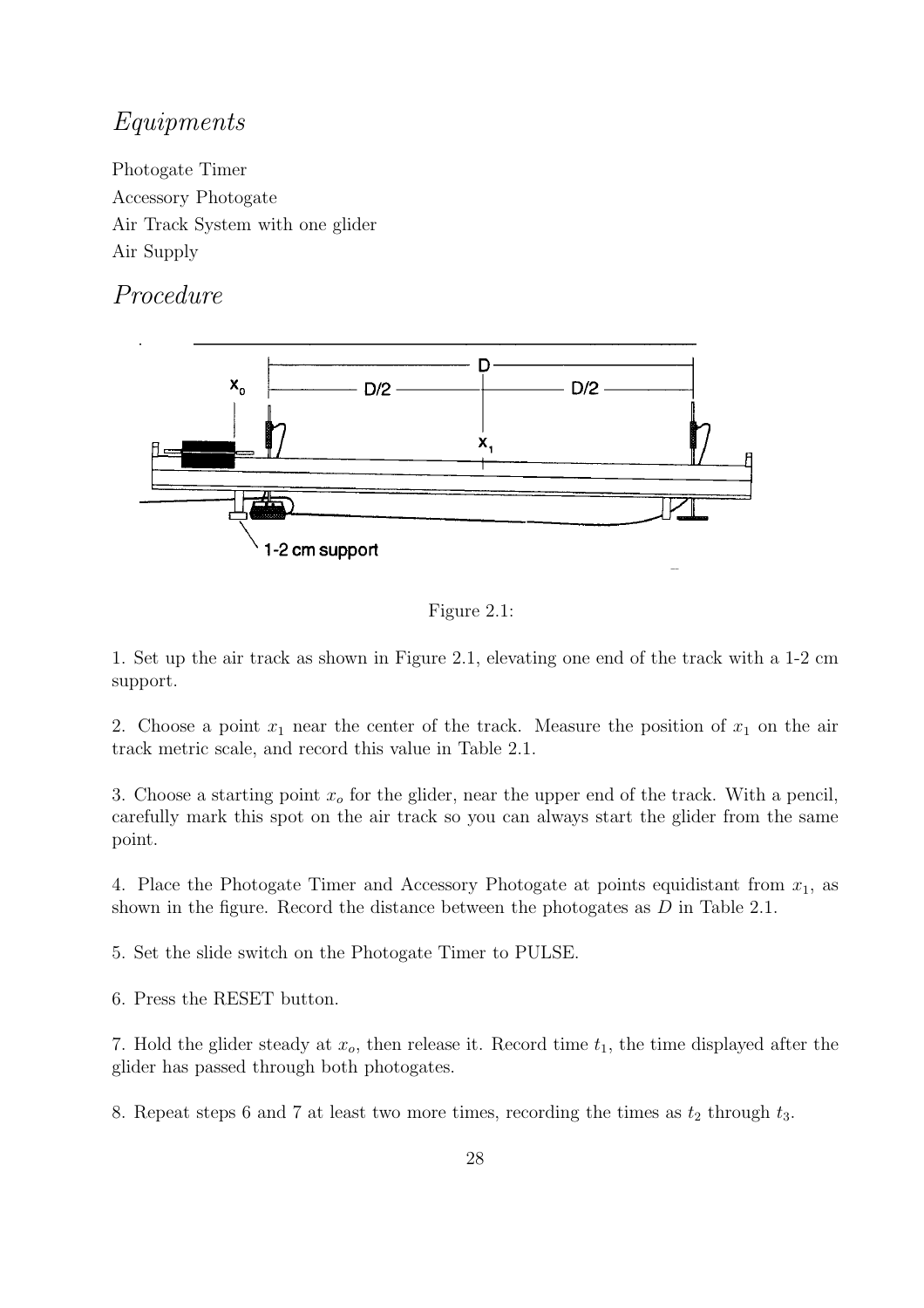### Equipments

Photogate Timer Accessory Photogate Air Track System with one glider Air Supply

## Procedure



Figure 2.1:

1. Set up the air track as shown in Figure 2.1, elevating one end of the track with a 1-2 cm support.

2. Choose a point  $x_1$  near the center of the track. Measure the position of  $x_1$  on the air track metric scale, and record this value in Table 2.1.

3. Choose a starting point  $x<sub>o</sub>$  for the glider, near the upper end of the track. With a pencil, carefully mark this spot on the air track so you can always start the glider from the same point.

4. Place the Photogate Timer and Accessory Photogate at points equidistant from  $x_1$ , as shown in the figure. Record the distance between the photogates as  $D$  in Table 2.1.

5. Set the slide switch on the Photogate Timer to PULSE.

6. Press the RESET button.

7. Hold the glider steady at  $x_o$ , then release it. Record time  $t_1$ , the time displayed after the glider has passed through both photogates.

8. Repeat steps 6 and 7 at least two more times, recording the times as  $t_2$  through  $t_3$ .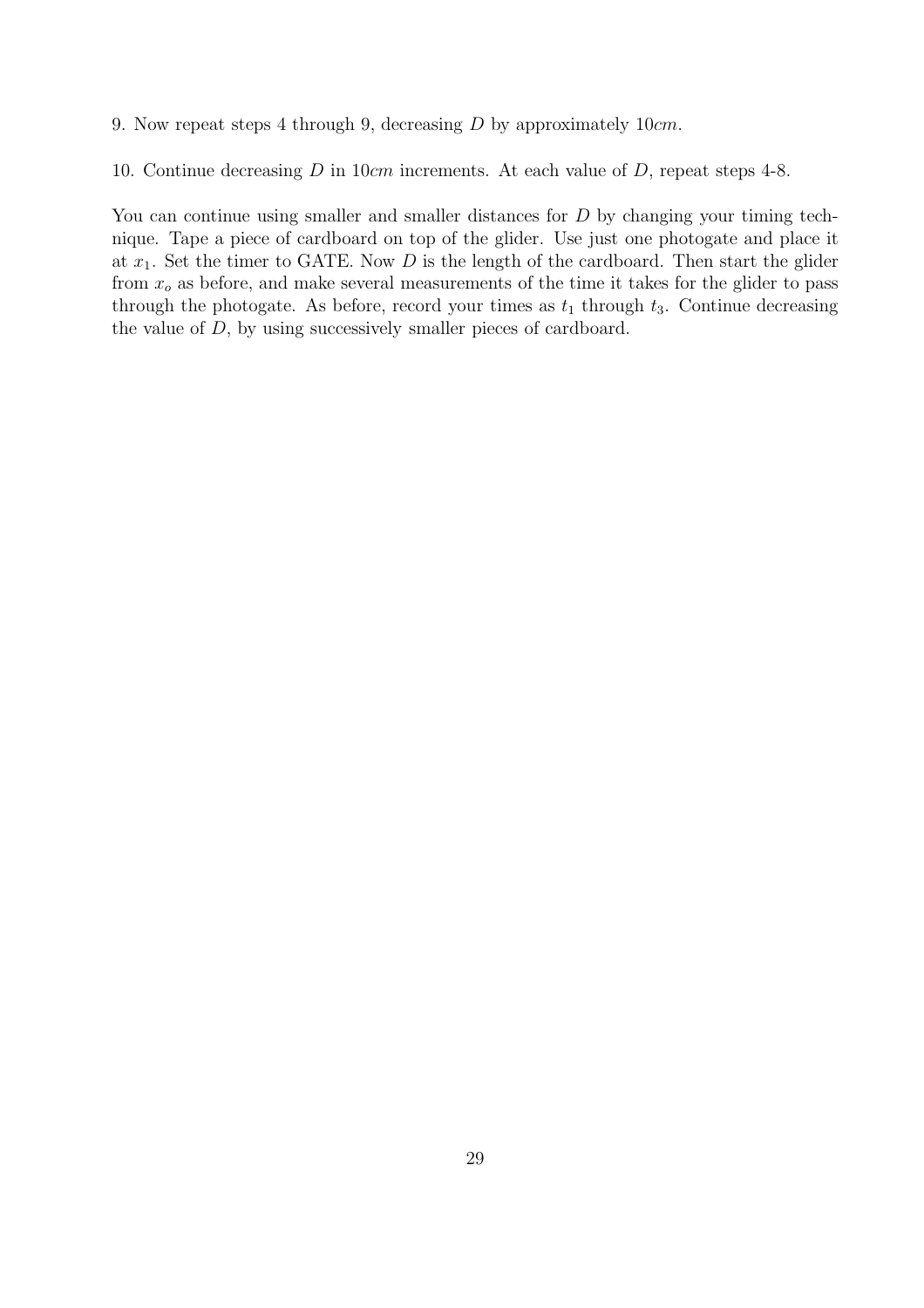9. Now repeat steps 4 through 9, decreasing D by approximately 10cm.

10. Continue decreasing D in 10cm increments. At each value of D, repeat steps 4-8.

You can continue using smaller and smaller distances for D by changing your timing technique. Tape a piece of cardboard on top of the glider. Use just one photogate and place it at  $x_1$ . Set the timer to GATE. Now D is the length of the cardboard. Then start the glider from  $x<sub>o</sub>$  as before, and make several measurements of the time it takes for the glider to pass through the photogate. As before, record your times as  $t_1$  through  $t_3$ . Continue decreasing the value of D, by using successively smaller pieces of cardboard.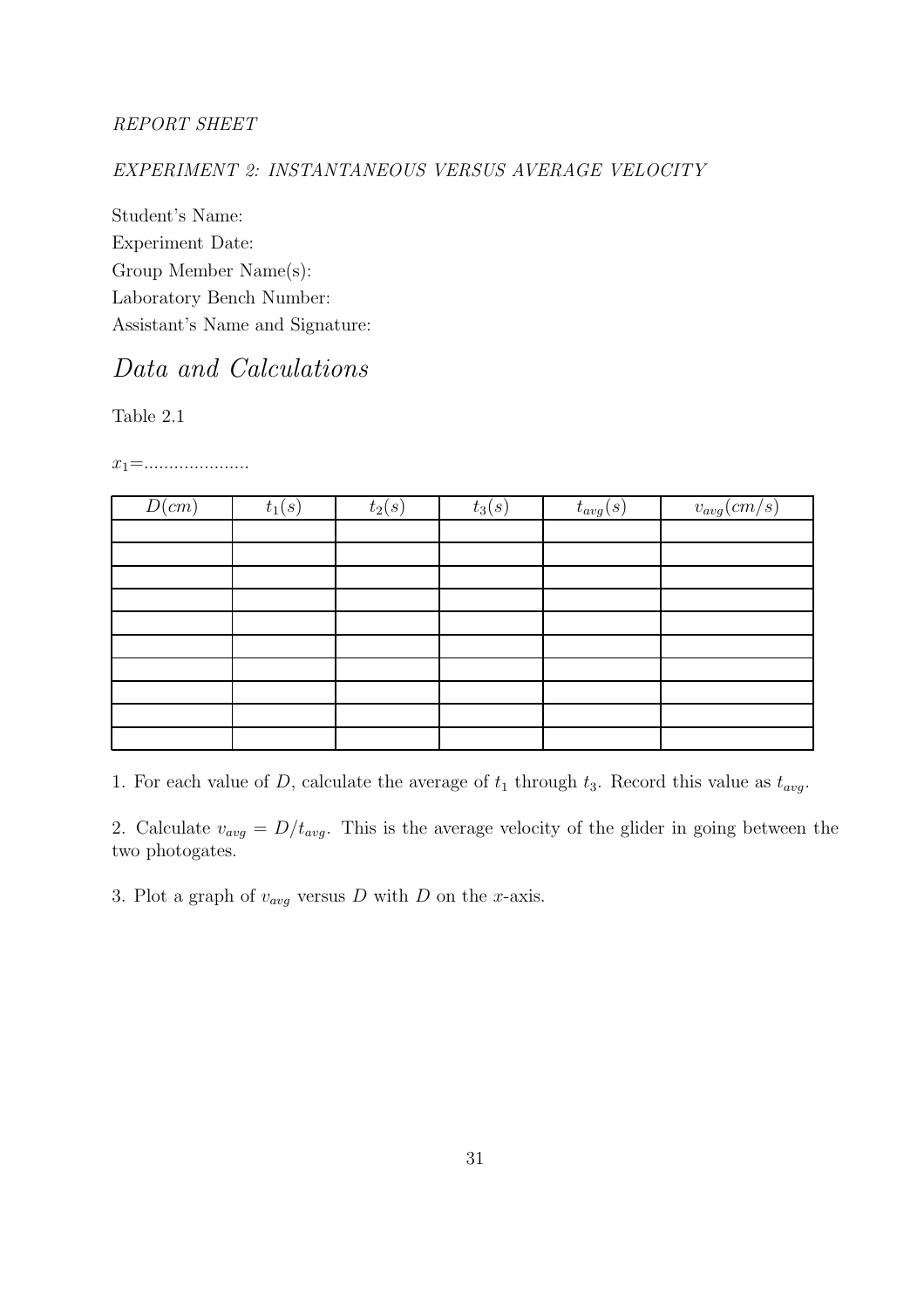#### REPORT SHEET

#### EXPERIMENT 2: INSTANTANEOUS VERSUS AVERAGE VELOCITY

Student's Name: Experiment Date: Group Member Name(s): Laboratory Bench Number: Assistant's Name and Signature:

## Data and Calculations

Table 2.1

 $x_1 = \dots \dots \dots \dots \dots \dots$ 

| D(cm) | $t_1(s)$ | $t_2(s)$ | $t_3(s)$ | $t_{avg}(s)$ | $v_{avg}(cm/s)$ |
|-------|----------|----------|----------|--------------|-----------------|
|       |          |          |          |              |                 |
|       |          |          |          |              |                 |
|       |          |          |          |              |                 |
|       |          |          |          |              |                 |
|       |          |          |          |              |                 |
|       |          |          |          |              |                 |
|       |          |          |          |              |                 |
|       |          |          |          |              |                 |
|       |          |          |          |              |                 |
|       |          |          |          |              |                 |

1. For each value of D, calculate the average of  $t_1$  through  $t_3$ . Record this value as  $t_{avg}$ .

2. Calculate  $v_{avg} = D/t_{avg}$ . This is the average velocity of the glider in going between the two photogates.

3. Plot a graph of  $v_{avg}$  versus D with D on the x-axis.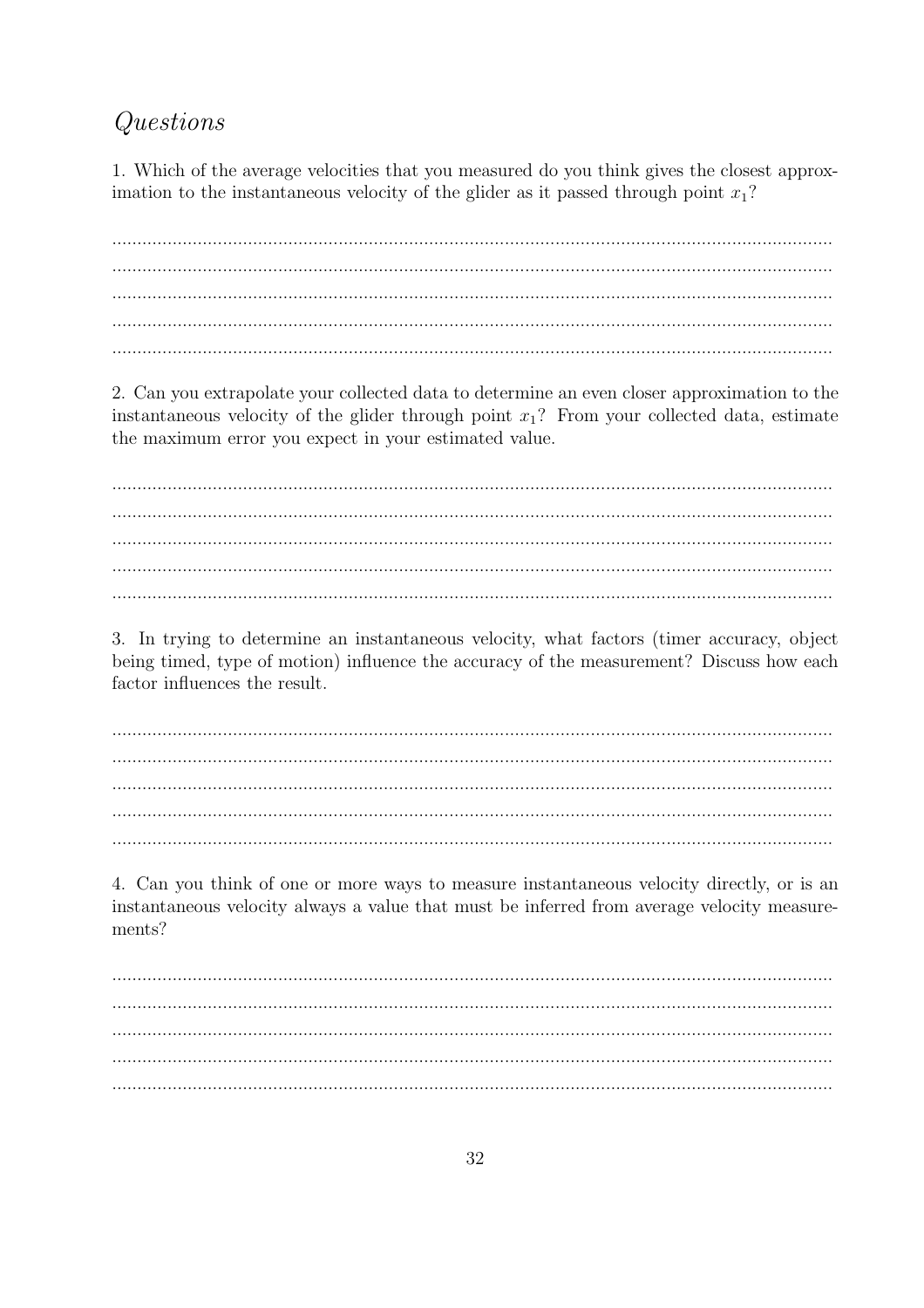## Questions

1. Which of the average velocities that you measured do you think gives the closest approximation to the instantaneous velocity of the glider as it passed through point  $x_1$ ?

2. Can you extrapolate your collected data to determine an even closer approximation to the instantaneous velocity of the glider through point  $x_1$ ? From your collected data, estimate the maximum error you expect in your estimated value.

3. In trying to determine an instantaneous velocity, what factors (timer accuracy, object being timed, type of motion) influence the accuracy of the measurement? Discuss how each factor influences the result.

4. Can you think of one or more ways to measure instantaneous velocity directly, or is an instantaneous velocity always a value that must be inferred from average velocity measurements?

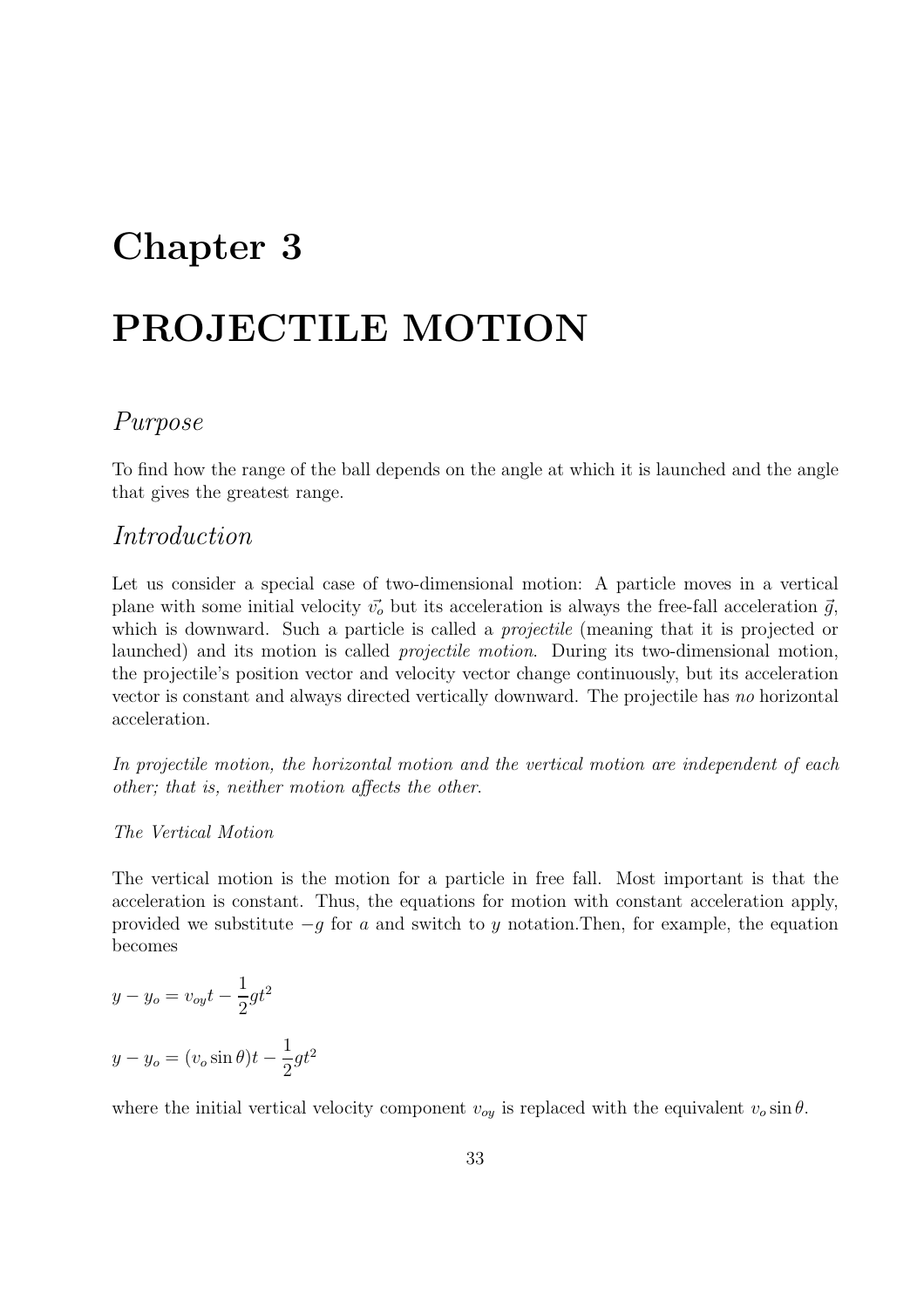## Chapter 3

## PROJECTILE MOTION

## Purpose

To find how the range of the ball depends on the angle at which it is launched and the angle that gives the greatest range.

### Introduction

Let us consider a special case of two-dimensional motion: A particle moves in a vertical plane with some initial velocity  $\vec{v}_o$  but its acceleration is always the free-fall acceleration  $\vec{g}$ , which is downward. Such a particle is called a *projectile* (meaning that it is projected or launched) and its motion is called projectile motion. During its two-dimensional motion, the projectile's position vector and velocity vector change continuously, but its acceleration vector is constant and always directed vertically downward. The projectile has no horizontal acceleration.

In projectile motion, the horizontal motion and the vertical motion are independent of each other; that is, neither motion affects the other.

#### The Vertical Motion

The vertical motion is the motion for a particle in free fall. Most important is that the acceleration is constant. Thus, the equations for motion with constant acceleration apply, provided we substitute  $-g$  for a and switch to y notation. Then, for example, the equation becomes

$$
y - y_o = v_{oy}t - \frac{1}{2}gt^2
$$

$$
y - y_o = (v_o \sin \theta)t - \frac{1}{2}gt^2
$$

where the initial vertical velocity component  $v_{oy}$  is replaced with the equivalent  $v_o \sin \theta$ .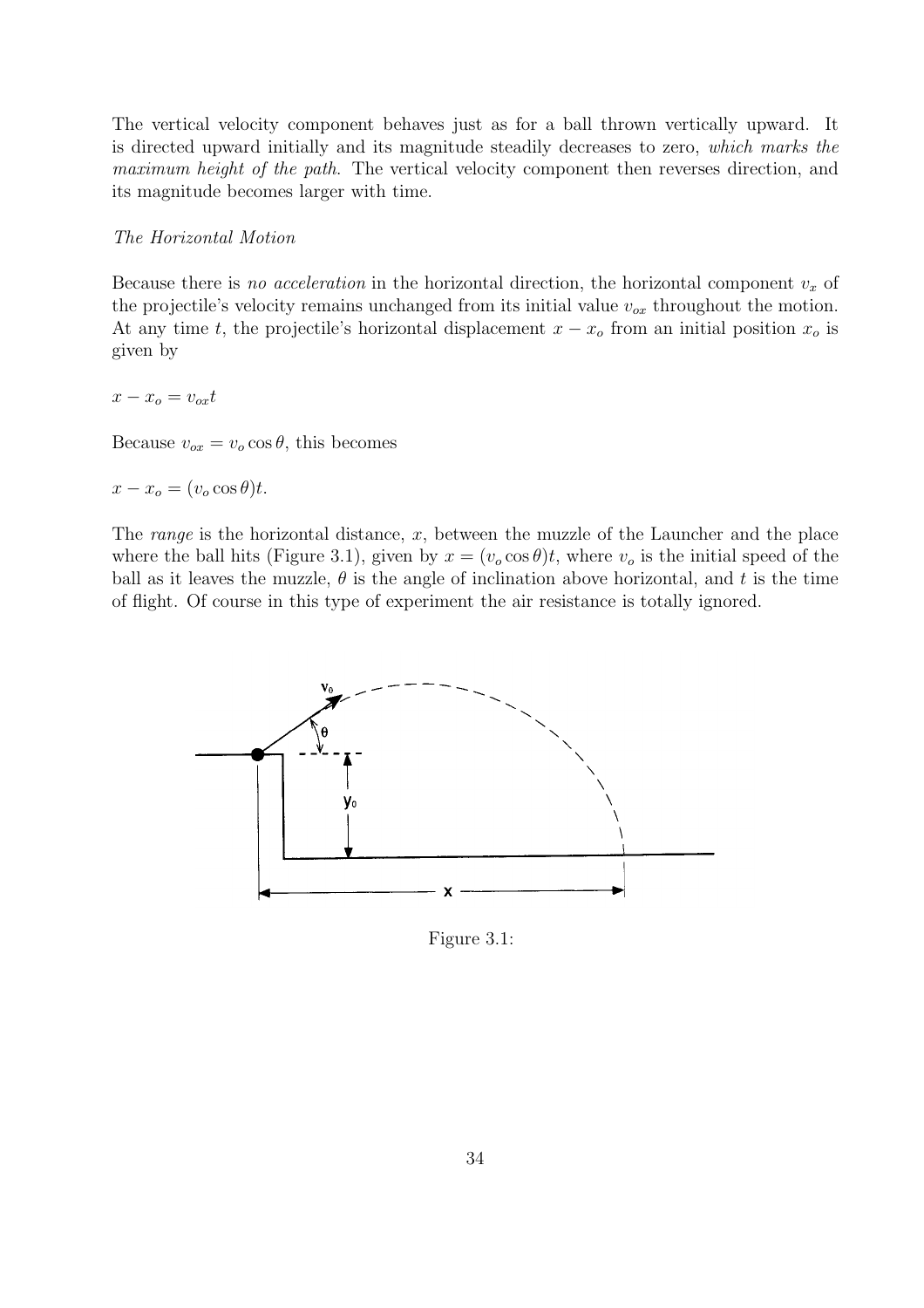The vertical velocity component behaves just as for a ball thrown vertically upward. It is directed upward initially and its magnitude steadily decreases to zero, which marks the maximum height of the path. The vertical velocity component then reverses direction, and its magnitude becomes larger with time.

#### The Horizontal Motion

Because there is no acceleration in the horizontal direction, the horizontal component  $v_x$  of the projectile's velocity remains unchanged from its initial value  $v_{ox}$  throughout the motion. At any time t, the projectile's horizontal displacement  $x - x<sub>o</sub>$  from an initial position  $x<sub>o</sub>$  is given by

 $x - x_o = v_{ox}t$ 

Because  $v_{ox} = v_o \cos \theta$ , this becomes

$$
x - x_o = (v_o \cos \theta)t.
$$

The *range* is the horizontal distance,  $x$ , between the muzzle of the Launcher and the place where the ball hits (Figure 3.1), given by  $x = (v_0 \cos \theta)t$ , where  $v_0$  is the initial speed of the ball as it leaves the muzzle,  $\theta$  is the angle of inclination above horizontal, and t is the time of flight. Of course in this type of experiment the air resistance is totally ignored.



Figure 3.1: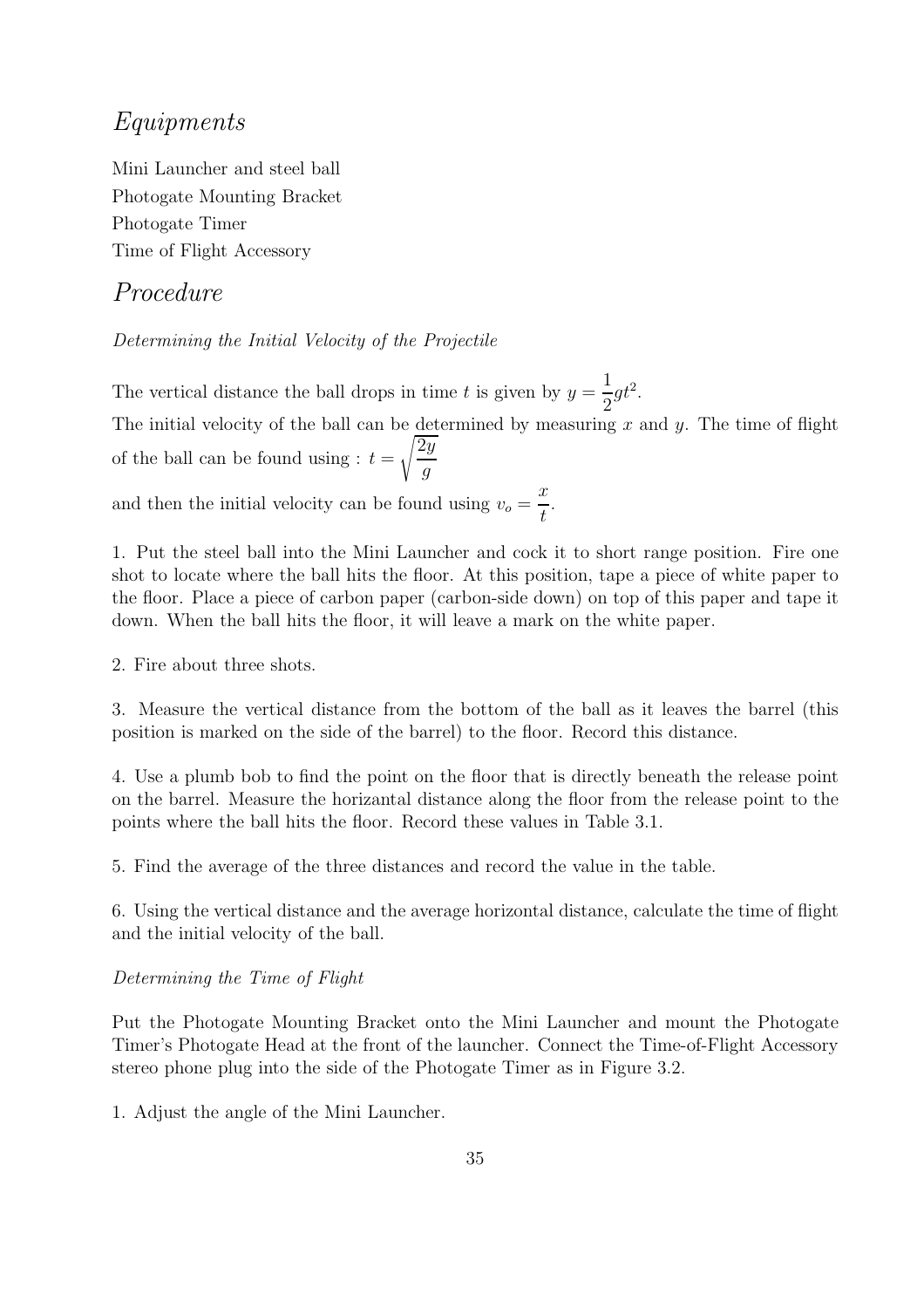### Equipments

Mini Launcher and steel ball Photogate Mounting Bracket Photogate Timer Time of Flight Accessory

## Procedure

Determining the Initial Velocity of the Projectile

The vertical distance the ball drops in time t is given by  $y =$ 1 2  $gt^2$ . The initial velocity of the ball can be determined by measuring x and y. The time of flight

of the ball can be found using  $: t =$  $\sqrt{2y}$ g

and then the initial velocity can be found using  $v_o =$  $\boldsymbol{x}$ t .

1. Put the steel ball into the Mini Launcher and cock it to short range position. Fire one shot to locate where the ball hits the floor. At this position, tape a piece of white paper to the floor. Place a piece of carbon paper (carbon-side down) on top of this paper and tape it down. When the ball hits the floor, it will leave a mark on the white paper.

2. Fire about three shots.

3. Measure the vertical distance from the bottom of the ball as it leaves the barrel (this position is marked on the side of the barrel) to the floor. Record this distance.

4. Use a plumb bob to find the point on the floor that is directly beneath the release point on the barrel. Measure the horizantal distance along the floor from the release point to the points where the ball hits the floor. Record these values in Table 3.1.

5. Find the average of the three distances and record the value in the table.

6. Using the vertical distance and the average horizontal distance, calculate the time of flight and the initial velocity of the ball.

#### Determining the Time of Flight

Put the Photogate Mounting Bracket onto the Mini Launcher and mount the Photogate Timer's Photogate Head at the front of the launcher. Connect the Time-of-Flight Accessory stereo phone plug into the side of the Photogate Timer as in Figure 3.2.

1. Adjust the angle of the Mini Launcher.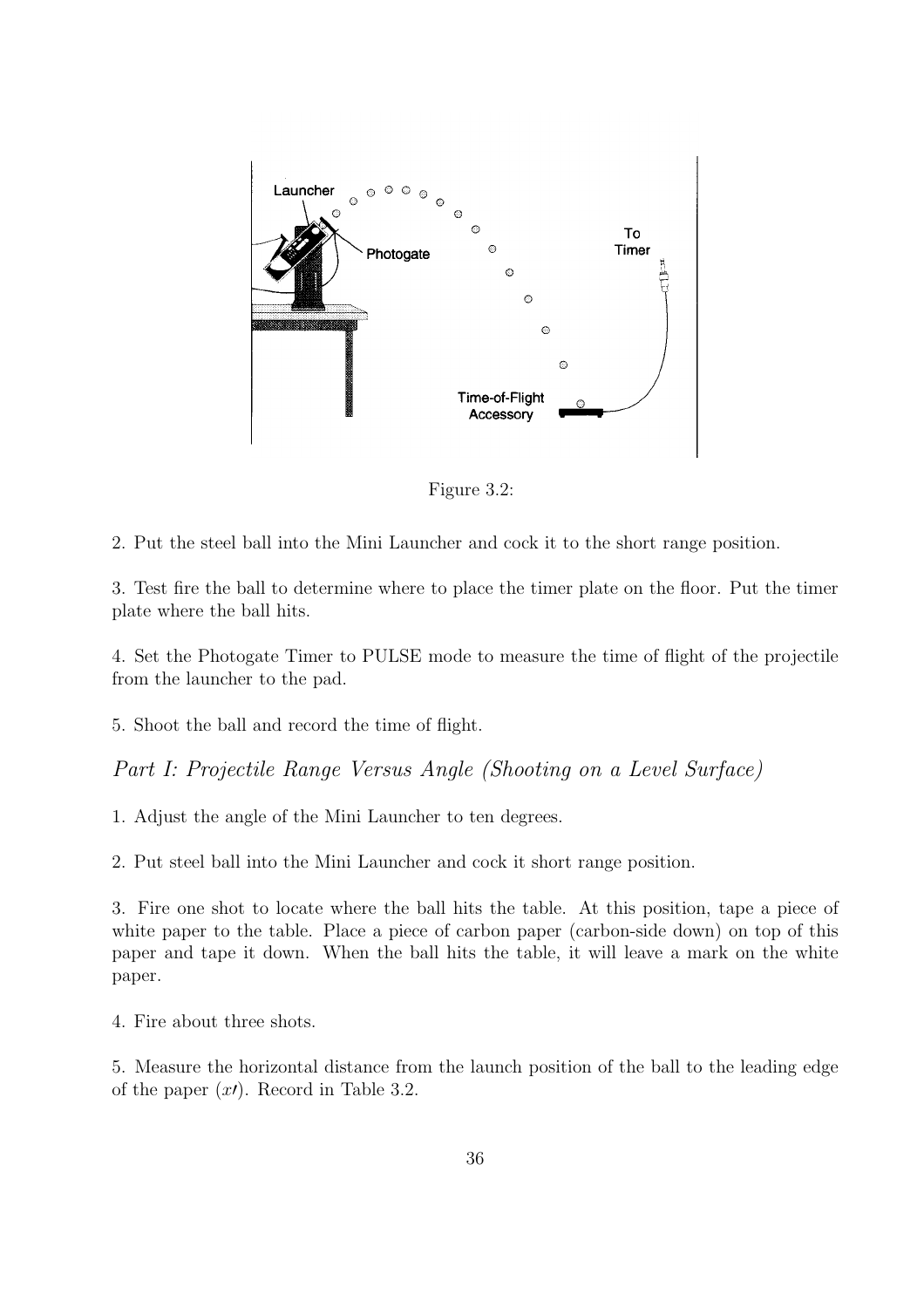

Figure 3.2:

2. Put the steel ball into the Mini Launcher and cock it to the short range position.

3. Test fire the ball to determine where to place the timer plate on the floor. Put the timer plate where the ball hits.

4. Set the Photogate Timer to PULSE mode to measure the time of flight of the projectile from the launcher to the pad.

5. Shoot the ball and record the time of flight.

Part I: Projectile Range Versus Angle (Shooting on a Level Surface)

1. Adjust the angle of the Mini Launcher to ten degrees.

2. Put steel ball into the Mini Launcher and cock it short range position.

3. Fire one shot to locate where the ball hits the table. At this position, tape a piece of white paper to the table. Place a piece of carbon paper (carbon-side down) on top of this paper and tape it down. When the ball hits the table, it will leave a mark on the white paper.

4. Fire about three shots.

5. Measure the horizontal distance from the launch position of the ball to the leading edge of the paper  $(x')$ . Record in Table 3.2.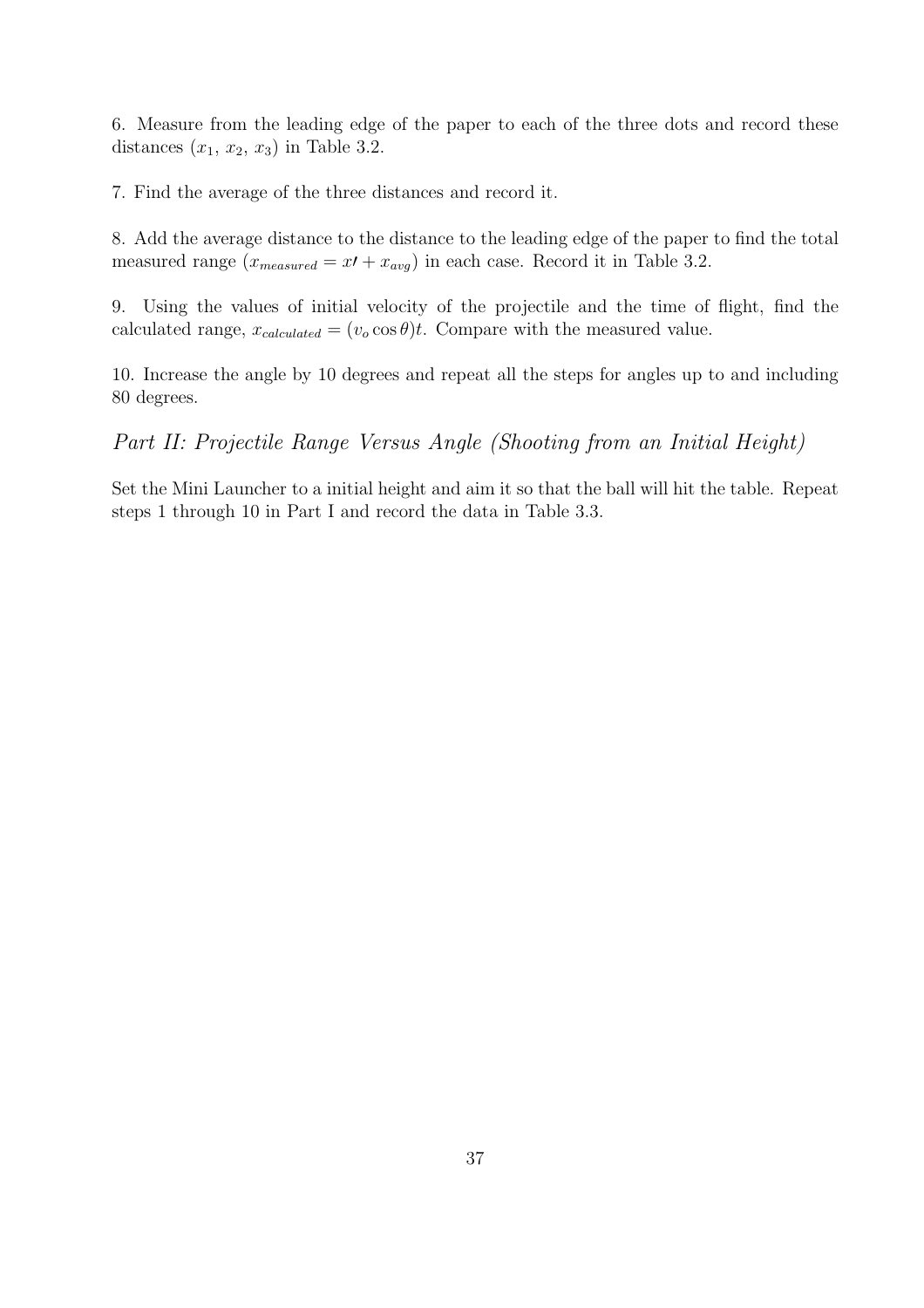6. Measure from the leading edge of the paper to each of the three dots and record these distances  $(x_1, x_2, x_3)$  in Table 3.2.

7. Find the average of the three distances and record it.

8. Add the average distance to the distance to the leading edge of the paper to find the total measured range  $(x_{measured} = x' + x_{avg})$  in each case. Record it in Table 3.2.

9. Using the values of initial velocity of the projectile and the time of flight, find the calculated range,  $x_{calculated} = (v_0 \cos \theta)t$ . Compare with the measured value.

10. Increase the angle by 10 degrees and repeat all the steps for angles up to and including 80 degrees.

Part II: Projectile Range Versus Angle (Shooting from an Initial Height)

Set the Mini Launcher to a initial height and aim it so that the ball will hit the table. Repeat steps 1 through 10 in Part I and record the data in Table 3.3.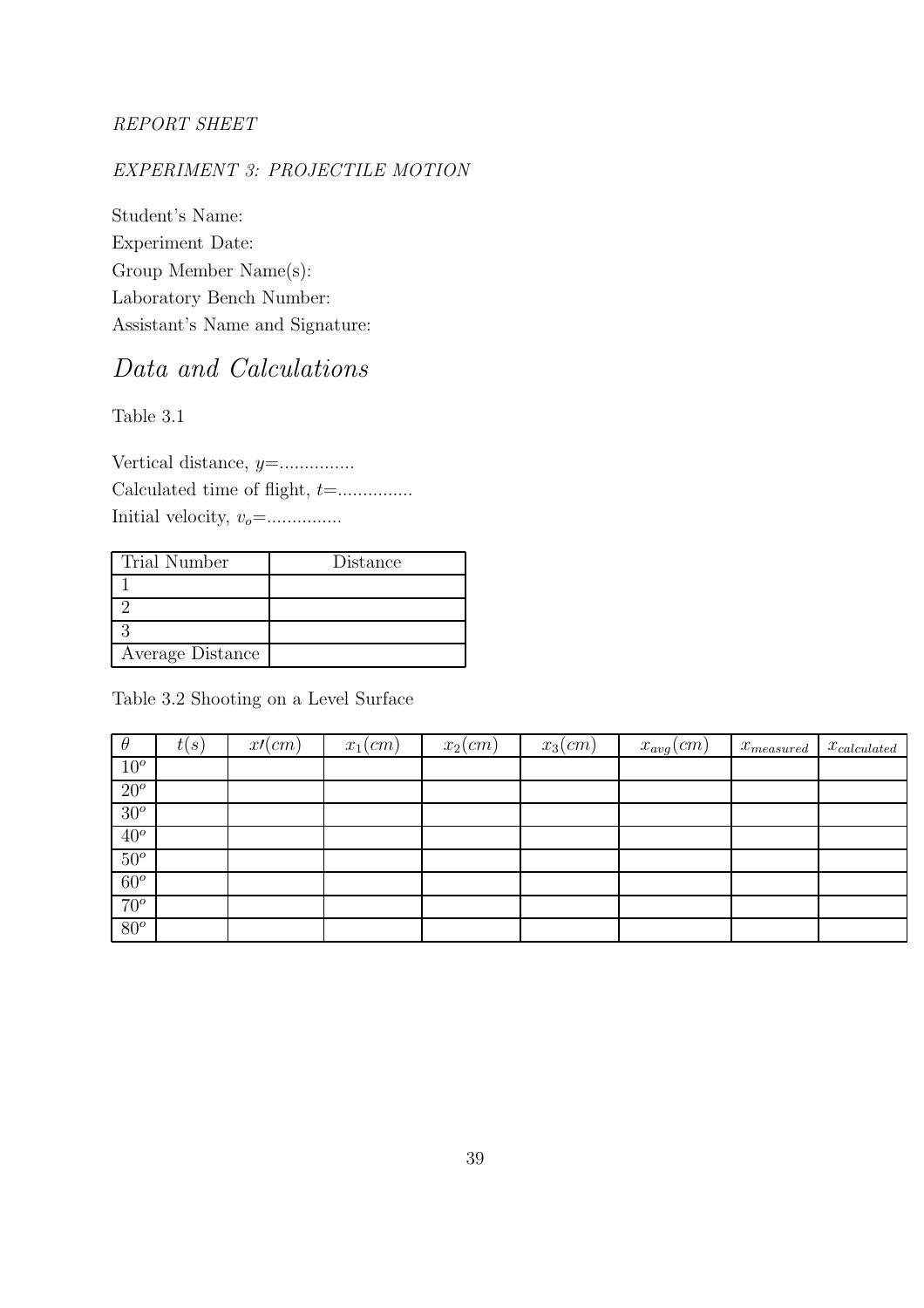#### REPORT SHEET

#### EXPERIMENT 3: PROJECTILE MOTION

Student's Name: Experiment Date: Group Member Name(s): Laboratory Bench Number: Assistant's Name and Signature:

## Data and Calculations

Table 3.1

Vertical distance, y=............... Calculated time of flight, t=............... Initial velocity, vo=...............

| Trial Number     | Distance |
|------------------|----------|
|                  |          |
|                  |          |
|                  |          |
| Average Distance |          |

Table 3.2 Shooting on a Level Surface

| $\theta$   | t(s) | x/(cm) | $x_1$ (cm) | $x_2$ (cm) | $x_3$ (cm) | $x_{avg}(cm)$ | $x_{measured}$ | $x_{calculated}$ |
|------------|------|--------|------------|------------|------------|---------------|----------------|------------------|
| $10^o$     |      |        |            |            |            |               |                |                  |
| $20^o$     |      |        |            |            |            |               |                |                  |
| $30^o$     |      |        |            |            |            |               |                |                  |
| $40^o$     |      |        |            |            |            |               |                |                  |
| $50^\circ$ |      |        |            |            |            |               |                |                  |
| $60^o$     |      |        |            |            |            |               |                |                  |
| $70^o$     |      |        |            |            |            |               |                |                  |
| $80^o$     |      |        |            |            |            |               |                |                  |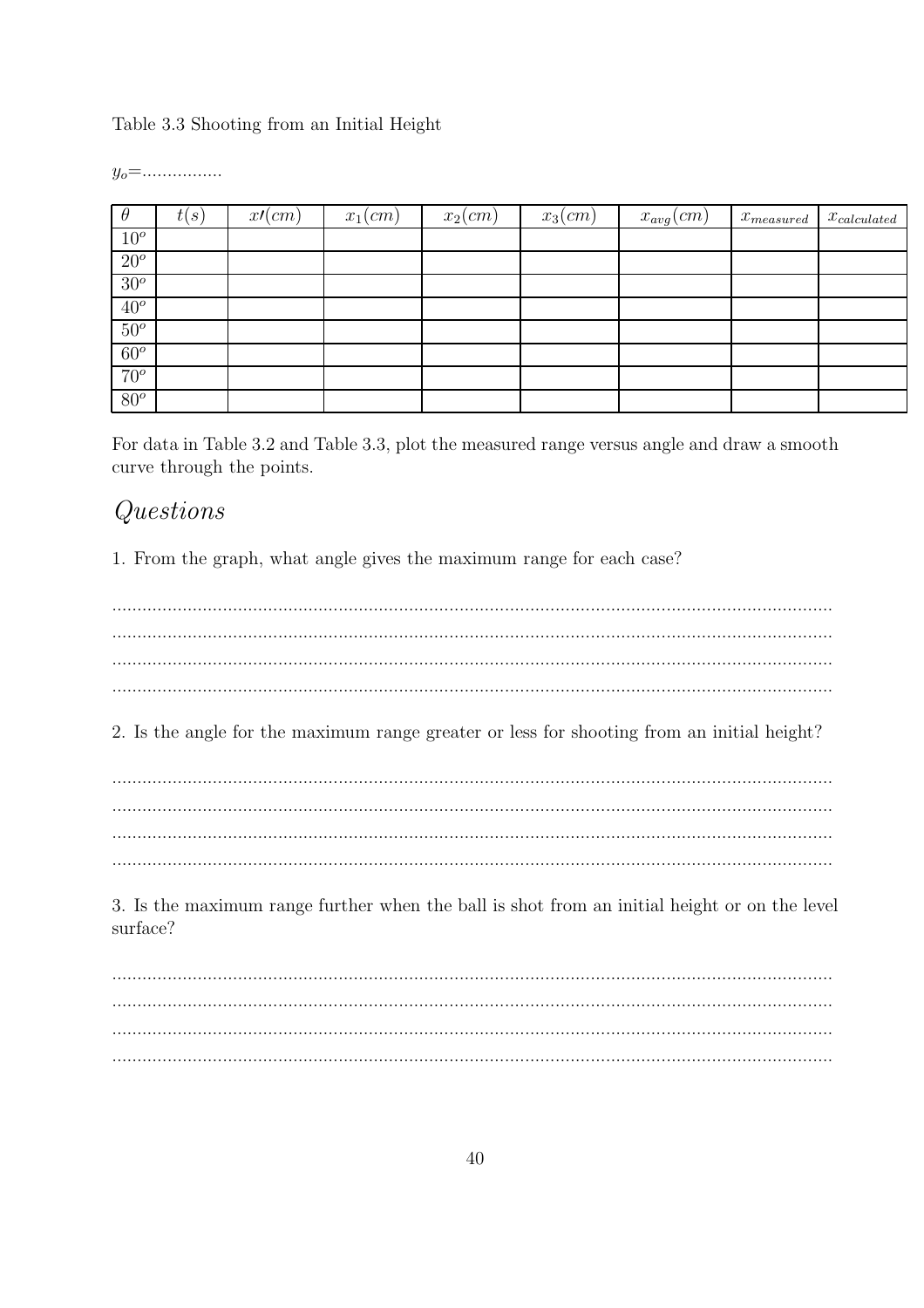Table 3.3 Shooting from an Initial Height

 $y_o =$ ................

| $\theta$ | (s)<br>t( | x/(cm) | $x_1$ (cm) | $x_2$ (cm) | $x_3$ (cm) | $x_{avg}(cm)$ | $x_{measured}$ | $x_{calculated}$ |
|----------|-----------|--------|------------|------------|------------|---------------|----------------|------------------|
| $10^o$   |           |        |            |            |            |               |                |                  |
| $20^o$   |           |        |            |            |            |               |                |                  |
| $30^o$   |           |        |            |            |            |               |                |                  |
| $40^o$   |           |        |            |            |            |               |                |                  |
| $50^o$   |           |        |            |            |            |               |                |                  |
| $60^o$   |           |        |            |            |            |               |                |                  |
| $70^o$   |           |        |            |            |            |               |                |                  |
| $80^o$   |           |        |            |            |            |               |                |                  |

For data in Table 3.2 and Table 3.3, plot the measured range versus angle and draw a smooth curve through the points.

## $Questions$

1. From the graph, what angle gives the maximum range for each case?

2. Is the angle for the maximum range greater or less for shooting from an initial height?

3. Is the maximum range further when the ball is shot from an initial height or on the level surface?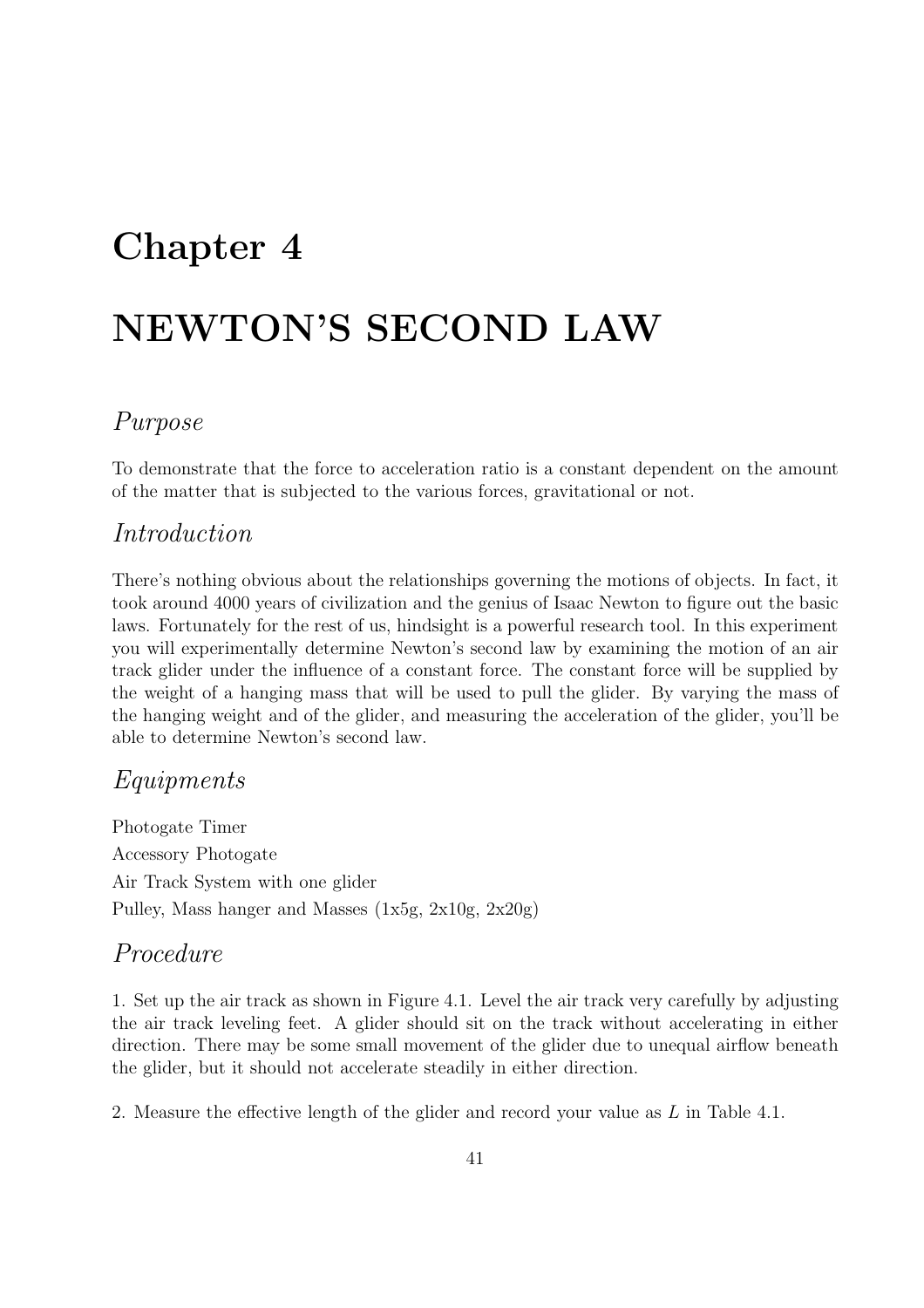## Chapter 4

# NEWTON'S SECOND LAW

### Purpose

To demonstrate that the force to acceleration ratio is a constant dependent on the amount of the matter that is subjected to the various forces, gravitational or not.

#### Introduction

There's nothing obvious about the relationships governing the motions of objects. In fact, it took around 4000 years of civilization and the genius of Isaac Newton to figure out the basic laws. Fortunately for the rest of us, hindsight is a powerful research tool. In this experiment you will experimentally determine Newton's second law by examining the motion of an air track glider under the influence of a constant force. The constant force will be supplied by the weight of a hanging mass that will be used to pull the glider. By varying the mass of the hanging weight and of the glider, and measuring the acceleration of the glider, you'll be able to determine Newton's second law.

#### Equipments

Photogate Timer Accessory Photogate Air Track System with one glider Pulley, Mass hanger and Masses (1x5g, 2x10g, 2x20g)

#### Procedure

1. Set up the air track as shown in Figure 4.1. Level the air track very carefully by adjusting the air track leveling feet. A glider should sit on the track without accelerating in either direction. There may be some small movement of the glider due to unequal airflow beneath the glider, but it should not accelerate steadily in either direction.

2. Measure the effective length of the glider and record your value as L in Table 4.1.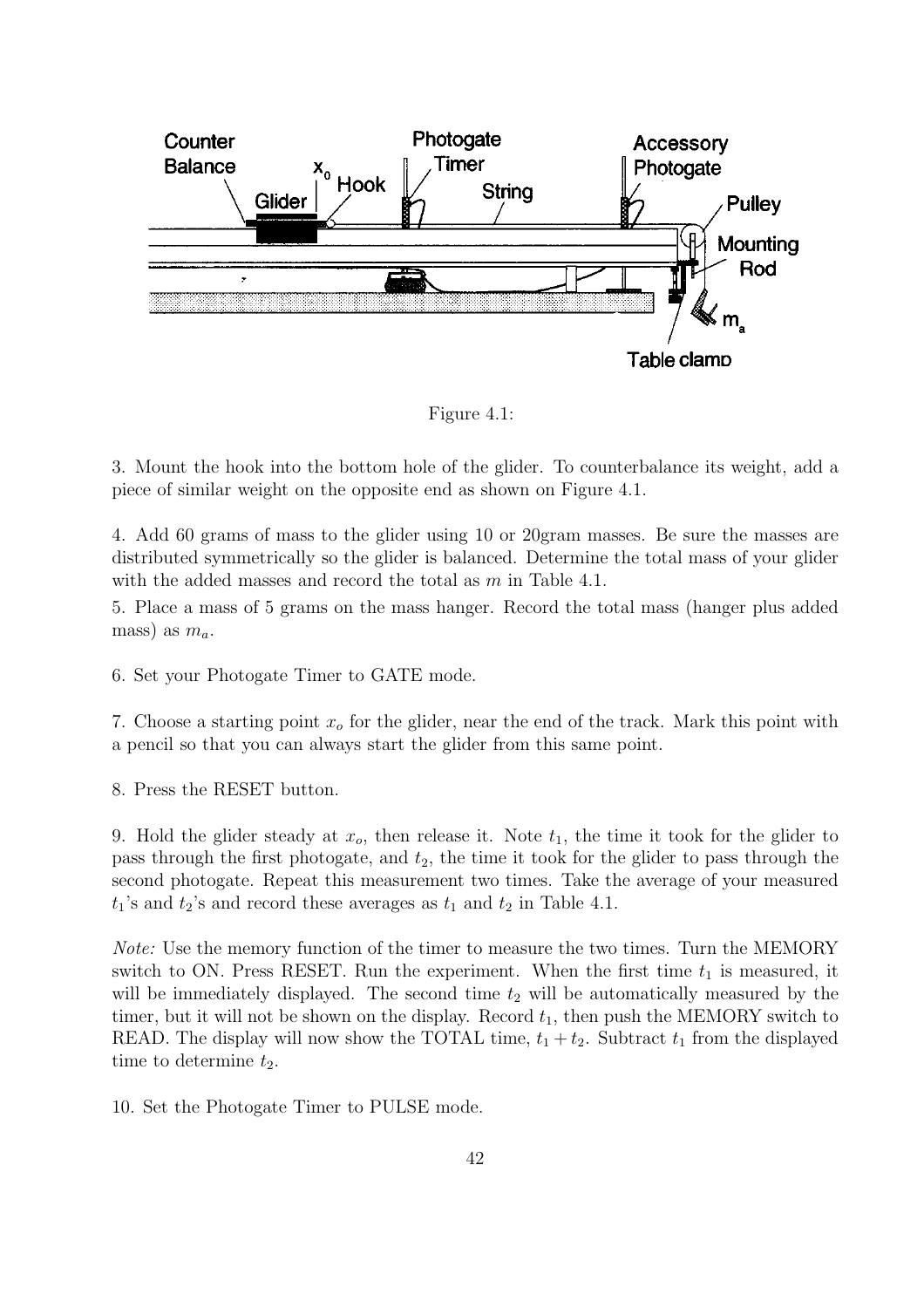

Figure 4.1:

3. Mount the hook into the bottom hole of the glider. To counterbalance its weight, add a piece of similar weight on the opposite end as shown on Figure 4.1.

4. Add 60 grams of mass to the glider using 10 or 20gram masses. Be sure the masses are distributed symmetrically so the glider is balanced. Determine the total mass of your glider with the added masses and record the total as  $m$  in Table 4.1.

5. Place a mass of 5 grams on the mass hanger. Record the total mass (hanger plus added mass) as  $m_a$ .

6. Set your Photogate Timer to GATE mode.

7. Choose a starting point  $x<sub>o</sub>$  for the glider, near the end of the track. Mark this point with a pencil so that you can always start the glider from this same point.

8. Press the RESET button.

9. Hold the glider steady at  $x_o$ , then release it. Note  $t_1$ , the time it took for the glider to pass through the first photogate, and  $t_2$ , the time it took for the glider to pass through the second photogate. Repeat this measurement two times. Take the average of your measured  $t_1$ 's and  $t_2$ 's and record these averages as  $t_1$  and  $t_2$  in Table 4.1.

Note: Use the memory function of the timer to measure the two times. Turn the MEMORY switch to ON. Press RESET. Run the experiment. When the first time  $t_1$  is measured, it will be immediately displayed. The second time  $t_2$  will be automatically measured by the timer, but it will not be shown on the display. Record  $t_1$ , then push the MEMORY switch to READ. The display will now show the TOTAL time,  $t_1 + t_2$ . Subtract  $t_1$  from the displayed time to determine  $t_2$ .

10. Set the Photogate Timer to PULSE mode.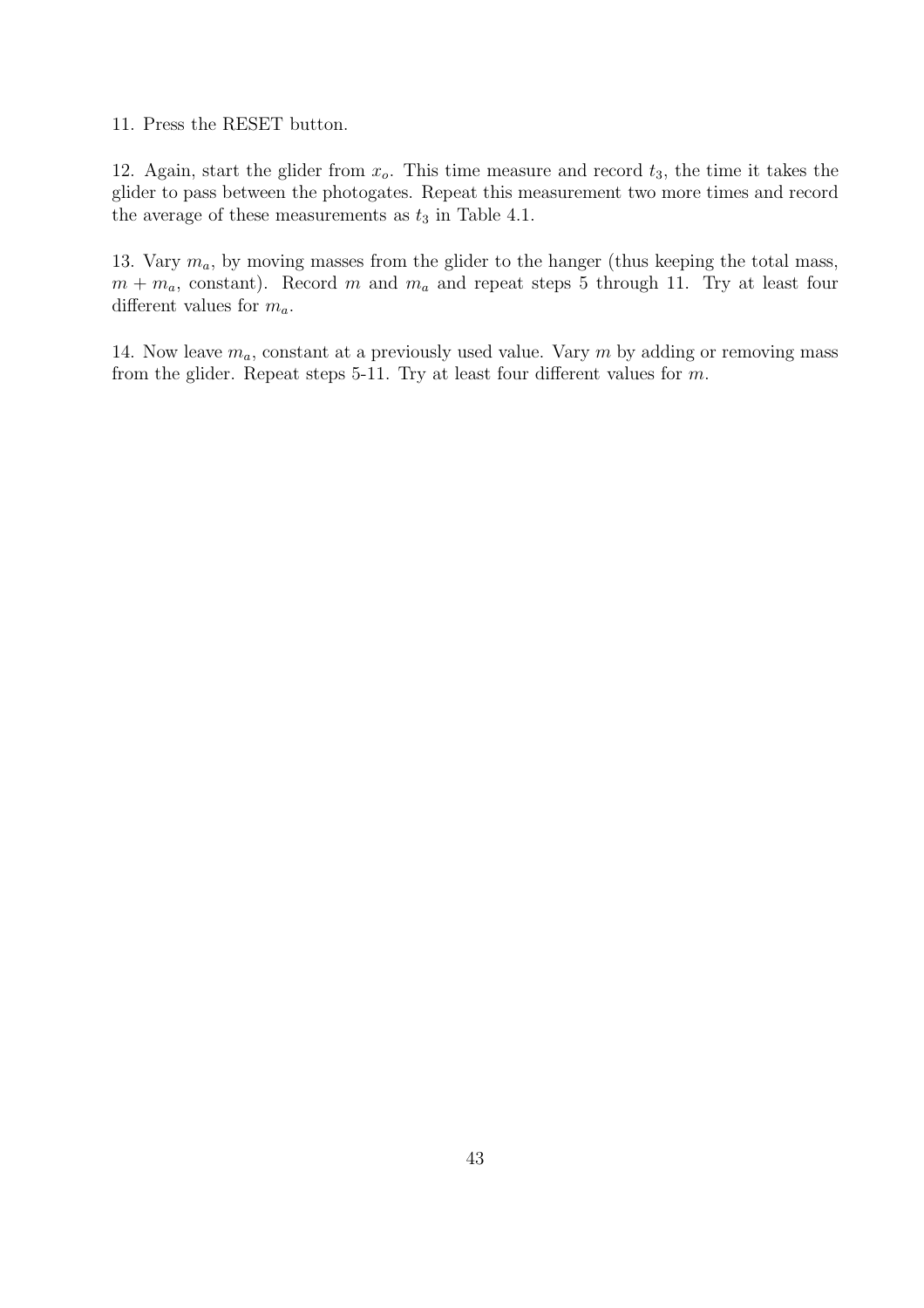11. Press the RESET button.

12. Again, start the glider from  $x<sub>o</sub>$ . This time measure and record  $t<sub>3</sub>$ , the time it takes the glider to pass between the photogates. Repeat this measurement two more times and record the average of these measurements as  $t_3$  in Table 4.1.

13. Vary  $m_a$ , by moving masses from the glider to the hanger (thus keeping the total mass,  $m + m_a$ , constant). Record m and  $m_a$  and repeat steps 5 through 11. Try at least four different values for  $m_a$ .

14. Now leave  $m_a$ , constant at a previously used value. Vary m by adding or removing mass from the glider. Repeat steps 5-11. Try at least four different values for  $m$ .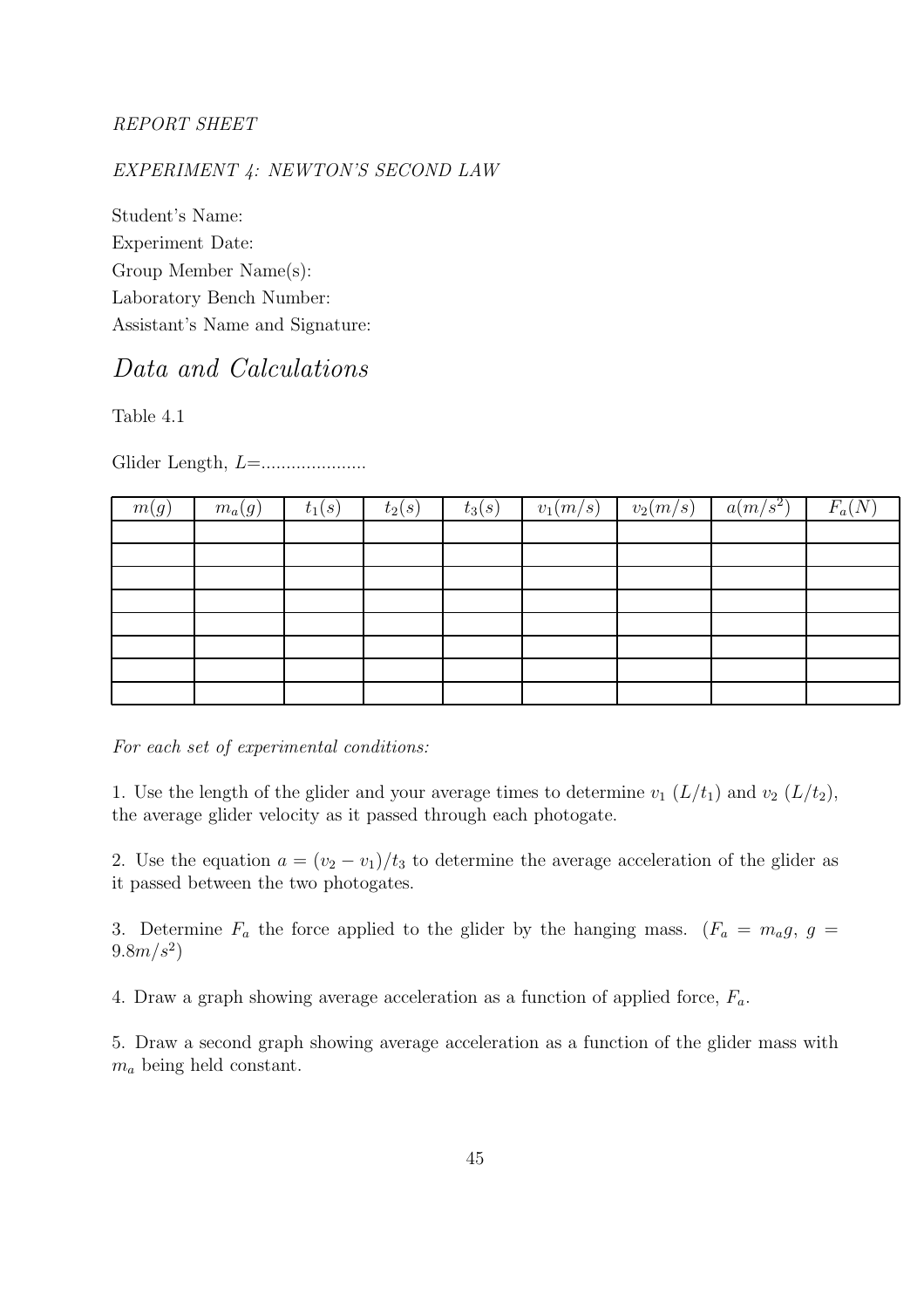#### REPORT SHEET

#### EXPERIMENT 4: NEWTON'S SECOND LAW

Student's Name: Experiment Date: Group Member Name(s): Laboratory Bench Number: Assistant's Name and Signature:

## Data and Calculations

Table 4.1

Glider Length, L=.....................

| m(g) | $m_a(g)$ | $t_1(s)$ | $t_2(s)$ | $t_3(s)$ | $v_1(m/s)$ | $v_2(m/s)$ | $a(m/s^2)$ | $F_a(I)$ |
|------|----------|----------|----------|----------|------------|------------|------------|----------|
|      |          |          |          |          |            |            |            |          |
|      |          |          |          |          |            |            |            |          |
|      |          |          |          |          |            |            |            |          |
|      |          |          |          |          |            |            |            |          |
|      |          |          |          |          |            |            |            |          |
|      |          |          |          |          |            |            |            |          |
|      |          |          |          |          |            |            |            |          |
|      |          |          |          |          |            |            |            |          |

For each set of experimental conditions:

1. Use the length of the glider and your average times to determine  $v_1(L/t_1)$  and  $v_2(L/t_2)$ , the average glider velocity as it passed through each photogate.

2. Use the equation  $a = (v_2 - v_1)/t_3$  to determine the average acceleration of the glider as it passed between the two photogates.

3. Determine  $F_a$  the force applied to the glider by the hanging mass.  $(F_a = m_a g, g =$  $9.8 m/s^2$ 

4. Draw a graph showing average acceleration as a function of applied force,  $F_a$ .

5. Draw a second graph showing average acceleration as a function of the glider mass with  $m_a$  being held constant.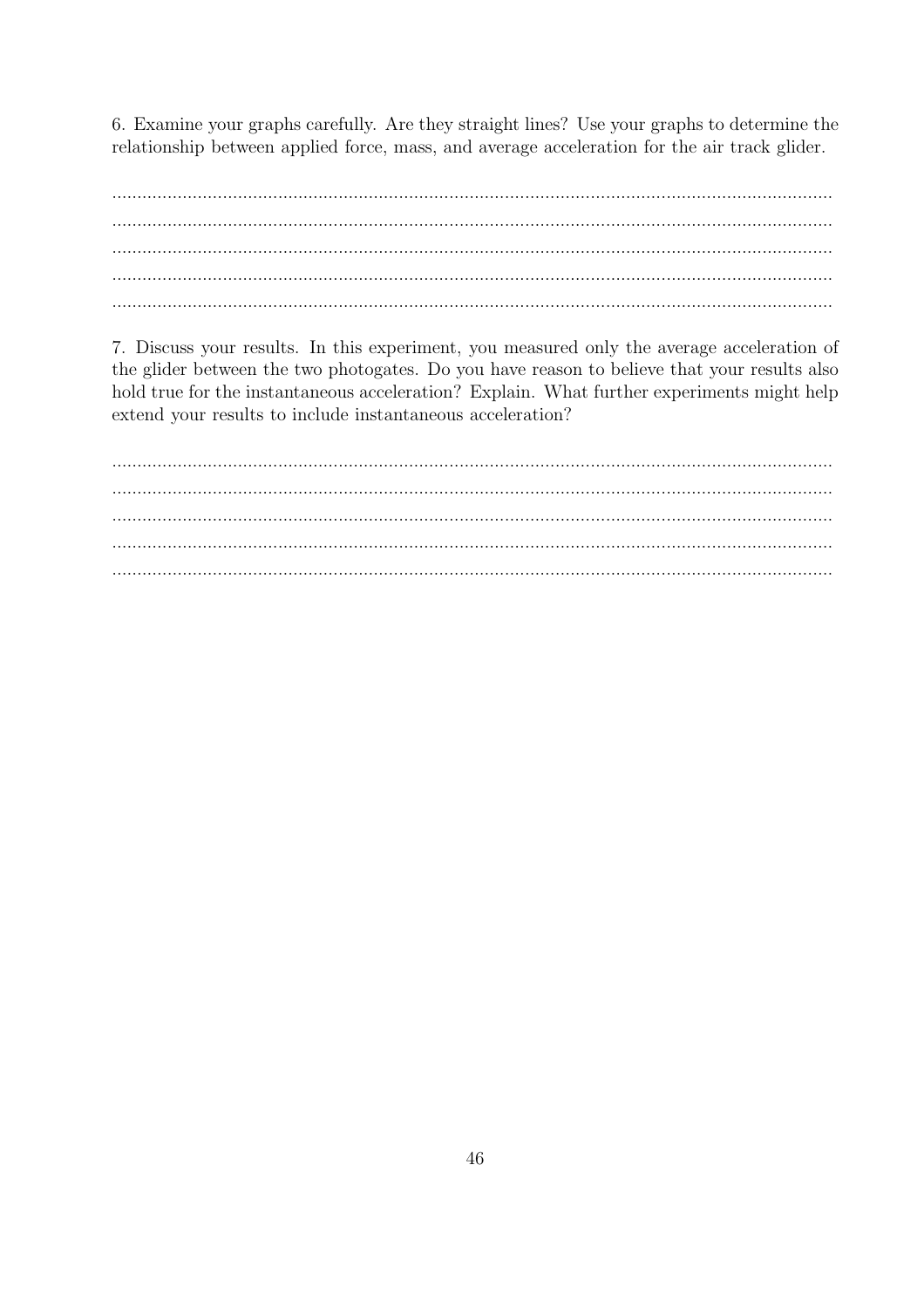6. Examine your graphs carefully. Are they straight lines? Use your graphs to determine the relationship between applied force, mass, and average acceleration for the air track glider.

 $\ddotsc$  $\ddotsc$ 

7. Discuss your results. In this experiment, you measured only the average acceleration of the glider between the two photogates. Do you have reason to believe that your results also hold true for the instantaneous acceleration? Explain. What further experiments might help extend your results to include instantaneous acceleration?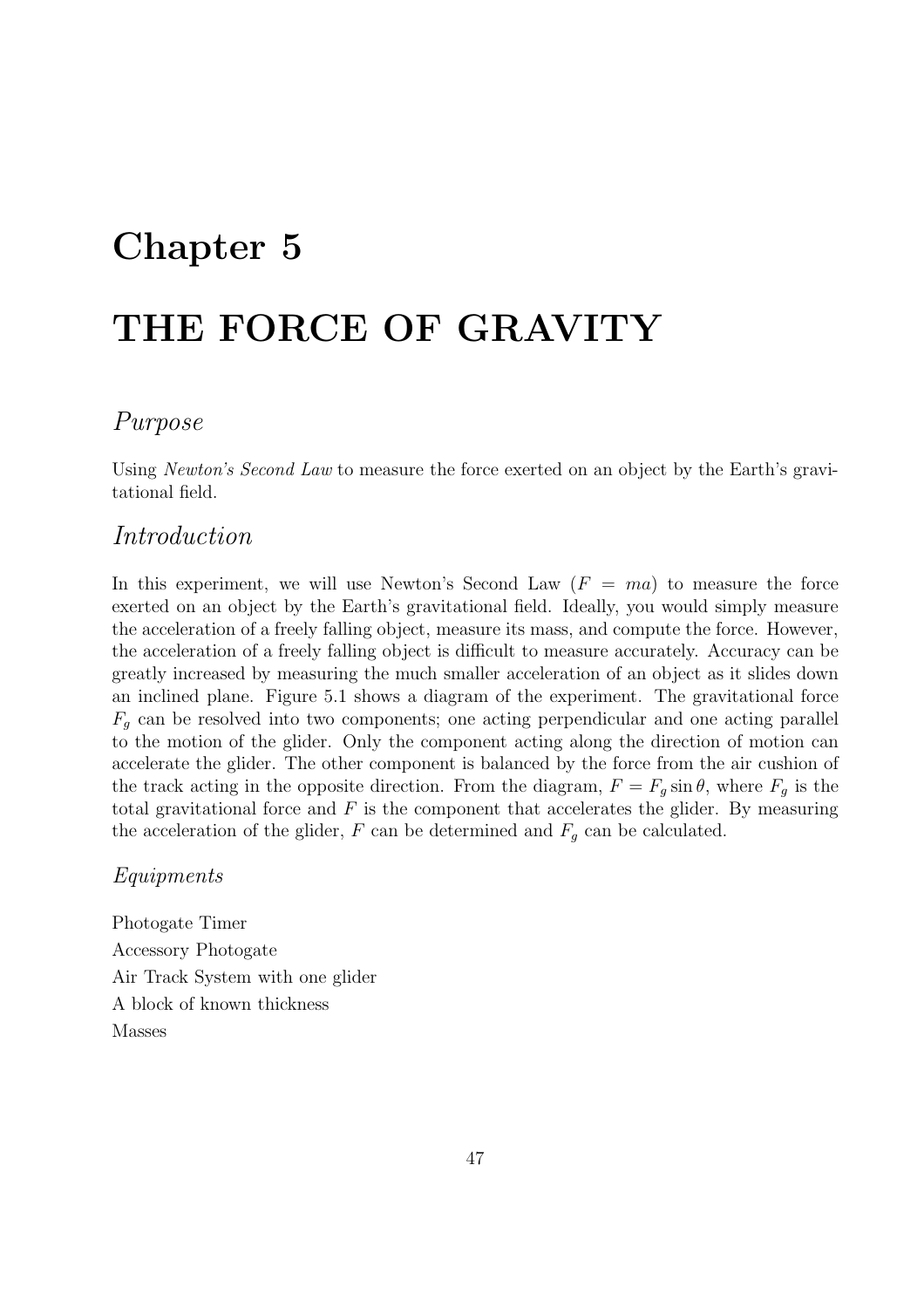## Chapter 5

# THE FORCE OF GRAVITY

### Purpose

Using Newton's Second Law to measure the force exerted on an object by the Earth's gravitational field.

#### Introduction

In this experiment, we will use Newton's Second Law  $(F = ma)$  to measure the force exerted on an object by the Earth's gravitational field. Ideally, you would simply measure the acceleration of a freely falling object, measure its mass, and compute the force. However, the acceleration of a freely falling object is difficult to measure accurately. Accuracy can be greatly increased by measuring the much smaller acceleration of an object as it slides down an inclined plane. Figure 5.1 shows a diagram of the experiment. The gravitational force  $F_q$  can be resolved into two components; one acting perpendicular and one acting parallel to the motion of the glider. Only the component acting along the direction of motion can accelerate the glider. The other component is balanced by the force from the air cushion of the track acting in the opposite direction. From the diagram,  $F = F<sub>g</sub> \sin \theta$ , where  $F<sub>g</sub>$  is the total gravitational force and  $F$  is the component that accelerates the glider. By measuring the acceleration of the glider,  $F$  can be determined and  $F_g$  can be calculated.

#### Equipments

Photogate Timer Accessory Photogate Air Track System with one glider A block of known thickness Masses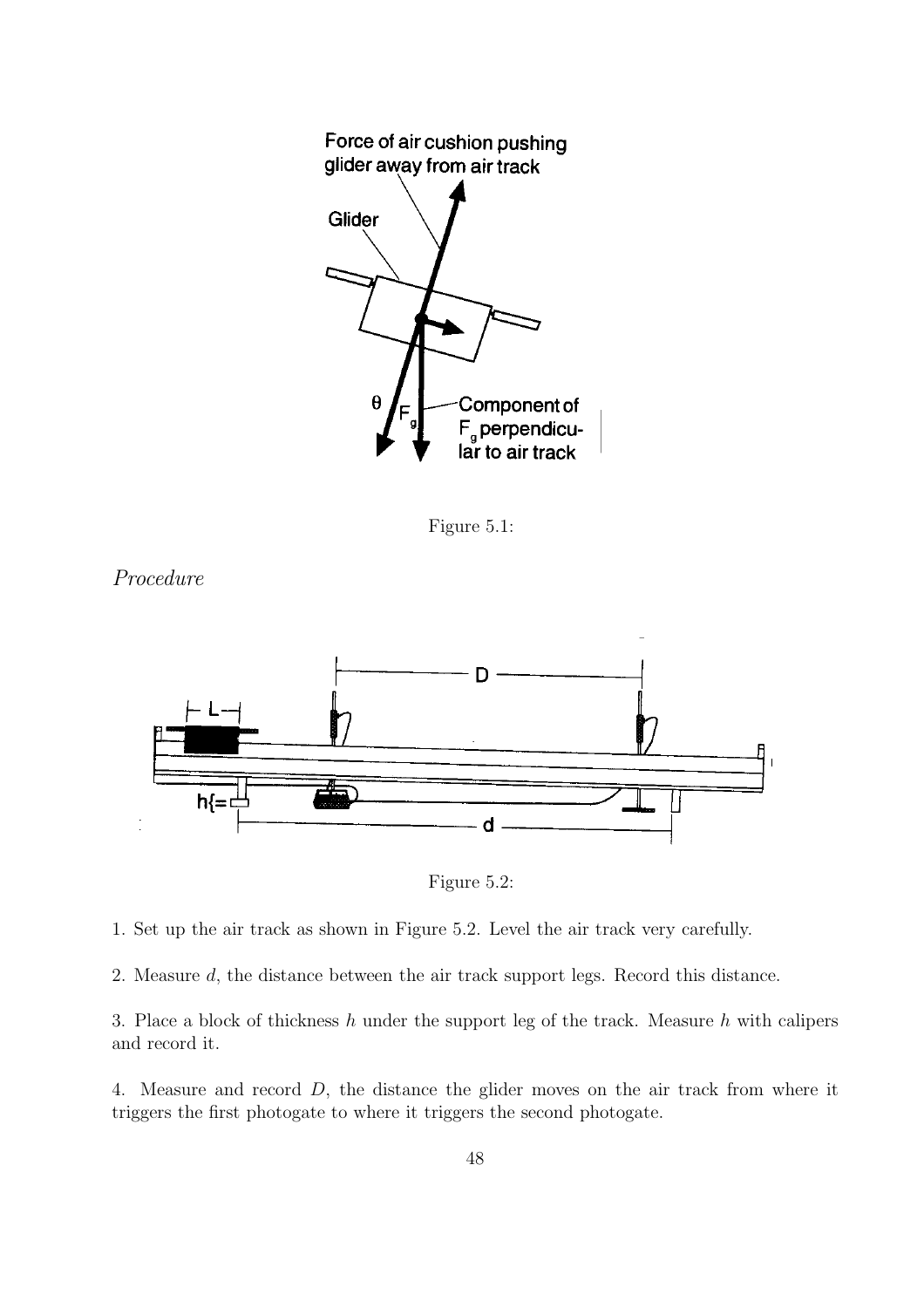

Figure 5.1:





Figure 5.2:

- 1. Set up the air track as shown in Figure 5.2. Level the air track very carefully.
- 2. Measure d, the distance between the air track support legs. Record this distance.

3. Place a block of thickness  $h$  under the support leg of the track. Measure  $h$  with calipers and record it.

4. Measure and record D, the distance the glider moves on the air track from where it triggers the first photogate to where it triggers the second photogate.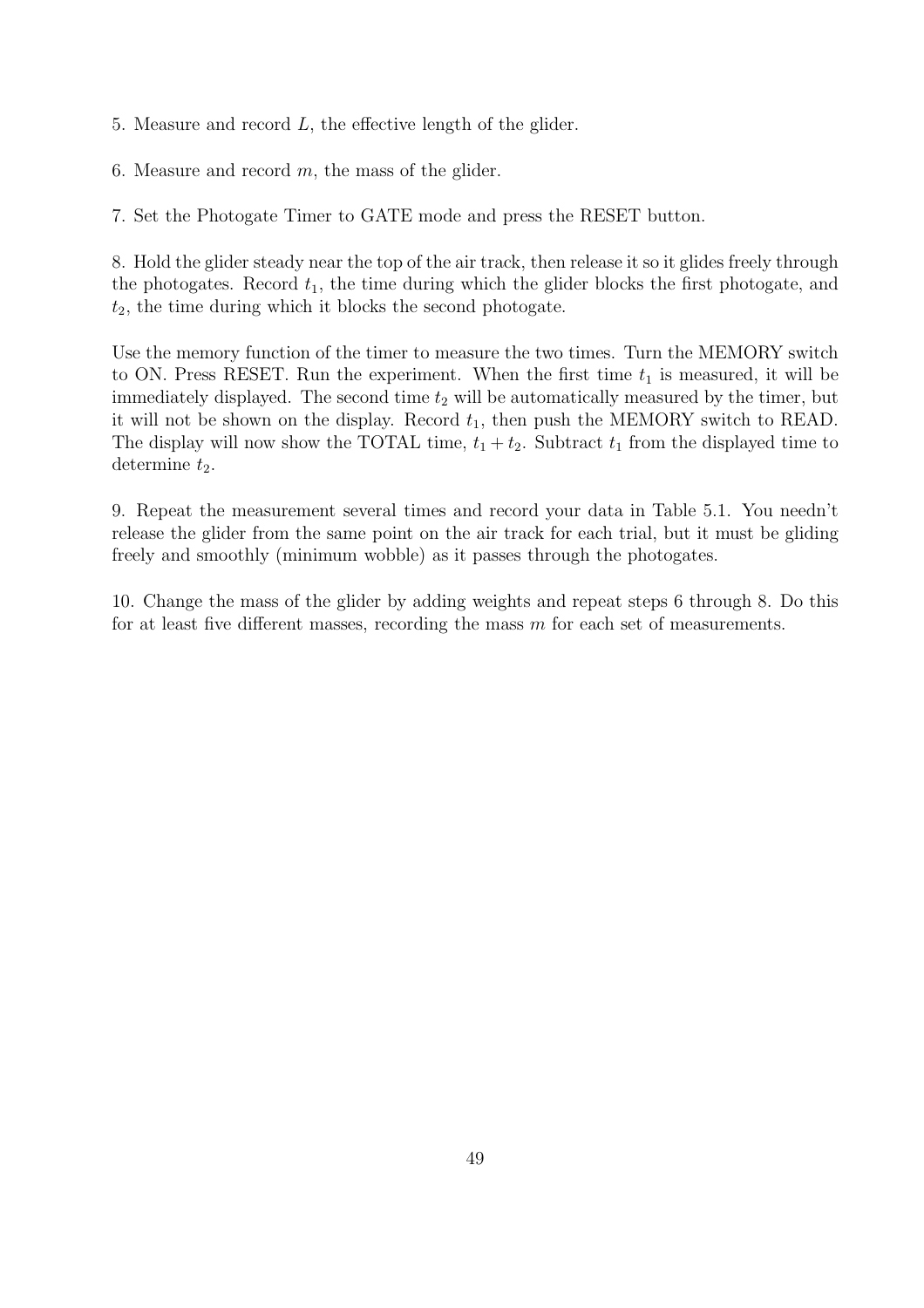5. Measure and record L, the effective length of the glider.

6. Measure and record  $m$ , the mass of the glider.

7. Set the Photogate Timer to GATE mode and press the RESET button.

8. Hold the glider steady near the top of the air track, then release it so it glides freely through the photogates. Record  $t_1$ , the time during which the glider blocks the first photogate, and  $t_2$ , the time during which it blocks the second photogate.

Use the memory function of the timer to measure the two times. Turn the MEMORY switch to ON. Press RESET. Run the experiment. When the first time  $t_1$  is measured, it will be immediately displayed. The second time  $t_2$  will be automatically measured by the timer, but it will not be shown on the display. Record  $t_1$ , then push the MEMORY switch to READ. The display will now show the TOTAL time,  $t_1 + t_2$ . Subtract  $t_1$  from the displayed time to determine  $t_2$ .

9. Repeat the measurement several times and record your data in Table 5.1. You needn't release the glider from the same point on the air track for each trial, but it must be gliding freely and smoothly (minimum wobble) as it passes through the photogates.

10. Change the mass of the glider by adding weights and repeat steps 6 through 8. Do this for at least five different masses, recording the mass  $m$  for each set of measurements.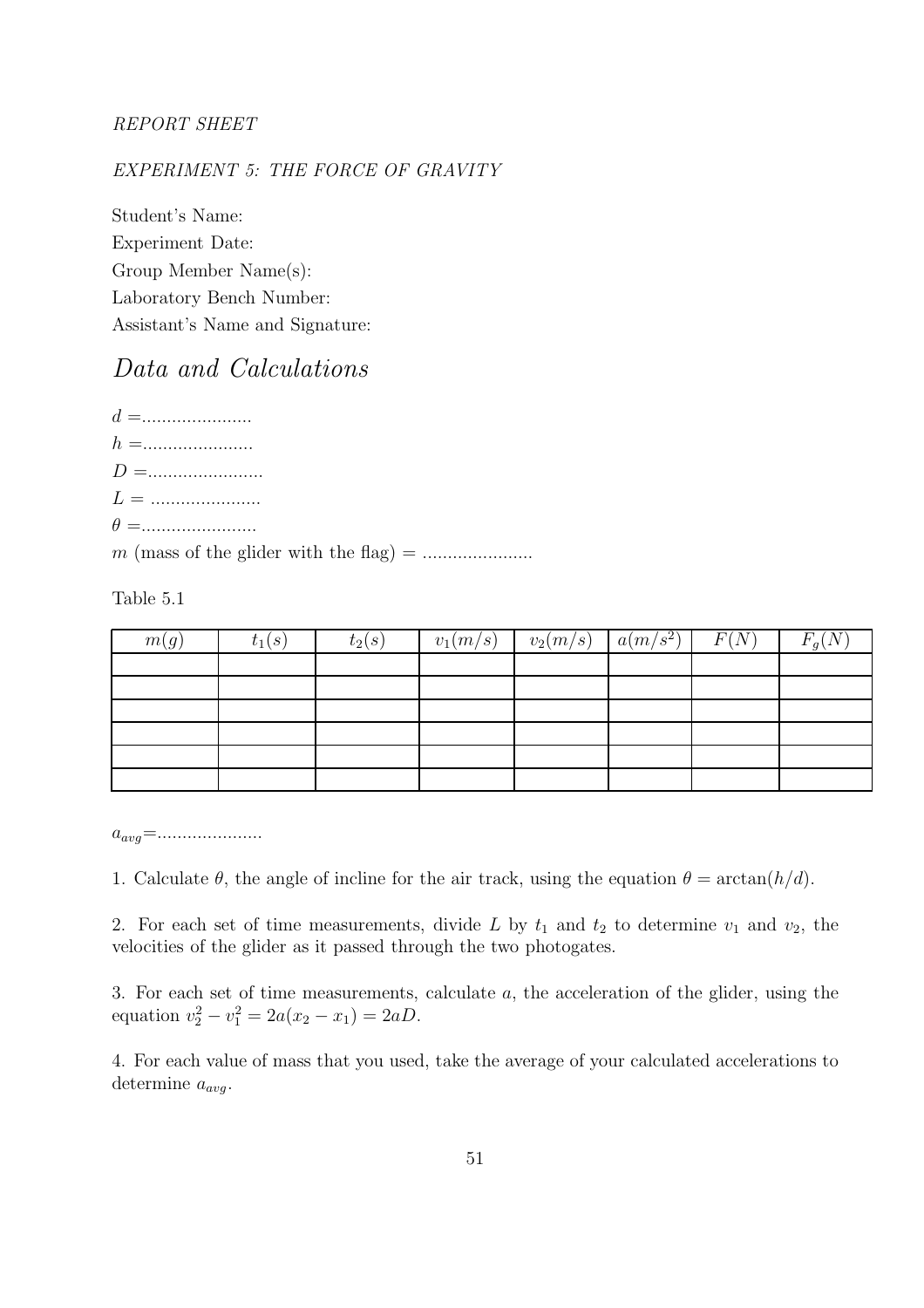#### REPORT SHEET

#### EXPERIMENT 5: THE FORCE OF GRAVITY

Student's Name: Experiment Date: Group Member Name(s): Laboratory Bench Number: Assistant's Name and Signature:

## Data and Calculations

d =...................... h =...................... D =....................... L = ...................... θ =.......................

m (mass of the glider with the flag) = ......................

Table 5.1

| m(g) | $t_1(s)$ | $t_2(s)$ | $v_1(m/s)$ | $v_2(m/s)$ | $a(m/s^2)$ | F(N) | $F_g(N)$ |
|------|----------|----------|------------|------------|------------|------|----------|
|      |          |          |            |            |            |      |          |
|      |          |          |            |            |            |      |          |
|      |          |          |            |            |            |      |          |
|      |          |          |            |            |            |      |          |
|      |          |          |            |            |            |      |          |
|      |          |          |            |            |            |      |          |

 $a_{avg} = \dots \dots \dots \dots \dots$ 

1. Calculate  $\theta$ , the angle of incline for the air track, using the equation  $\theta = \arctan(h/d)$ .

2. For each set of time measurements, divide L by  $t_1$  and  $t_2$  to determine  $v_1$  and  $v_2$ , the velocities of the glider as it passed through the two photogates.

3. For each set of time measurements, calculate a, the acceleration of the glider, using the equation  $v_2^2 - v_1^2 = 2a(x_2 - x_1) = 2aD$ .

4. For each value of mass that you used, take the average of your calculated accelerations to determine  $a_{avg}$ .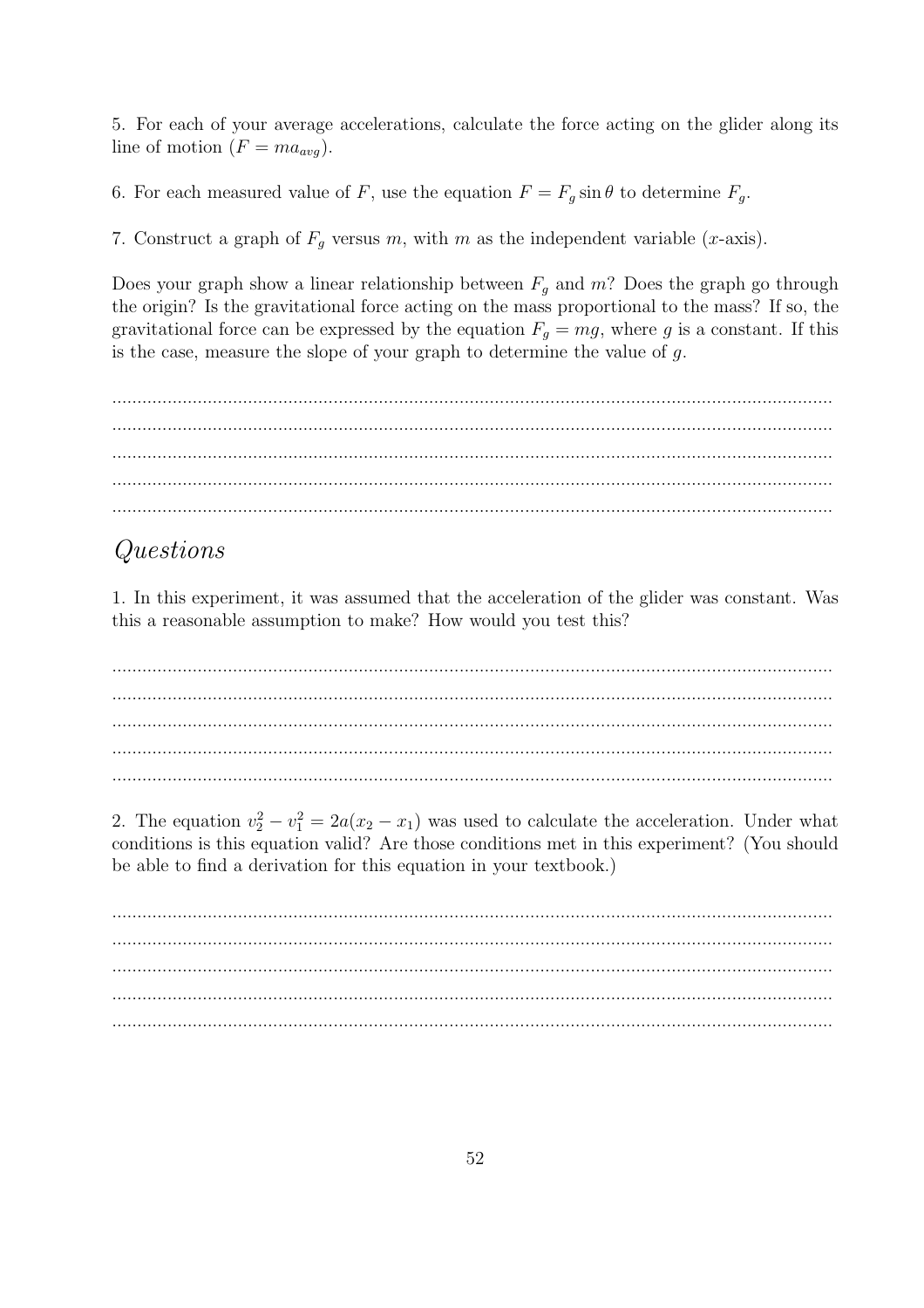5. For each of your average accelerations, calculate the force acting on the glider along its line of motion  $(F = ma_{avg})$ .

6. For each measured value of F, use the equation  $F = F<sub>g</sub> \sin \theta$  to determine  $F<sub>g</sub>$ .

7. Construct a graph of  $F<sub>g</sub>$  versus m, with m as the independent variable (x-axis).

Does your graph show a linear relationship between  $F_q$  and m? Does the graph go through the origin? Is the gravitational force acting on the mass proportional to the mass? If so, the gravitational force can be expressed by the equation  $F_q = mg$ , where g is a constant. If this is the case, measure the slope of your graph to determine the value of  $g$ .

#### Questions

1. In this experiment, it was assumed that the acceleration of the glider was constant. Was this a reasonable assumption to make? How would you test this?

2. The equation  $v_2^2 - v_1^2 = 2a(x_2 - x_1)$  was used to calculate the acceleration. Under what conditions is this equation valid? Are those conditions met in this experiment? (You should be able to find a derivation for this equation in your textbook.)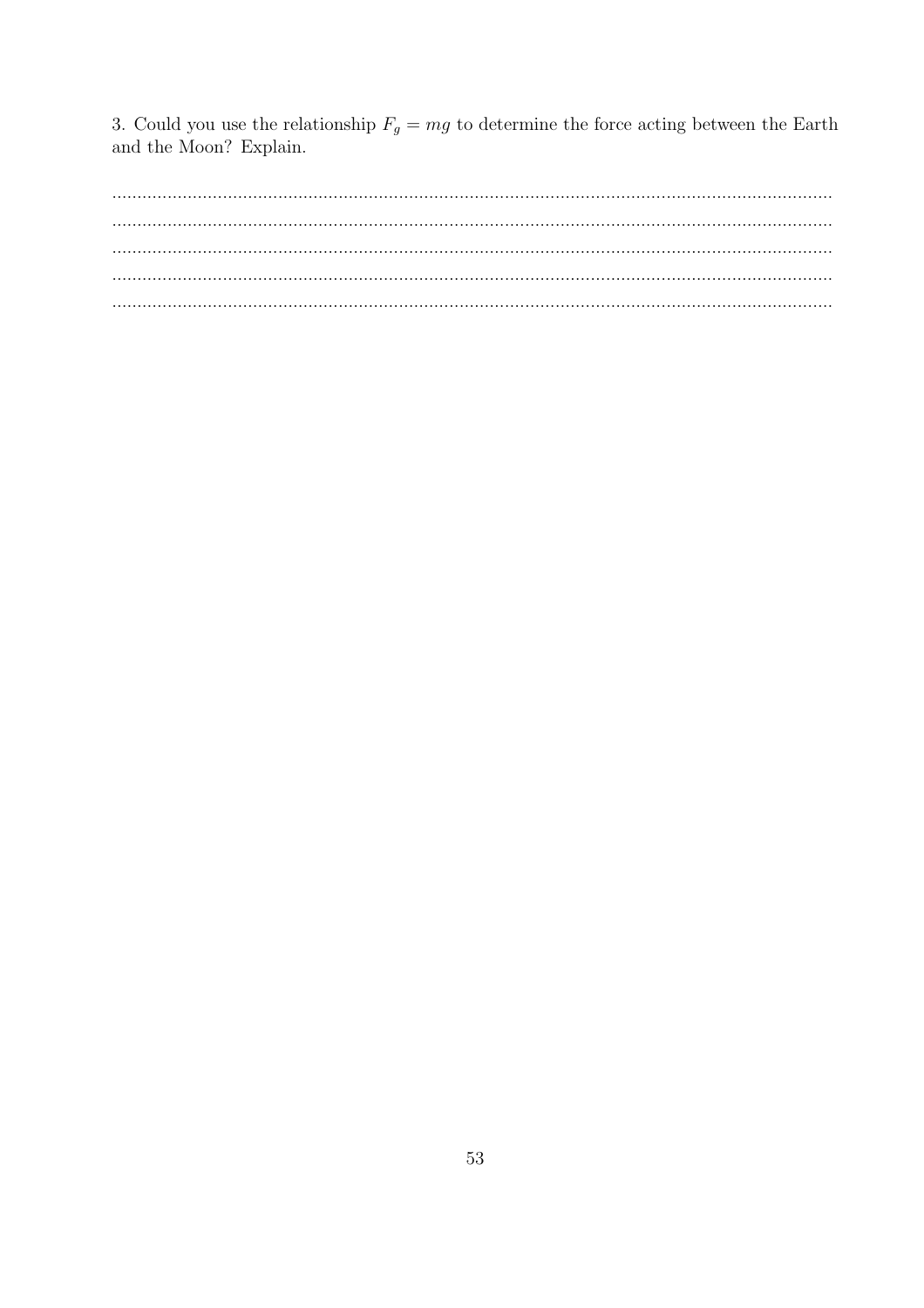3. Could you use the relationship  $F_g = mg$  to determine the force acting between the Earth and the Moon? Explain.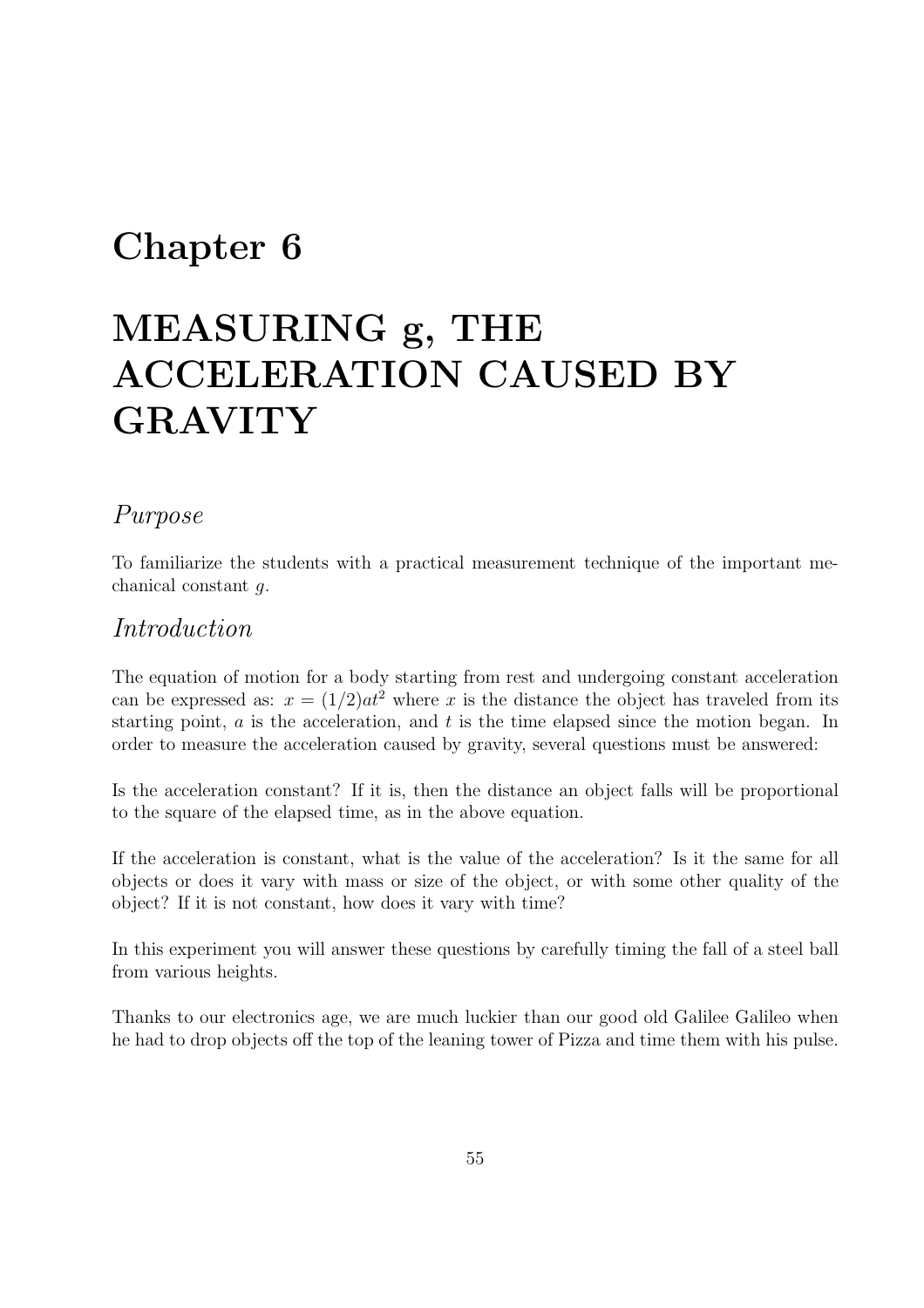## Chapter 6

# MEASURING g, THE ACCELERATION CAUSED BY GRAVITY

### Purpose

To familiarize the students with a practical measurement technique of the important mechanical constant g.

### Introduction

The equation of motion for a body starting from rest and undergoing constant acceleration can be expressed as:  $x = (1/2)at^2$  where x is the distance the object has traveled from its starting point,  $a$  is the acceleration, and  $t$  is the time elapsed since the motion began. In order to measure the acceleration caused by gravity, several questions must be answered:

Is the acceleration constant? If it is, then the distance an object falls will be proportional to the square of the elapsed time, as in the above equation.

If the acceleration is constant, what is the value of the acceleration? Is it the same for all objects or does it vary with mass or size of the object, or with some other quality of the object? If it is not constant, how does it vary with time?

In this experiment you will answer these questions by carefully timing the fall of a steel ball from various heights.

Thanks to our electronics age, we are much luckier than our good old Galilee Galileo when he had to drop objects off the top of the leaning tower of Pizza and time them with his pulse.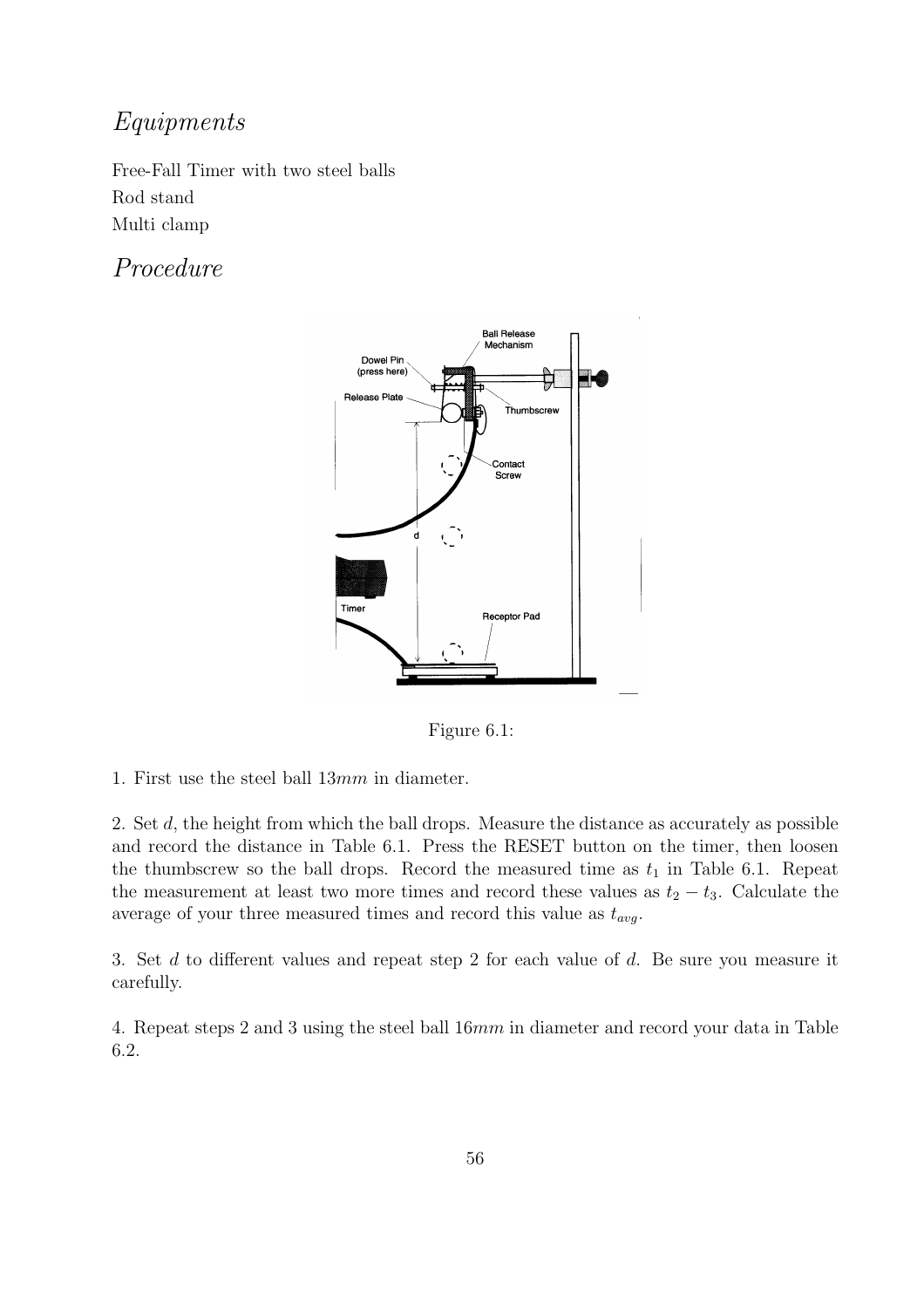## Equipments

Free-Fall Timer with two steel balls Rod stand Multi clamp

## Procedure



Figure 6.1:

2. Set d, the height from which the ball drops. Measure the distance as accurately as possible and record the distance in Table 6.1. Press the RESET button on the timer, then loosen the thumbscrew so the ball drops. Record the measured time as  $t_1$  in Table 6.1. Repeat the measurement at least two more times and record these values as  $t_2 - t_3$ . Calculate the average of your three measured times and record this value as  $t_{avg}$ .

3. Set d to different values and repeat step 2 for each value of d. Be sure you measure it carefully.

4. Repeat steps 2 and 3 using the steel ball 16mm in diameter and record your data in Table 6.2.

<sup>1.</sup> First use the steel ball 13mm in diameter.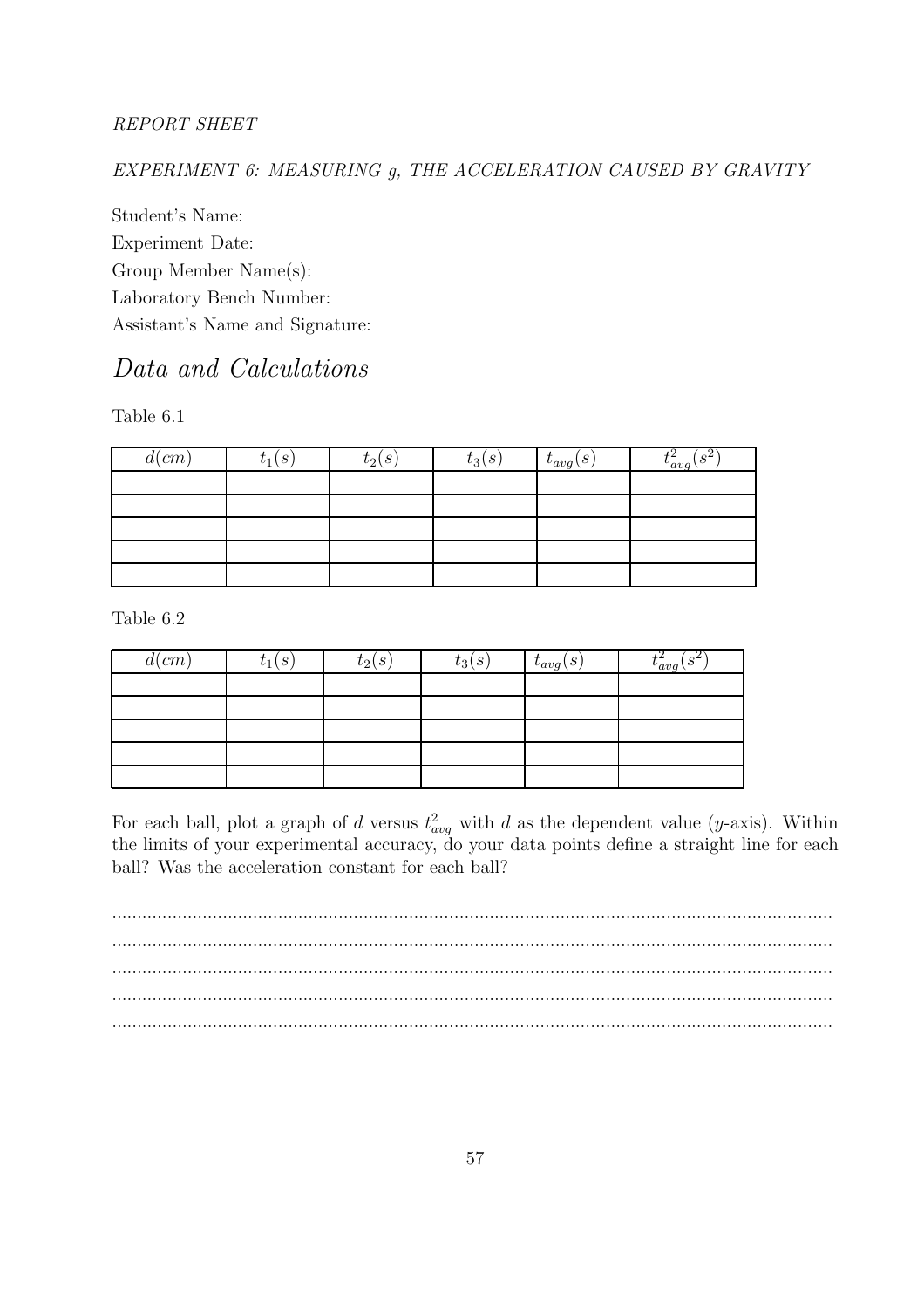#### REPORT SHEET

EXPERIMENT 6: MEASURING g, THE ACCELERATION CAUSED BY GRAVITY

Student's Name: Experiment Date: Group Member Name(s): Laboratory Bench Number: Assistant's Name and Signature:

## Data and Calculations

Table 6.1

| $d$ (cm) | $t_1(s)$ | $t_2(s)$ | $t_3(s)$ | $t_{avg}(s)$ | $(S^2)$<br>$t_{avg}^{\ast}$ |
|----------|----------|----------|----------|--------------|-----------------------------|
|          |          |          |          |              |                             |
|          |          |          |          |              |                             |
|          |          |          |          |              |                             |
|          |          |          |          |              |                             |
|          |          |          |          |              |                             |

Table 6.2

| $d$ (cm) | $t_1(s)$ | $t_2(s)$ | $t_3(s)$ | $t_{avg}(s)$ | ച<br>$(s^2)$<br>$t_{avg}$ |
|----------|----------|----------|----------|--------------|---------------------------|
|          |          |          |          |              |                           |
|          |          |          |          |              |                           |
|          |          |          |          |              |                           |
|          |          |          |          |              |                           |
|          |          |          |          |              |                           |

For each ball, plot a graph of d versus  $t^2_{avg}$  with d as the dependent value (y-axis). Within the limits of your experimental accuracy, do your data points define a straight line for each ball? Was the acceleration constant for each ball?

............................................................................................................................................... ............................................................................................................................................... ............................................................................................................................................... ............................................................................................................................................... ...............................................................................................................................................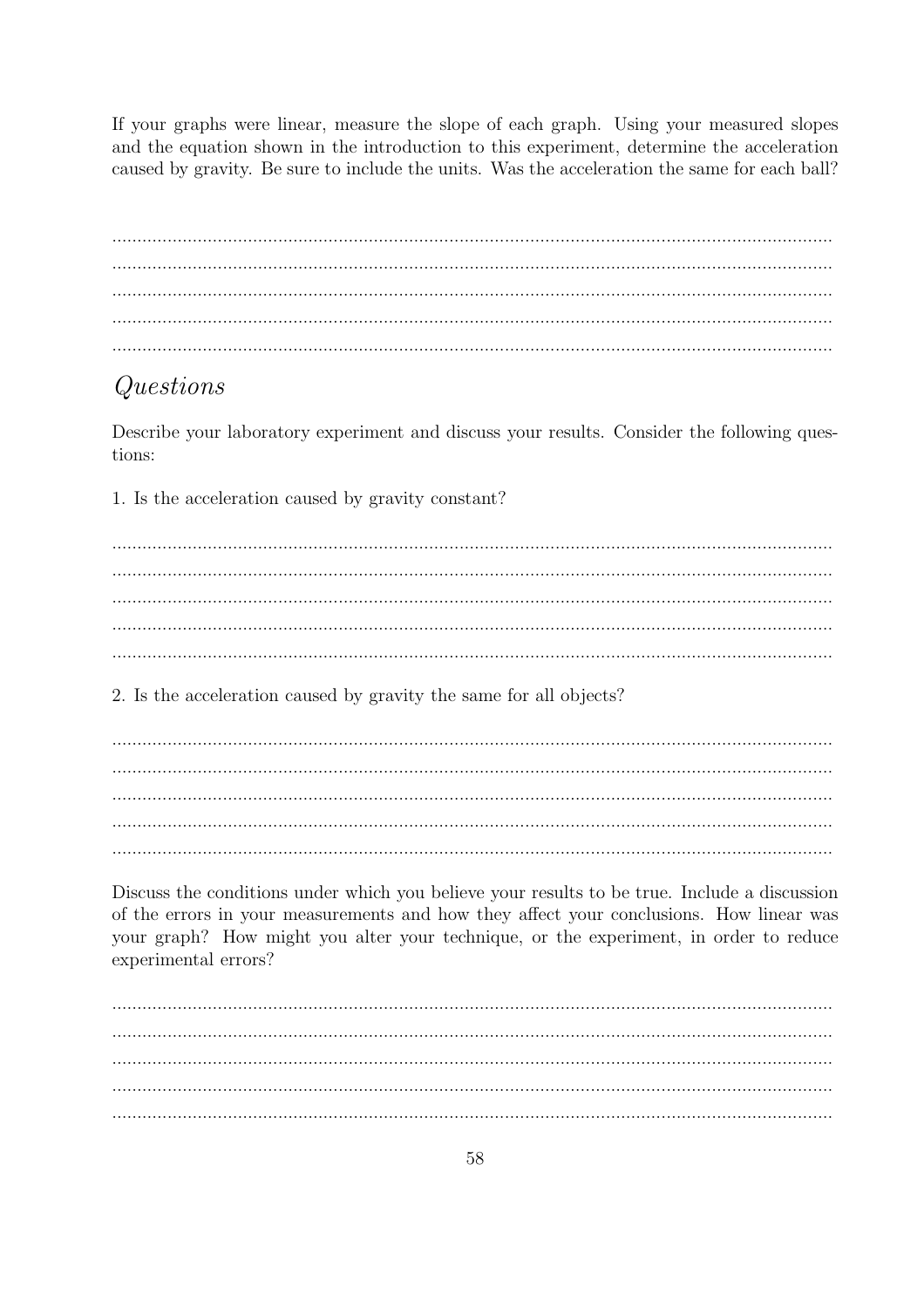If your graphs were linear, measure the slope of each graph. Using your measured slopes and the equation shown in the introduction to this experiment, determine the acceleration caused by gravity. Be sure to include the units. Was the acceleration the same for each ball?

## Questions

Describe your laboratory experiment and discuss your results. Consider the following questions:

1. Is the acceleration caused by gravity constant?

2. Is the acceleration caused by gravity the same for all objects?

Discuss the conditions under which you believe your results to be true. Include a discussion of the errors in your measurements and how they affect your conclusions. How linear was your graph? How might you alter your technique, or the experiment, in order to reduce experimental errors?

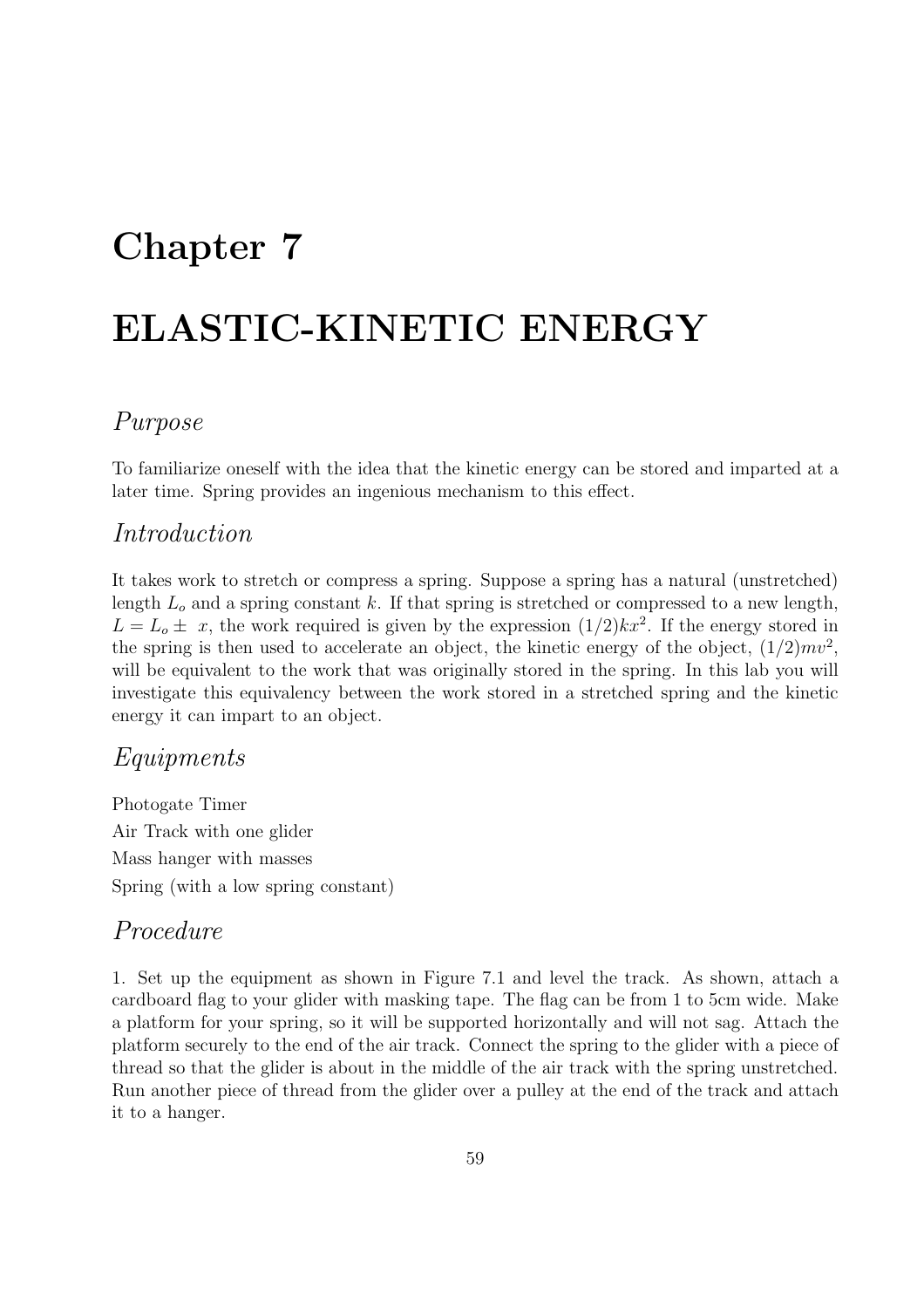## Chapter 7

# ELASTIC-KINETIC ENERGY

## Purpose

To familiarize oneself with the idea that the kinetic energy can be stored and imparted at a later time. Spring provides an ingenious mechanism to this effect.

#### Introduction

It takes work to stretch or compress a spring. Suppose a spring has a natural (unstretched) length  $L<sub>o</sub>$  and a spring constant k. If that spring is stretched or compressed to a new length,  $L = L_o \pm x$ , the work required is given by the expression  $(1/2)kx^2$ . If the energy stored in the spring is then used to accelerate an object, the kinetic energy of the object,  $(1/2)mv^2$ , will be equivalent to the work that was originally stored in the spring. In this lab you will investigate this equivalency between the work stored in a stretched spring and the kinetic energy it can impart to an object.

#### Equipments

Photogate Timer Air Track with one glider Mass hanger with masses Spring (with a low spring constant)

#### Procedure

1. Set up the equipment as shown in Figure 7.1 and level the track. As shown, attach a cardboard flag to your glider with masking tape. The flag can be from 1 to 5cm wide. Make a platform for your spring, so it will be supported horizontally and will not sag. Attach the platform securely to the end of the air track. Connect the spring to the glider with a piece of thread so that the glider is about in the middle of the air track with the spring unstretched. Run another piece of thread from the glider over a pulley at the end of the track and attach it to a hanger.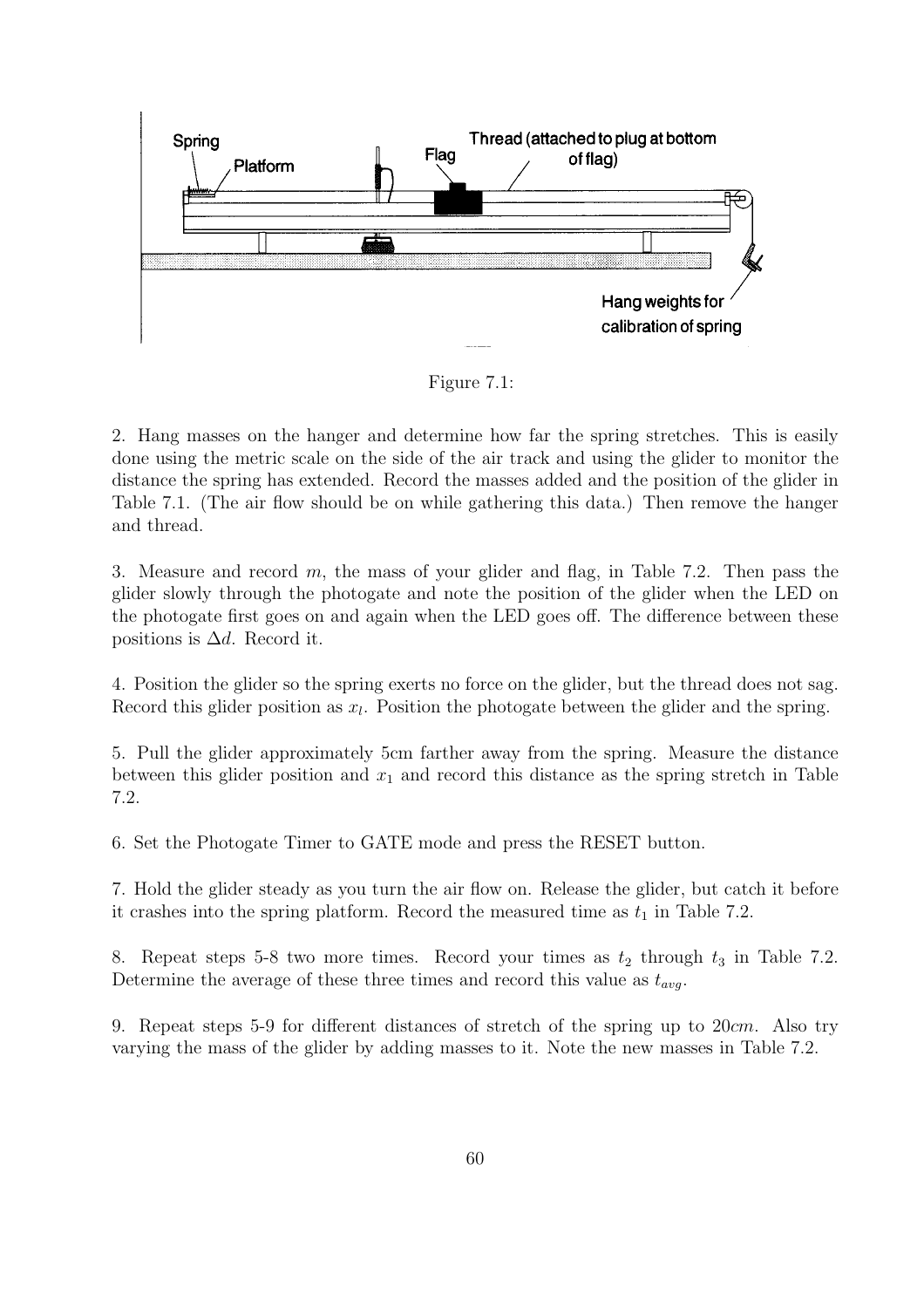

Figure 7.1:

2. Hang masses on the hanger and determine how far the spring stretches. This is easily done using the metric scale on the side of the air track and using the glider to monitor the distance the spring has extended. Record the masses added and the position of the glider in Table 7.1. (The air flow should be on while gathering this data.) Then remove the hanger and thread.

3. Measure and record m, the mass of your glider and flag, in Table 7.2. Then pass the glider slowly through the photogate and note the position of the glider when the LED on the photogate first goes on and again when the LED goes off. The difference between these positions is  $\Delta d$ . Record it.

4. Position the glider so the spring exerts no force on the glider, but the thread does not sag. Record this glider position as  $x_l$ . Position the photogate between the glider and the spring.

5. Pull the glider approximately 5cm farther away from the spring. Measure the distance between this glider position and  $x_1$  and record this distance as the spring stretch in Table 7.2.

6. Set the Photogate Timer to GATE mode and press the RESET button.

7. Hold the glider steady as you turn the air flow on. Release the glider, but catch it before it crashes into the spring platform. Record the measured time as  $t_1$  in Table 7.2.

8. Repeat steps 5-8 two more times. Record your times as  $t_2$  through  $t_3$  in Table 7.2. Determine the average of these three times and record this value as  $t_{ava}$ .

9. Repeat steps 5-9 for different distances of stretch of the spring up to  $20cm$ . Also try varying the mass of the glider by adding masses to it. Note the new masses in Table 7.2.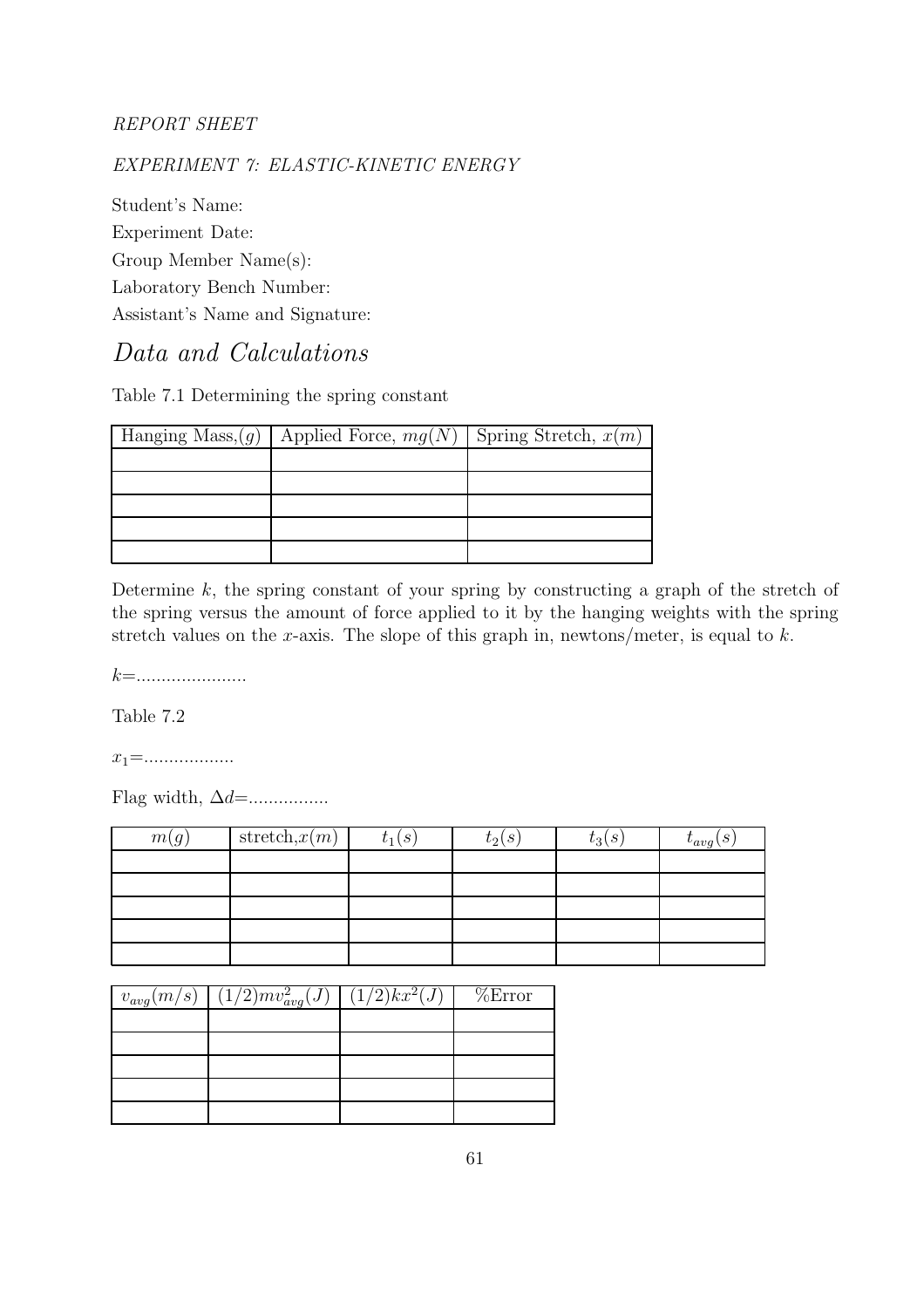#### EXPERIMENT 7: ELASTIC-KINETIC ENERGY

Student's Name: Experiment Date: Group Member Name(s): Laboratory Bench Number: Assistant's Name and Signature:

#### Data and Calculations

Table 7.1 Determining the spring constant

| Hanging Mass, $(g)$ | Applied Force, $mg(N)$ Spring Stretch, $x(m)$ |  |
|---------------------|-----------------------------------------------|--|
|                     |                                               |  |
|                     |                                               |  |
|                     |                                               |  |
|                     |                                               |  |
|                     |                                               |  |

Determine  $k$ , the spring constant of your spring by constructing a graph of the stretch of the spring versus the amount of force applied to it by the hanging weights with the spring stretch values on the x-axis. The slope of this graph in, newtons/meter, is equal to  $k$ .

k=......................

Table 7.2

 $x_1 = \ldots \ldots \ldots \ldots \ldots$ 

Flag width, ∆d=................

| m(g) | stretch, $x(m)$ | $t_1(s)$ | $t_2(s)$ | $t_3(s)$ | $t_{avg}(s)$ |
|------|-----------------|----------|----------|----------|--------------|
|      |                 |          |          |          |              |
|      |                 |          |          |          |              |
|      |                 |          |          |          |              |
|      |                 |          |          |          |              |
|      |                 |          |          |          |              |

| $\boxed{v_{avg}(m/s) \left[ (1/2) m v_{avg}^2(J) \right] (1/2) k x^2(J)}$ %Error |  |
|----------------------------------------------------------------------------------|--|
|                                                                                  |  |
|                                                                                  |  |
|                                                                                  |  |
|                                                                                  |  |
|                                                                                  |  |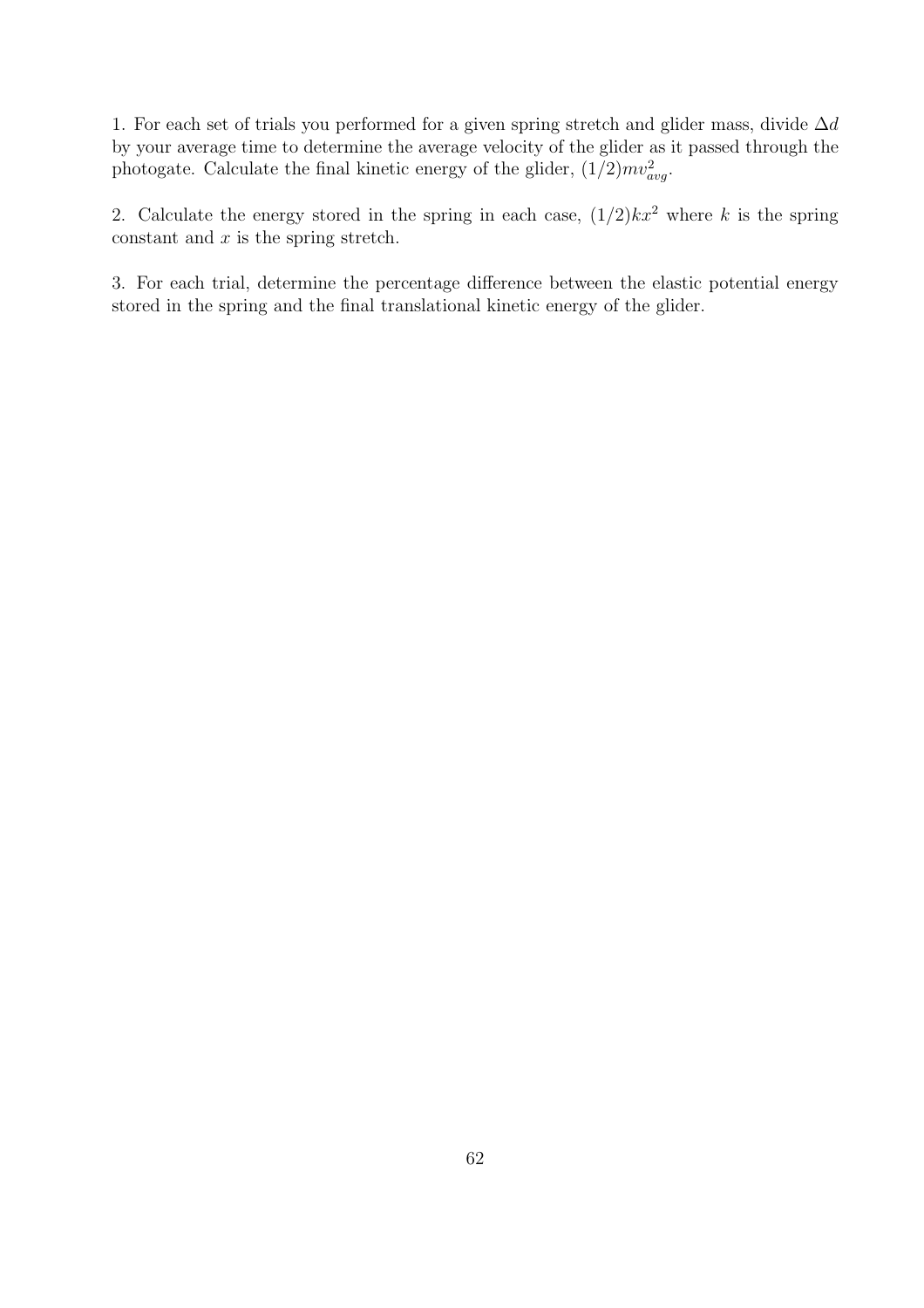1. For each set of trials you performed for a given spring stretch and glider mass, divide  $\Delta d$ by your average time to determine the average velocity of the glider as it passed through the photogate. Calculate the final kinetic energy of the glider,  $(1/2)mv_{avg}^2$ .

2. Calculate the energy stored in the spring in each case,  $(1/2)kx^2$  where k is the spring constant and  $x$  is the spring stretch.

3. For each trial, determine the percentage difference between the elastic potential energy stored in the spring and the final translational kinetic energy of the glider.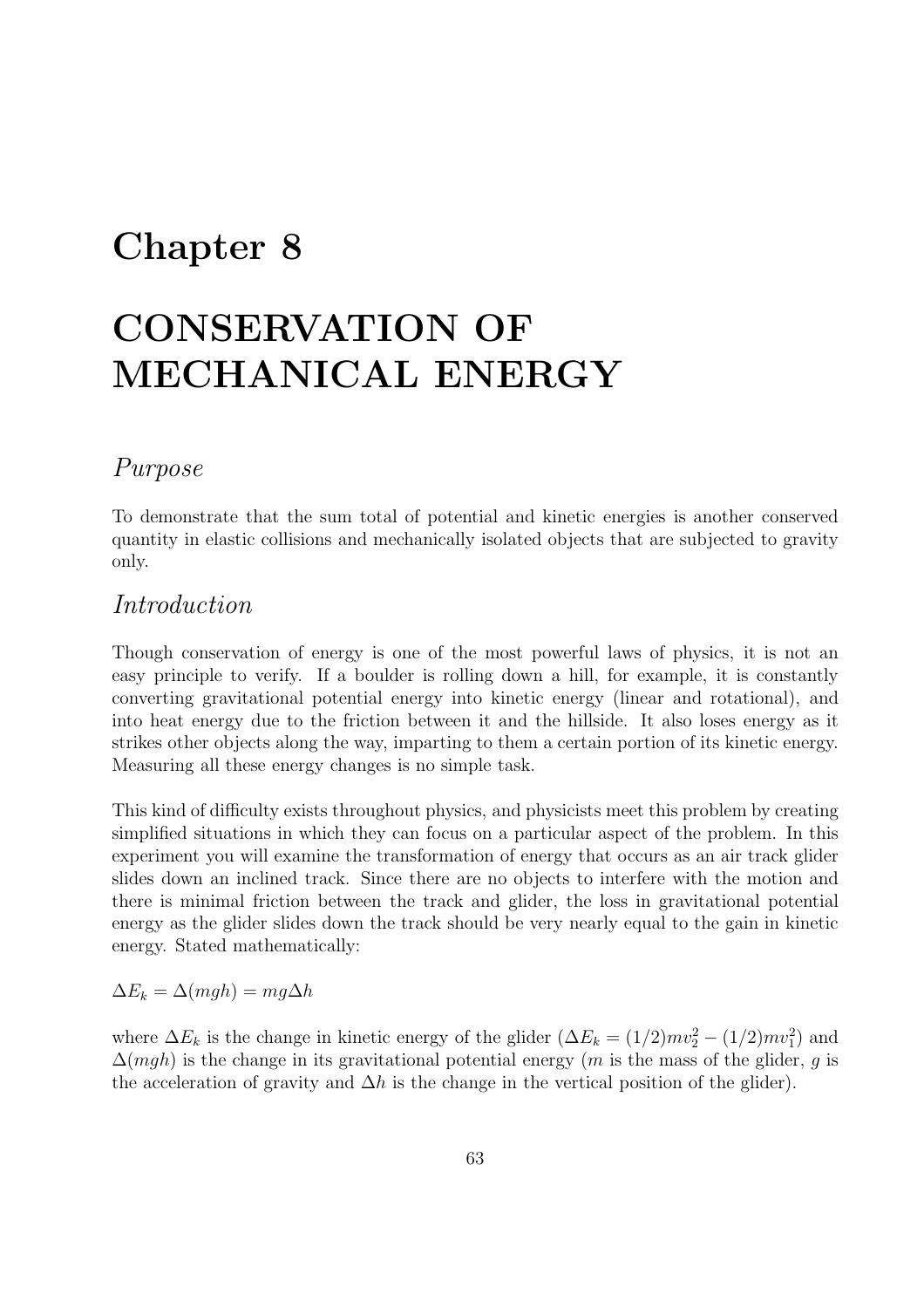## Chapter 8

# CONSERVATION OF MECHANICAL ENERGY

#### Purpose

To demonstrate that the sum total of potential and kinetic energies is another conserved quantity in elastic collisions and mechanically isolated objects that are subjected to gravity only.

#### Introduction

Though conservation of energy is one of the most powerful laws of physics, it is not an easy principle to verify. If a boulder is rolling down a hill, for example, it is constantly converting gravitational potential energy into kinetic energy (linear and rotational), and into heat energy due to the friction between it and the hillside. It also loses energy as it strikes other objects along the way, imparting to them a certain portion of its kinetic energy. Measuring all these energy changes is no simple task.

This kind of difficulty exists throughout physics, and physicists meet this problem by creating simplified situations in which they can focus on a particular aspect of the problem. In this experiment you will examine the transformation of energy that occurs as an air track glider slides down an inclined track. Since there are no objects to interfere with the motion and there is minimal friction between the track and glider, the loss in gravitational potential energy as the glider slides down the track should be very nearly equal to the gain in kinetic energy. Stated mathematically:

 $\Delta E_k = \Delta(mgh) = mg\Delta h$ 

where  $\Delta E_k$  is the change in kinetic energy of the glider  $(\Delta E_k = (1/2)mv_2^2 - (1/2)mv_1^2)$  and  $\Delta(mgh)$  is the change in its gravitational potential energy (*m* is the mass of the glider, *g* is the acceleration of gravity and  $\Delta h$  is the change in the vertical position of the glider).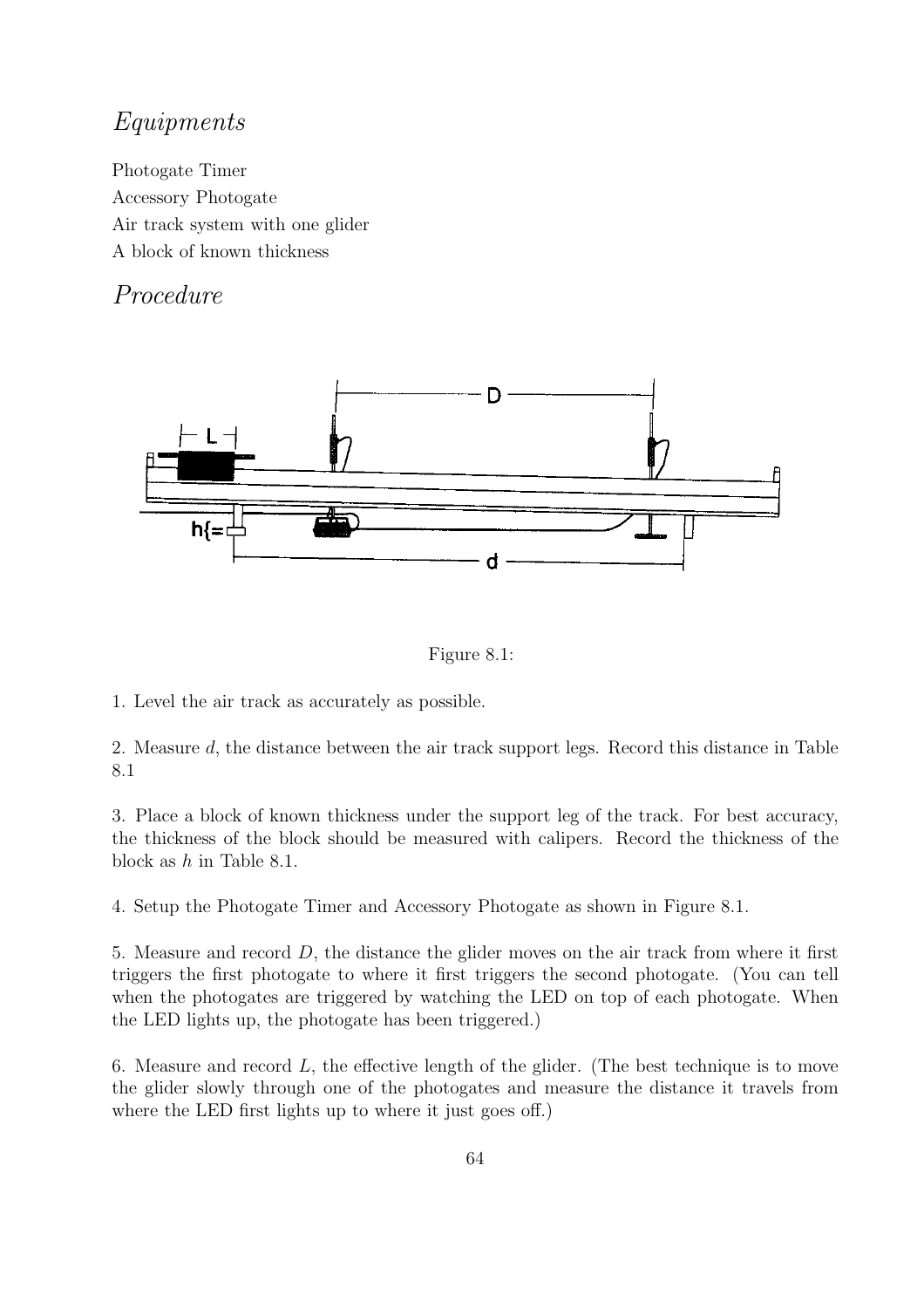### Equipments

Photogate Timer Accessory Photogate Air track system with one glider A block of known thickness

#### Procedure



Figure 8.1:

1. Level the air track as accurately as possible.

2. Measure d, the distance between the air track support legs. Record this distance in Table 8.1

3. Place a block of known thickness under the support leg of the track. For best accuracy, the thickness of the block should be measured with calipers. Record the thickness of the block as h in Table 8.1.

4. Setup the Photogate Timer and Accessory Photogate as shown in Figure 8.1.

5. Measure and record D, the distance the glider moves on the air track from where it first triggers the first photogate to where it first triggers the second photogate. (You can tell when the photogates are triggered by watching the LED on top of each photogate. When the LED lights up, the photogate has been triggered.)

6. Measure and record  $L$ , the effective length of the glider. (The best technique is to move the glider slowly through one of the photogates and measure the distance it travels from where the LED first lights up to where it just goes off.)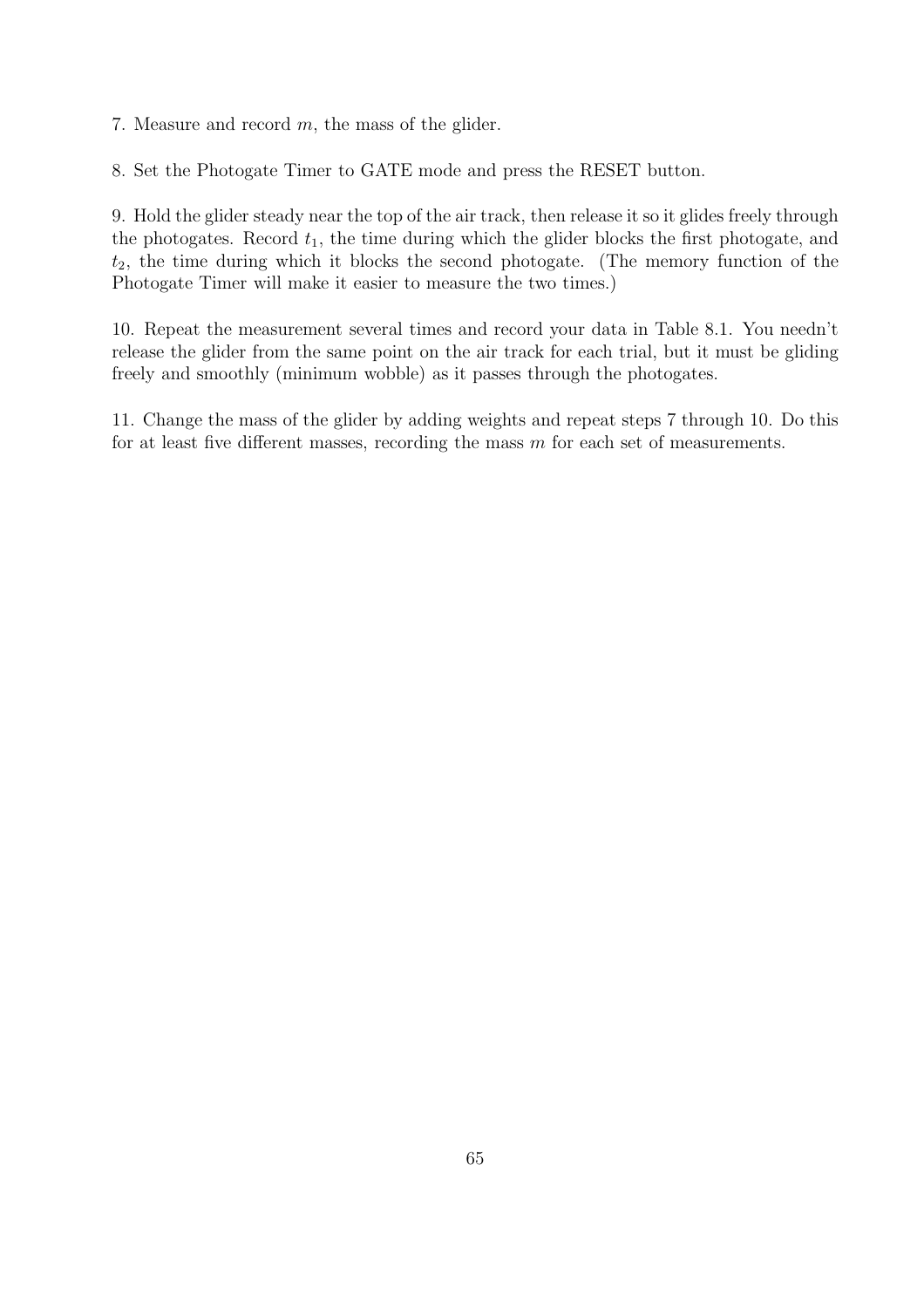7. Measure and record m, the mass of the glider.

8. Set the Photogate Timer to GATE mode and press the RESET button.

9. Hold the glider steady near the top of the air track, then release it so it glides freely through the photogates. Record  $t_1$ , the time during which the glider blocks the first photogate, and  $t_2$ , the time during which it blocks the second photogate. (The memory function of the Photogate Timer will make it easier to measure the two times.)

10. Repeat the measurement several times and record your data in Table 8.1. You needn't release the glider from the same point on the air track for each trial, but it must be gliding freely and smoothly (minimum wobble) as it passes through the photogates.

11. Change the mass of the glider by adding weights and repeat steps 7 through 10. Do this for at least five different masses, recording the mass  $m$  for each set of measurements.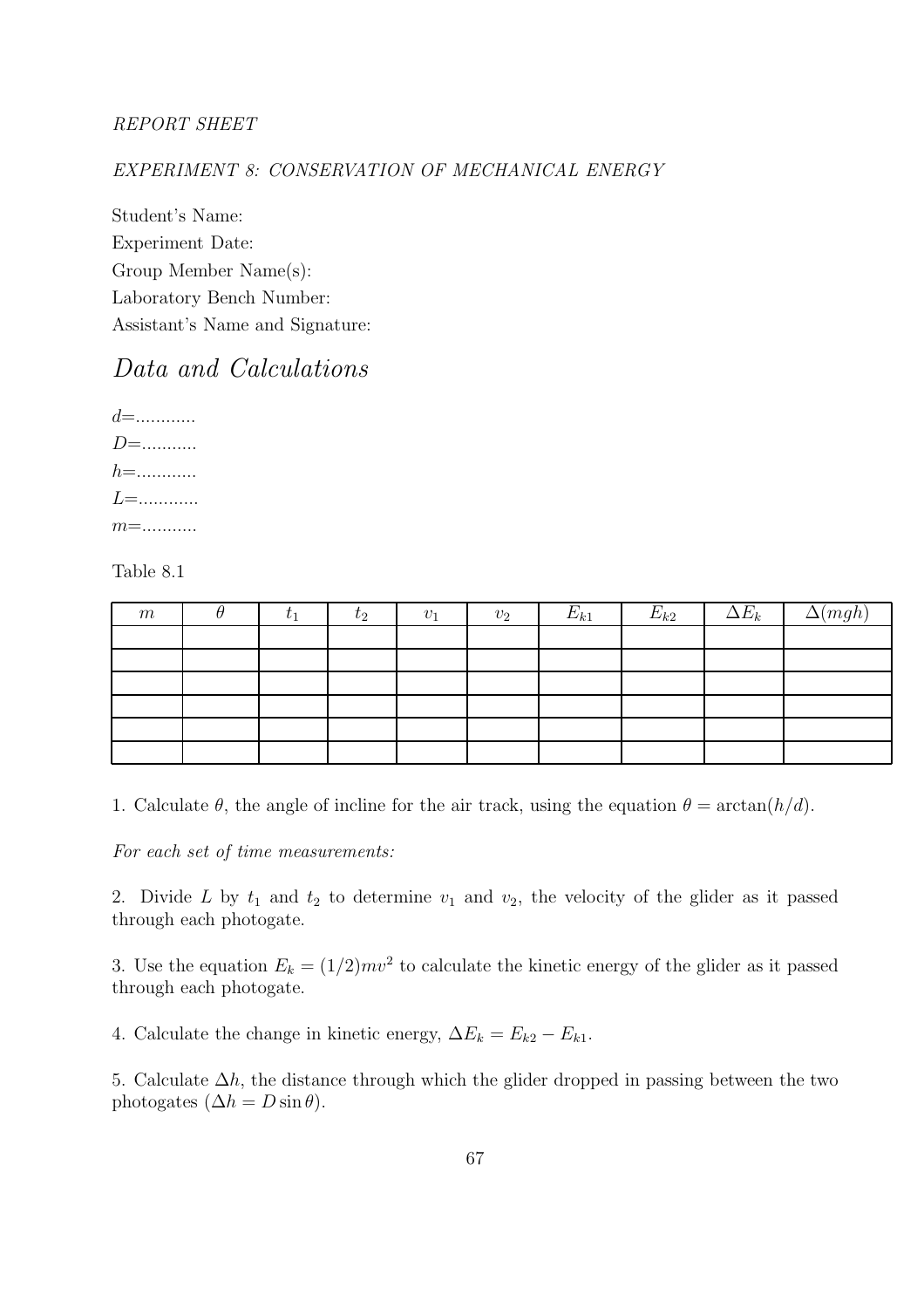#### REPORT SHEET

#### EXPERIMENT 8: CONSERVATION OF MECHANICAL ENERGY

Student's Name: Experiment Date: Group Member Name(s): Laboratory Bench Number: Assistant's Name and Signature:

### Data and Calculations

d=............ D=........... h=............ L=............ m=...........

Table 8.1

| m | $\iota_1$ | $\tau_2$ | $v_1$ | $v_2$ | $E_{k1}$ | $E_{k2}$ | $\Delta E_k$ | $\Delta(mgh)$ |
|---|-----------|----------|-------|-------|----------|----------|--------------|---------------|
|   |           |          |       |       |          |          |              |               |
|   |           |          |       |       |          |          |              |               |
|   |           |          |       |       |          |          |              |               |
|   |           |          |       |       |          |          |              |               |
|   |           |          |       |       |          |          |              |               |
|   |           |          |       |       |          |          |              |               |

1. Calculate  $\theta$ , the angle of incline for the air track, using the equation  $\theta = \arctan(h/d)$ .

For each set of time measurements:

2. Divide L by  $t_1$  and  $t_2$  to determine  $v_1$  and  $v_2$ , the velocity of the glider as it passed through each photogate.

3. Use the equation  $E_k = (1/2)mv^2$  to calculate the kinetic energy of the glider as it passed through each photogate.

4. Calculate the change in kinetic energy,  $\Delta E_k = E_{k2} - E_{k1}$ .

5. Calculate  $\Delta h$ , the distance through which the glider dropped in passing between the two photogates  $(\Delta h = D \sin \theta)$ .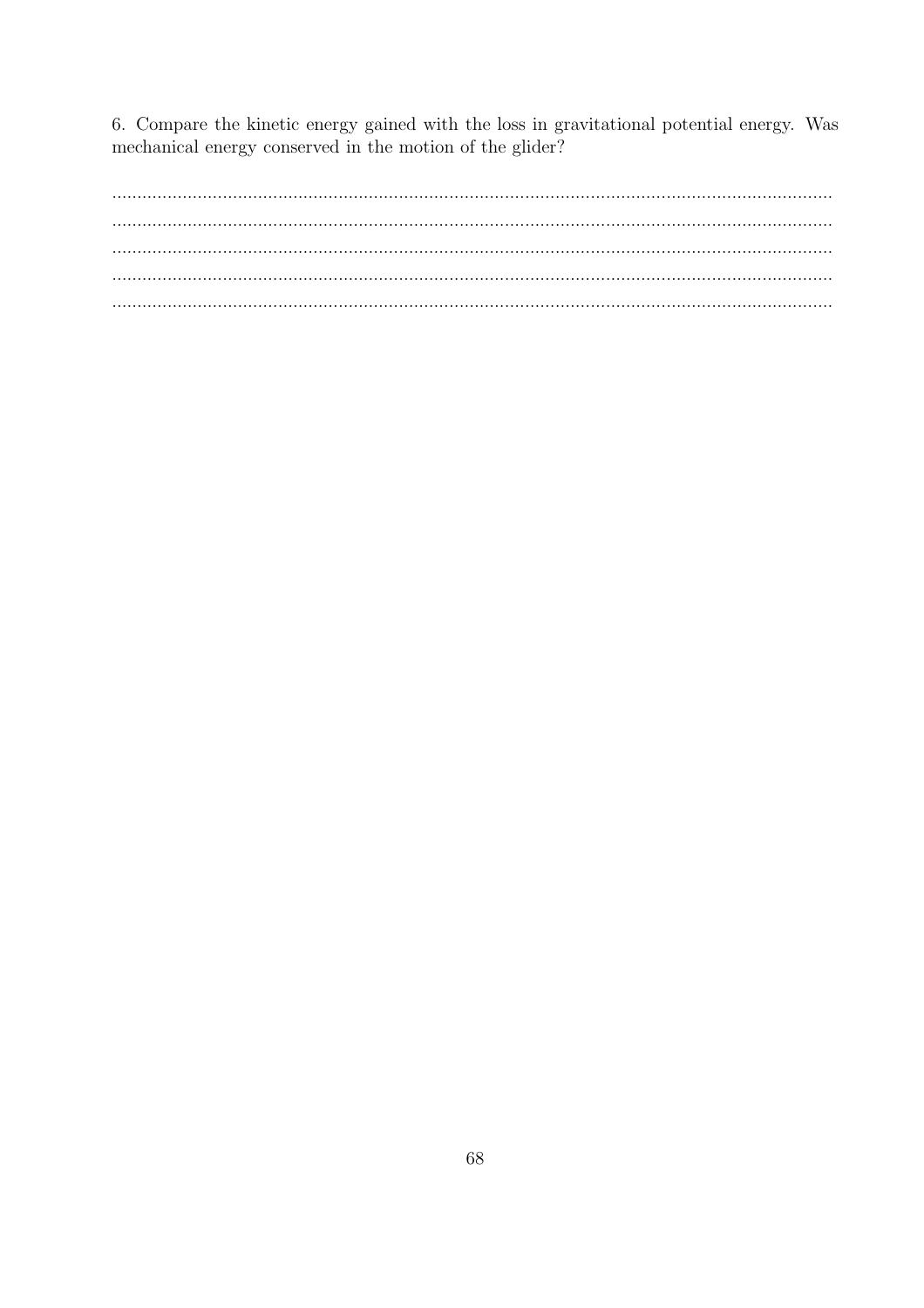6. Compare the kinetic energy gained with the loss in gravitational potential energy. Was mechanical energy conserved in the motion of the glider?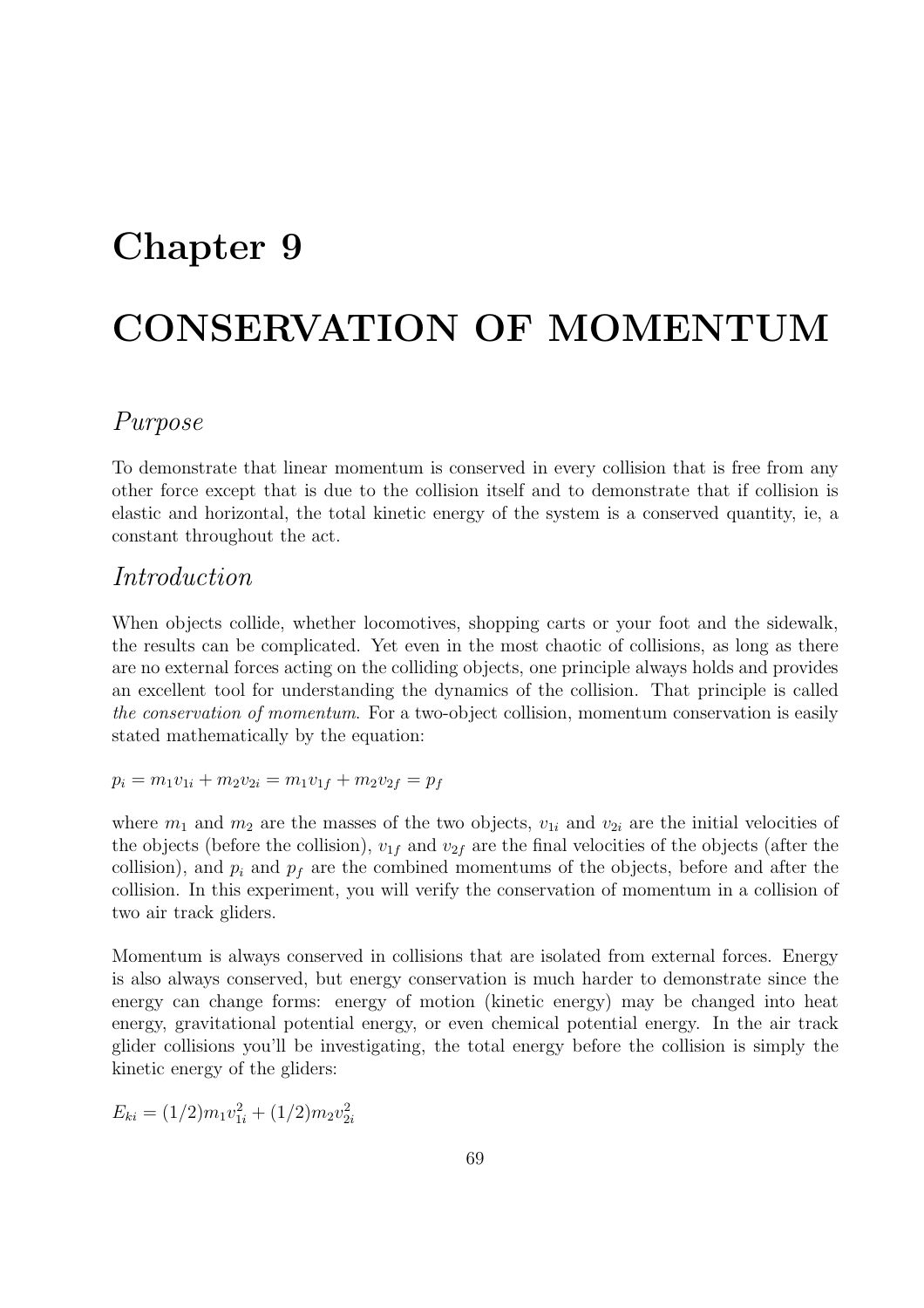## Chapter 9

# CONSERVATION OF MOMENTUM

#### Purpose

To demonstrate that linear momentum is conserved in every collision that is free from any other force except that is due to the collision itself and to demonstrate that if collision is elastic and horizontal, the total kinetic energy of the system is a conserved quantity, ie, a constant throughout the act.

#### Introduction

When objects collide, whether locomotives, shopping carts or your foot and the sidewalk, the results can be complicated. Yet even in the most chaotic of collisions, as long as there are no external forces acting on the colliding objects, one principle always holds and provides an excellent tool for understanding the dynamics of the collision. That principle is called the conservation of momentum. For a two-object collision, momentum conservation is easily stated mathematically by the equation:

 $p_i = m_1v_{1i} + m_2v_{2i} = m_1v_{1f} + m_2v_{2f} = p_f$ 

where  $m_1$  and  $m_2$  are the masses of the two objects,  $v_{1i}$  and  $v_{2i}$  are the initial velocities of the objects (before the collision),  $v_{1f}$  and  $v_{2f}$  are the final velocities of the objects (after the collision), and  $p_i$  and  $p_f$  are the combined momentums of the objects, before and after the collision. In this experiment, you will verify the conservation of momentum in a collision of two air track gliders.

Momentum is always conserved in collisions that are isolated from external forces. Energy is also always conserved, but energy conservation is much harder to demonstrate since the energy can change forms: energy of motion (kinetic energy) may be changed into heat energy, gravitational potential energy, or even chemical potential energy. In the air track glider collisions you'll be investigating, the total energy before the collision is simply the kinetic energy of the gliders:

 $E_{ki} = (1/2)m_1v_{1i}^2 + (1/2)m_2v_{2i}^2$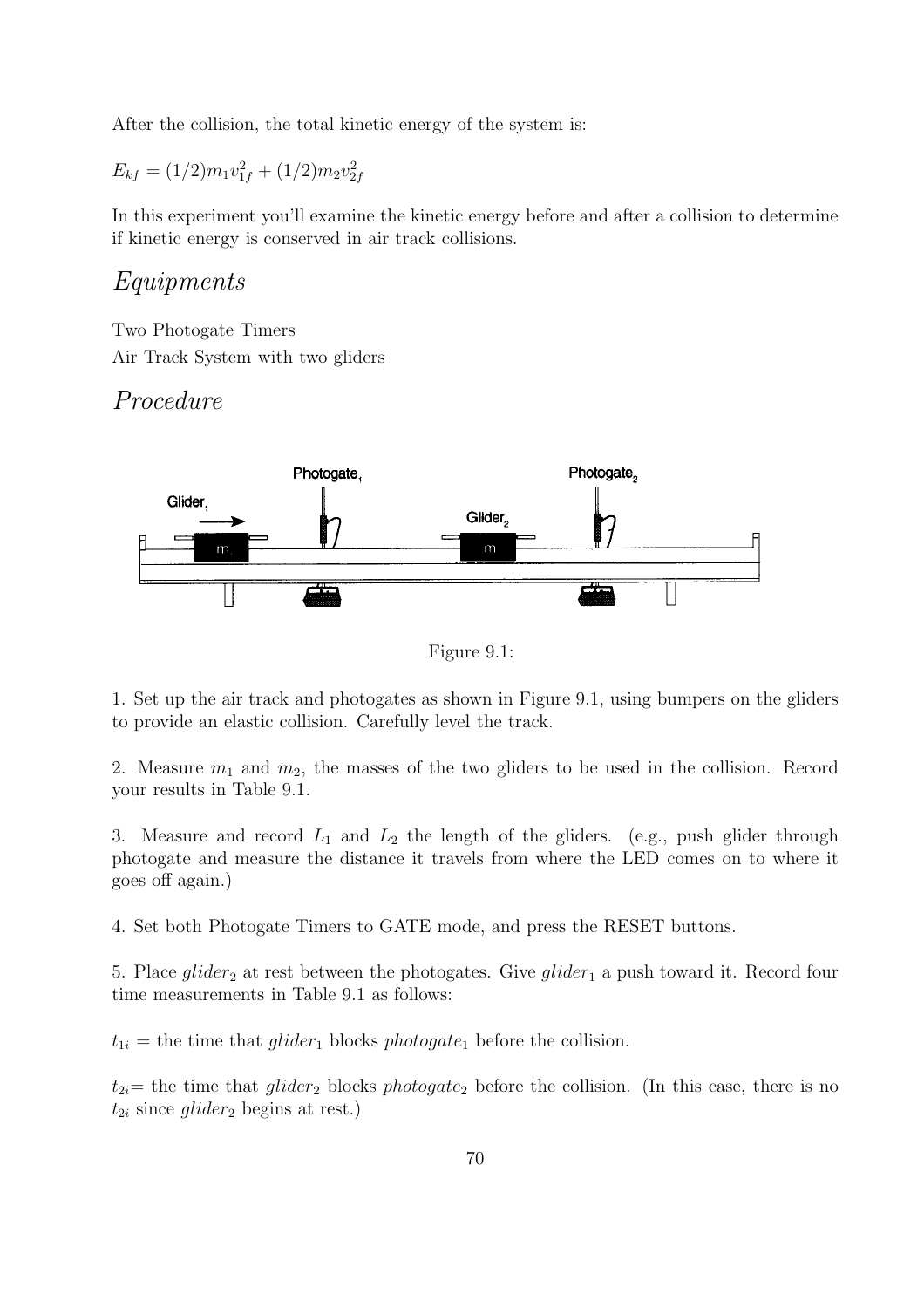After the collision, the total kinetic energy of the system is:

 $E_{kf} = (1/2)m_1v_{1f}^2 + (1/2)m_2v_{2f}^2$ 

In this experiment you'll examine the kinetic energy before and after a collision to determine if kinetic energy is conserved in air track collisions.

#### Equipments

Two Photogate Timers Air Track System with two gliders

#### Procedure



Figure 9.1:

1. Set up the air track and photogates as shown in Figure 9.1, using bumpers on the gliders to provide an elastic collision. Carefully level the track.

2. Measure  $m_1$  and  $m_2$ , the masses of the two gliders to be used in the collision. Record your results in Table 9.1.

3. Measure and record  $L_1$  and  $L_2$  the length of the gliders. (e.g., push glider through photogate and measure the distance it travels from where the LED comes on to where it goes off again.)

4. Set both Photogate Timers to GATE mode, and press the RESET buttons.

5. Place glider<sub>2</sub> at rest between the photogates. Give glider<sub>1</sub> a push toward it. Record four time measurements in Table 9.1 as follows:

 $t_{1i}$  = the time that glider<sub>1</sub> blocks photogate<sub>1</sub> before the collision.

 $t_{2i}=$  the time that glider<sub>2</sub> blocks photogate<sub>2</sub> before the collision. (In this case, there is no  $t_{2i}$  since  $g lider_2$  begins at rest.)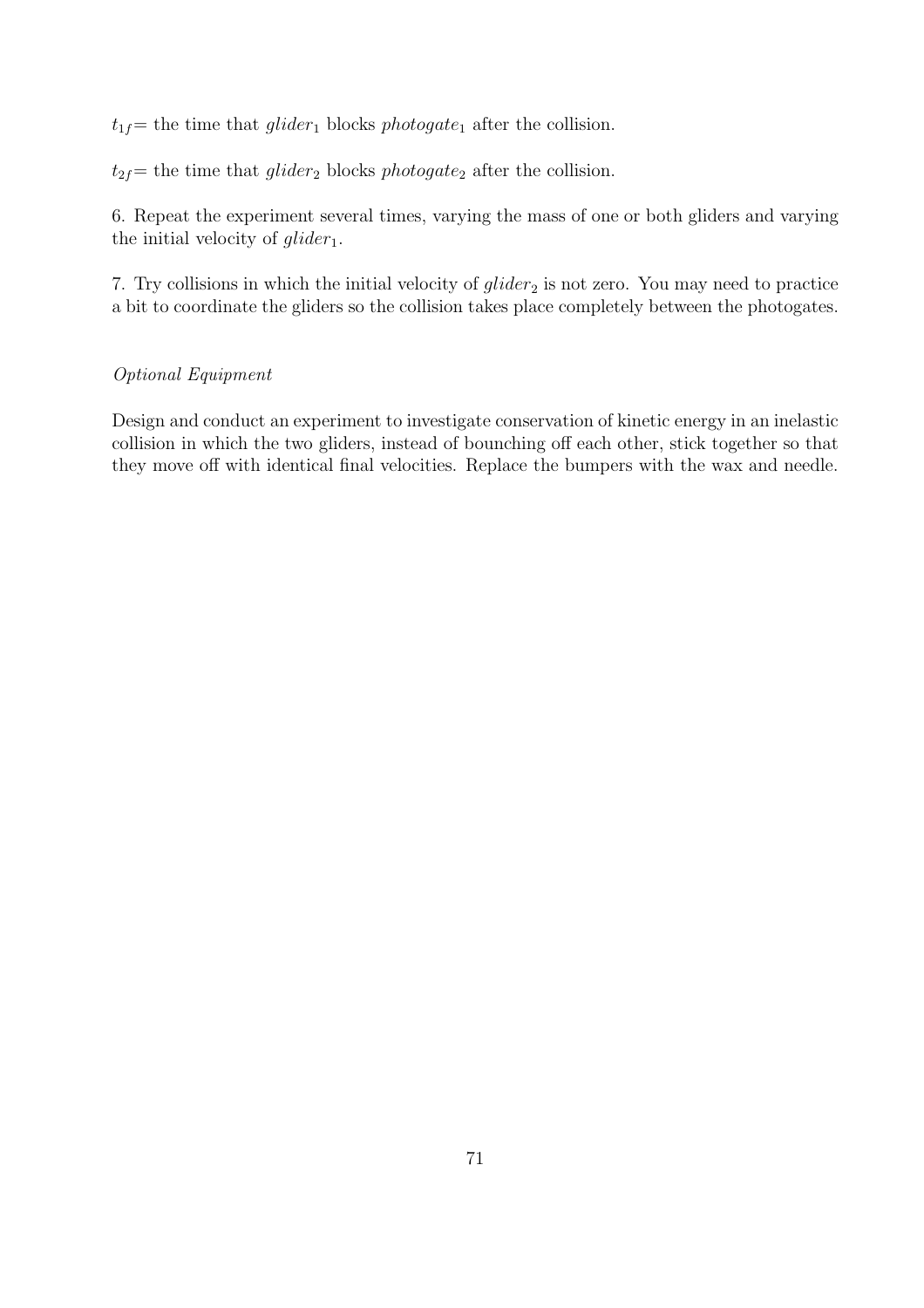$t_{1f}=$  the time that glider<sub>1</sub> blocks photogate<sub>1</sub> after the collision.

 $t_{2f}$ = the time that glider<sub>2</sub> blocks photogate<sub>2</sub> after the collision.

6. Repeat the experiment several times, varying the mass of one or both gliders and varying the initial velocity of  $g$ *lider*<sub>1</sub>.

7. Try collisions in which the initial velocity of  $glider_2$  is not zero. You may need to practice a bit to coordinate the gliders so the collision takes place completely between the photogates.

#### Optional Equipment

Design and conduct an experiment to investigate conservation of kinetic energy in an inelastic collision in which the two gliders, instead of bounching off each other, stick together so that they move off with identical final velocities. Replace the bumpers with the wax and needle.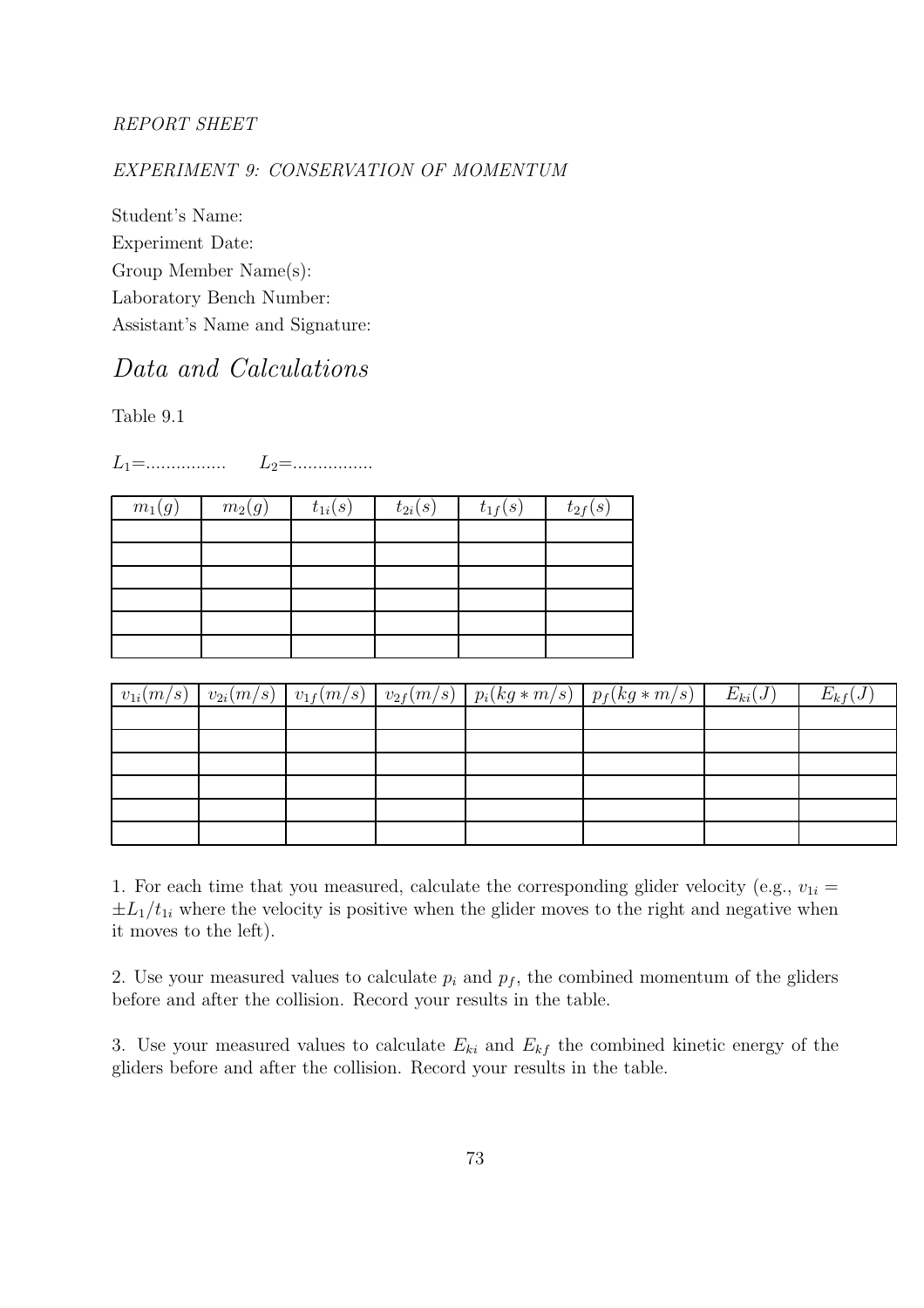#### REPORT SHEET

#### EXPERIMENT 9: CONSERVATION OF MOMENTUM

Student's Name: Experiment Date: Group Member Name(s): Laboratory Bench Number: Assistant's Name and Signature:

## Data and Calculations

Table 9.1

 $L_1 = \dots \dots \dots \dots \dots \quad L_2 = \dots \dots \dots \dots \dots$ 

| $m_1(g)$ | $m_2(g)$ | $t_{1i}(s)$ | $t_{2i}(s)$ | $t_{1f}(s)$ | $t_{2f}(s)$ |
|----------|----------|-------------|-------------|-------------|-------------|
|          |          |             |             |             |             |
|          |          |             |             |             |             |
|          |          |             |             |             |             |
|          |          |             |             |             |             |
|          |          |             |             |             |             |
|          |          |             |             |             |             |

| $v_{1i}(m/s)$ |  |  | $ v_{2i}(m/s)  v_{1f}(m/s)   v_{2f}(m/s)   p_i(kg*m/s)   p_f(kg*m/s)  $ | $E_{ki}(J)$ | $E_{kf}(J)$ |
|---------------|--|--|-------------------------------------------------------------------------|-------------|-------------|
|               |  |  |                                                                         |             |             |
|               |  |  |                                                                         |             |             |
|               |  |  |                                                                         |             |             |
|               |  |  |                                                                         |             |             |
|               |  |  |                                                                         |             |             |
|               |  |  |                                                                         |             |             |

1. For each time that you measured, calculate the corresponding glider velocity (e.g.,  $v_{1i} =$  $\pm L_1/t_{1i}$  where the velocity is positive when the glider moves to the right and negative when it moves to the left).

2. Use your measured values to calculate  $p_i$  and  $p_f$ , the combined momentum of the gliders before and after the collision. Record your results in the table.

3. Use your measured values to calculate  $E_{ki}$  and  $E_{kf}$  the combined kinetic energy of the gliders before and after the collision. Record your results in the table.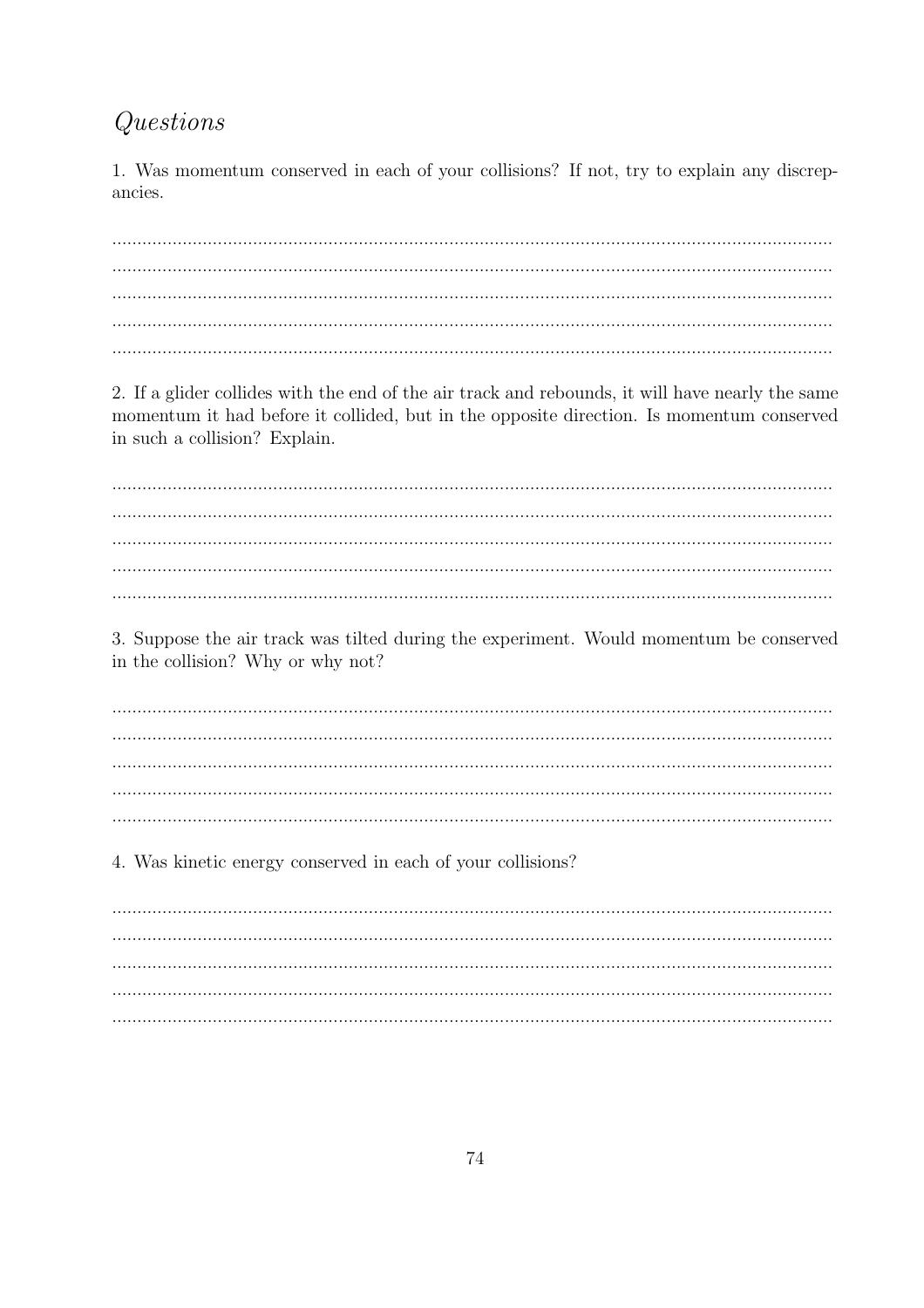## Questions

1. Was momentum conserved in each of your collisions? If not, try to explain any discrepancies.

2. If a glider collides with the end of the air track and rebounds, it will have nearly the same momentum it had before it collided, but in the opposite direction. Is momentum conserved in such a collision? Explain.

3. Suppose the air track was tilted during the experiment. Would momentum be conserved in the collision? Why or why not?

4. Was kinetic energy conserved in each of your collisions?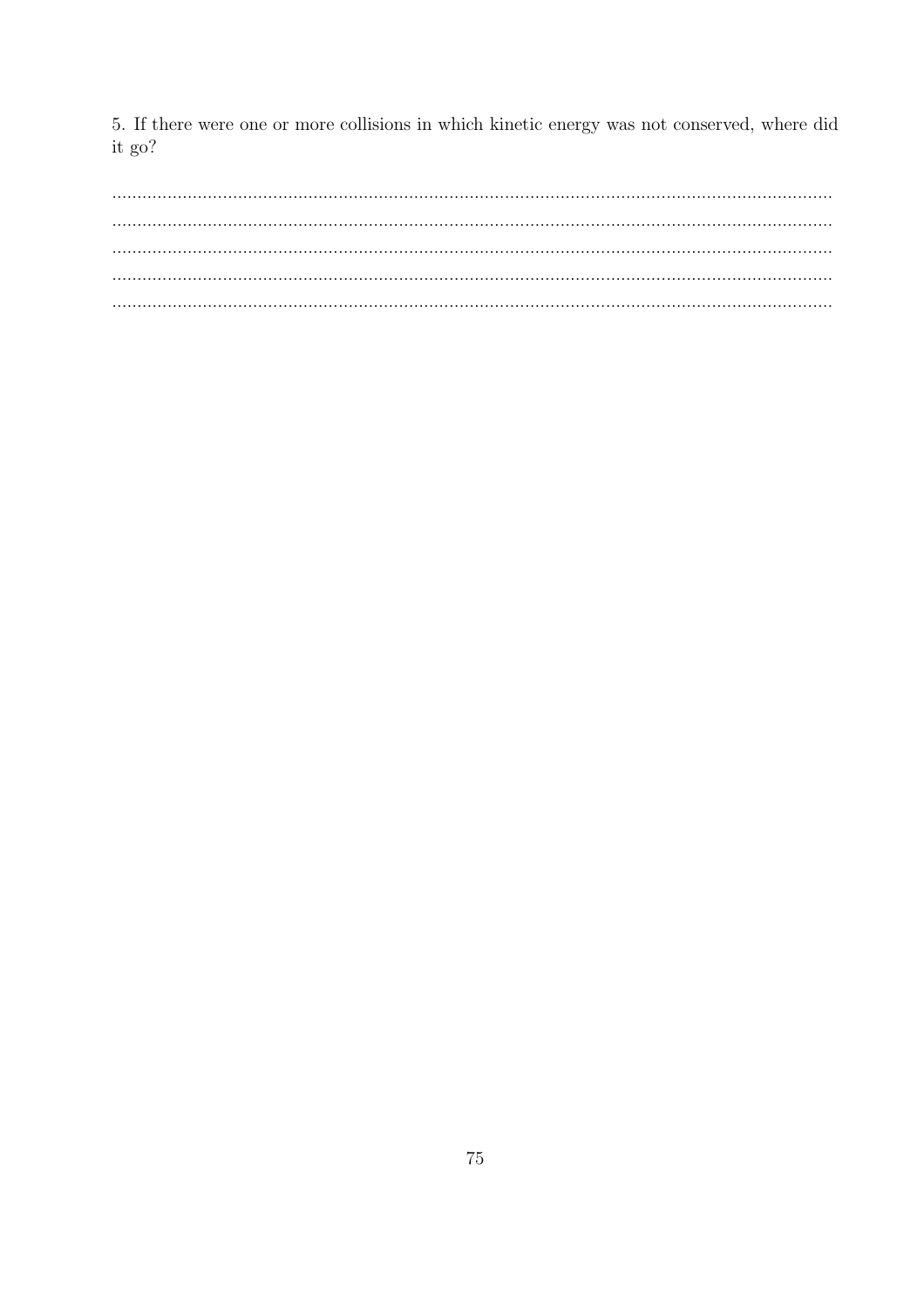5. If there were one or more collisions in which kinetic energy was not conserved, where did it go?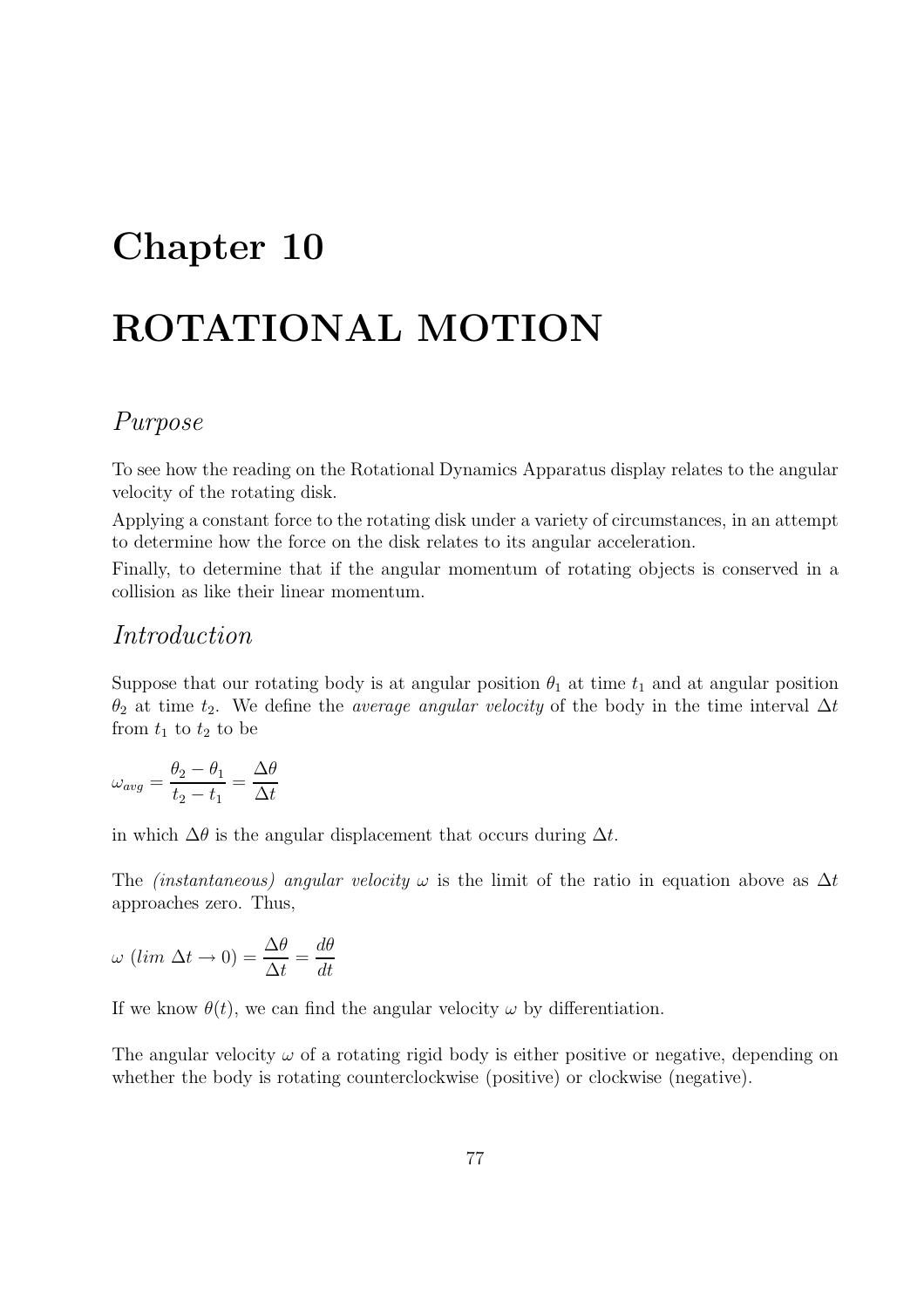## Chapter 10

# ROTATIONAL MOTION

## Purpose

To see how the reading on the Rotational Dynamics Apparatus display relates to the angular velocity of the rotating disk.

Applying a constant force to the rotating disk under a variety of circumstances, in an attempt to determine how the force on the disk relates to its angular acceleration.

Finally, to determine that if the angular momentum of rotating objects is conserved in a collision as like their linear momentum.

#### Introduction

Suppose that our rotating body is at angular position  $\theta_1$  at time  $t_1$  and at angular position  $\theta_2$  at time  $t_2$ . We define the *average angular velocity* of the body in the time interval  $\Delta t$ from  $t_1$  to  $t_2$  to be

$$
\omega_{avg} = \frac{\theta_2 - \theta_1}{t_2 - t_1} = \frac{\Delta\theta}{\Delta t}
$$

in which  $\Delta\theta$  is the angular displacement that occurs during  $\Delta t$ .

The *(instantaneous) angular velocity*  $\omega$  is the limit of the ratio in equation above as  $\Delta t$ approaches zero. Thus,

$$
\omega \ (lim \ \Delta t \to 0) = \frac{\Delta \theta}{\Delta t} = \frac{d\theta}{dt}
$$

If we know  $\theta(t)$ , we can find the angular velocity  $\omega$  by differentiation.

The angular velocity  $\omega$  of a rotating rigid body is either positive or negative, depending on whether the body is rotating counterclockwise (positive) or clockwise (negative).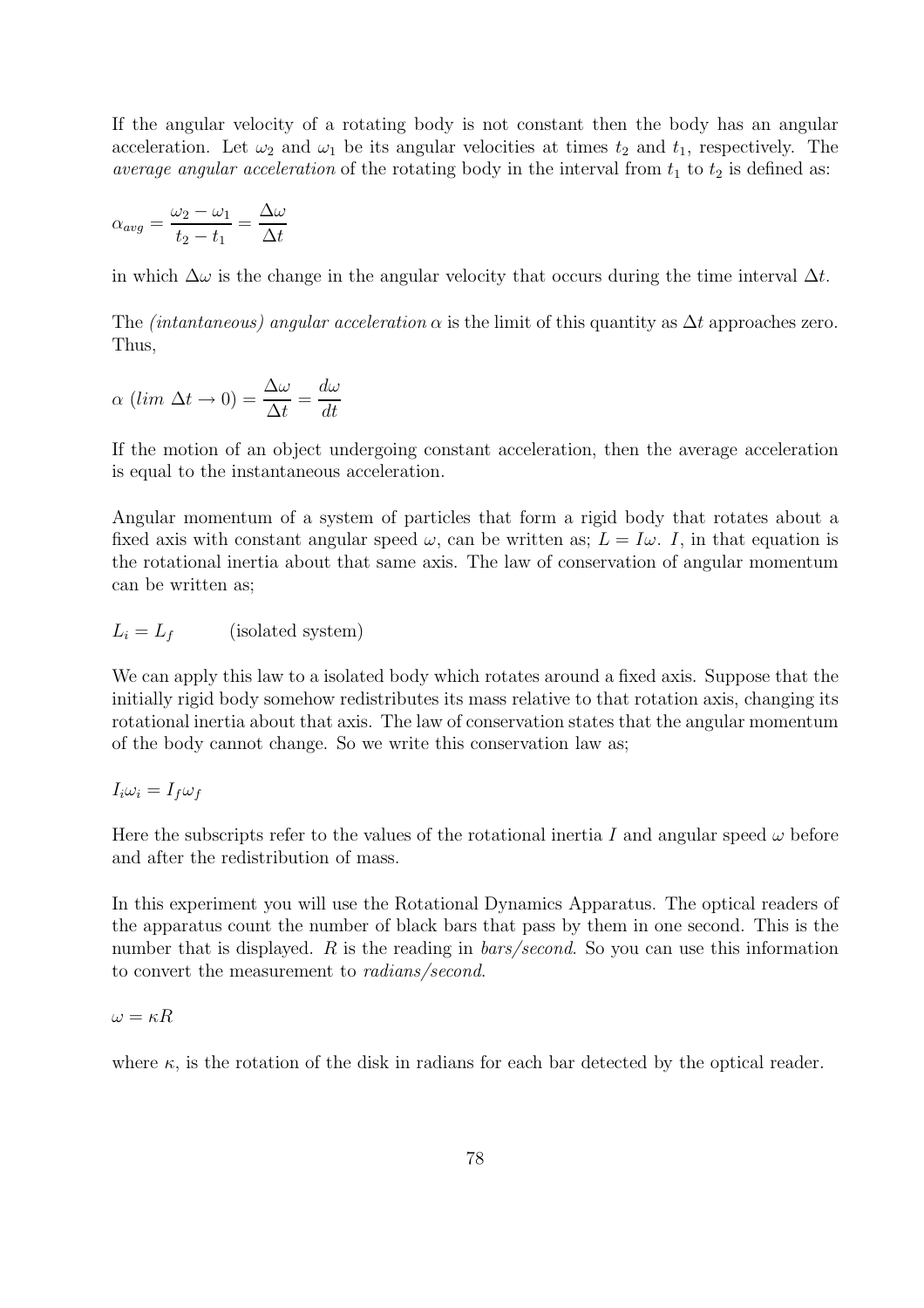If the angular velocity of a rotating body is not constant then the body has an angular acceleration. Let  $\omega_2$  and  $\omega_1$  be its angular velocities at times  $t_2$  and  $t_1$ , respectively. The average angular acceleration of the rotating body in the interval from  $t_1$  to  $t_2$  is defined as:

$$
\alpha_{avg} = \frac{\omega_2 - \omega_1}{t_2 - t_1} = \frac{\Delta \omega}{\Delta t}
$$

in which  $\Delta\omega$  is the change in the angular velocity that occurs during the time interval  $\Delta t$ .

The *(intantaneous) angular acceleration*  $\alpha$  is the limit of this quantity as  $\Delta t$  approaches zero. Thus,

$$
\alpha (\lim \Delta t \to 0) = \frac{\Delta \omega}{\Delta t} = \frac{d\omega}{dt}
$$

If the motion of an object undergoing constant acceleration, then the average acceleration is equal to the instantaneous acceleration.

Angular momentum of a system of particles that form a rigid body that rotates about a fixed axis with constant angular speed  $\omega$ , can be written as;  $L = I\omega$ . I, in that equation is the rotational inertia about that same axis. The law of conservation of angular momentum can be written as;

$$
L_i = L_f \qquad \text{(isolated system)}
$$

We can apply this law to a isolated body which rotates around a fixed axis. Suppose that the initially rigid body somehow redistributes its mass relative to that rotation axis, changing its rotational inertia about that axis. The law of conservation states that the angular momentum of the body cannot change. So we write this conservation law as;

$$
I_i\omega_i = I_f\omega_f
$$

Here the subscripts refer to the values of the rotational inertia I and angular speed  $\omega$  before and after the redistribution of mass.

In this experiment you will use the Rotational Dynamics Apparatus. The optical readers of the apparatus count the number of black bars that pass by them in one second. This is the number that is displayed. R is the reading in *bars/second*. So you can use this information to convert the measurement to radians/second.

$$
\omega = \kappa R
$$

where  $\kappa$ , is the rotation of the disk in radians for each bar detected by the optical reader.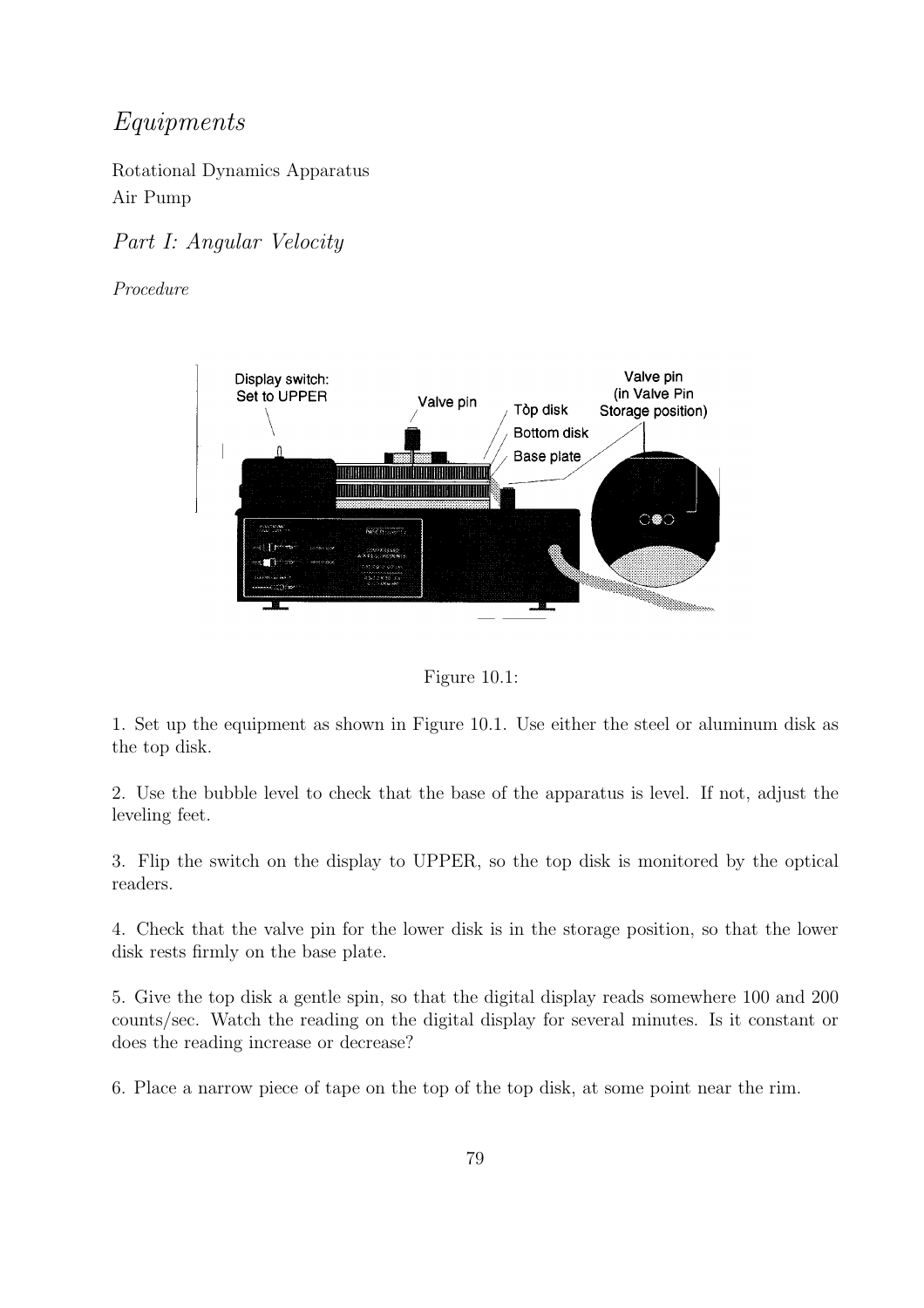## Equipments

Rotational Dynamics Apparatus Air Pump

#### Part I: Angular Velocity

Procedure



Figure 10.1:

1. Set up the equipment as shown in Figure 10.1. Use either the steel or aluminum disk as the top disk.

2. Use the bubble level to check that the base of the apparatus is level. If not, adjust the leveling feet.

3. Flip the switch on the display to UPPER, so the top disk is monitored by the optical readers.

4. Check that the valve pin for the lower disk is in the storage position, so that the lower disk rests firmly on the base plate.

5. Give the top disk a gentle spin, so that the digital display reads somewhere 100 and 200 counts/sec. Watch the reading on the digital display for several minutes. Is it constant or does the reading increase or decrease?

6. Place a narrow piece of tape on the top of the top disk, at some point near the rim.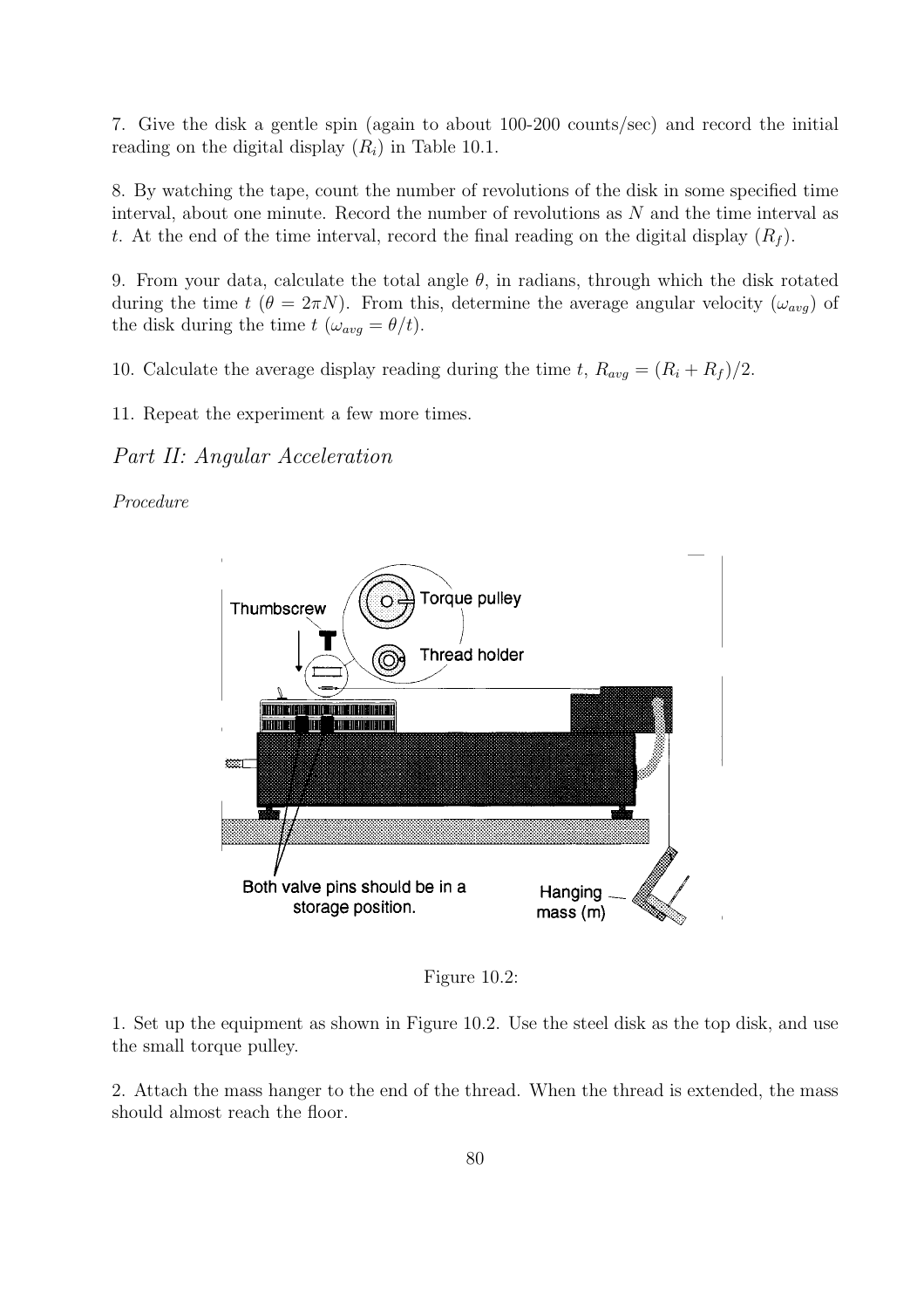7. Give the disk a gentle spin (again to about 100-200 counts/sec) and record the initial reading on the digital display  $(R_i)$  in Table 10.1.

8. By watching the tape, count the number of revolutions of the disk in some specified time interval, about one minute. Record the number of revolutions as  $N$  and the time interval as t. At the end of the time interval, record the final reading on the digital display  $(R_f)$ .

9. From your data, calculate the total angle  $\theta$ , in radians, through which the disk rotated during the time  $t$  ( $\theta = 2\pi N$ ). From this, determine the average angular velocity ( $\omega_{avg}$ ) of the disk during the time  $t$  ( $\omega_{avg} = \theta/t$ ).

10. Calculate the average display reading during the time t,  $R_{avg} = (R_i + R_f)/2$ .

11. Repeat the experiment a few more times.

Part II: Angular Acceleration

Procedure



Figure 10.2:

1. Set up the equipment as shown in Figure 10.2. Use the steel disk as the top disk, and use the small torque pulley.

2. Attach the mass hanger to the end of the thread. When the thread is extended, the mass should almost reach the floor.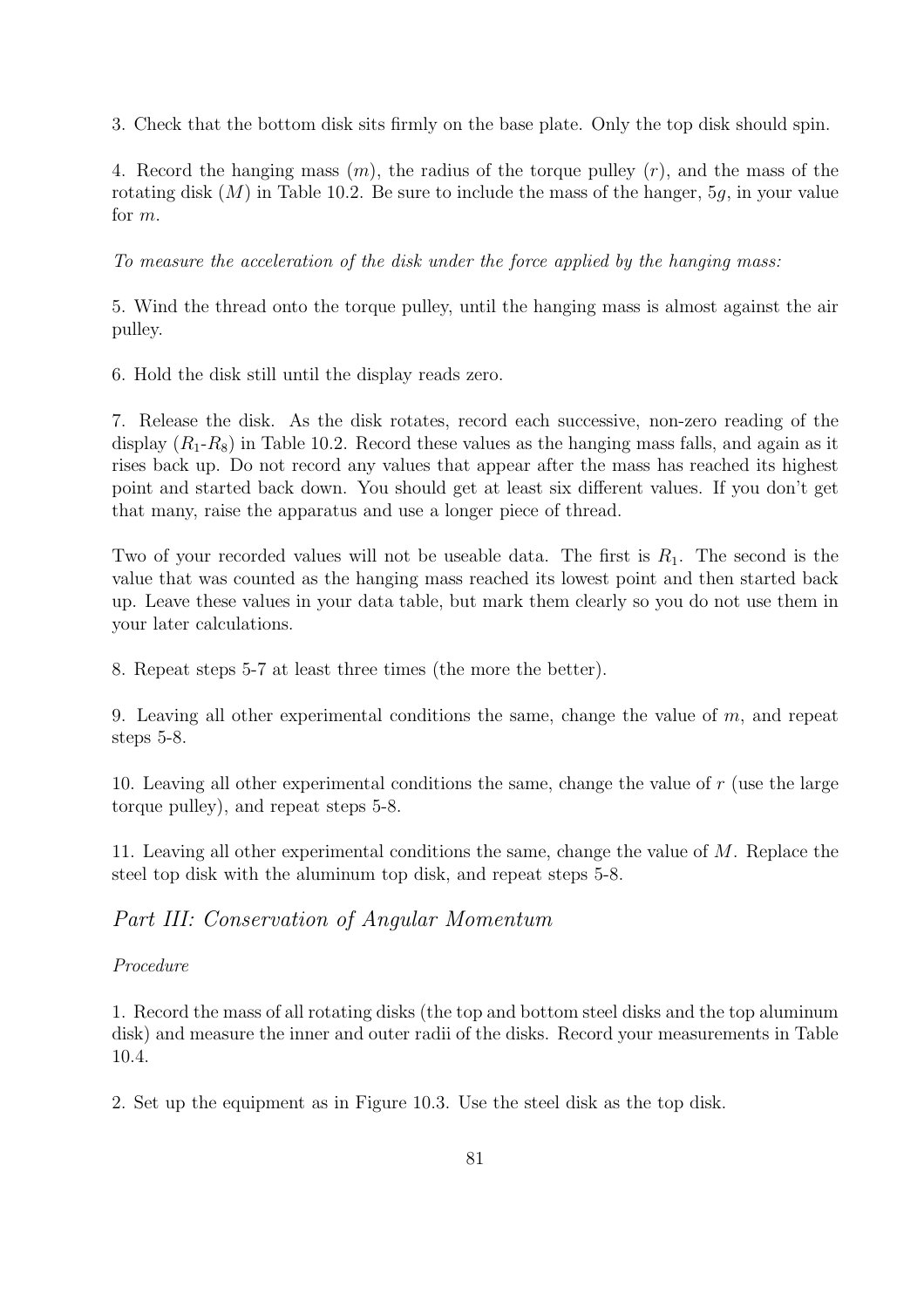3. Check that the bottom disk sits firmly on the base plate. Only the top disk should spin.

4. Record the hanging mass  $(m)$ , the radius of the torque pulley  $(r)$ , and the mass of the rotating disk  $(M)$  in Table 10.2. Be sure to include the mass of the hanger, 5g, in your value for m.

To measure the acceleration of the disk under the force applied by the hanging mass:

5. Wind the thread onto the torque pulley, until the hanging mass is almost against the air pulley.

6. Hold the disk still until the display reads zero.

7. Release the disk. As the disk rotates, record each successive, non-zero reading of the display  $(R_1-R_8)$  in Table 10.2. Record these values as the hanging mass falls, and again as it rises back up. Do not record any values that appear after the mass has reached its highest point and started back down. You should get at least six different values. If you don't get that many, raise the apparatus and use a longer piece of thread.

Two of your recorded values will not be useable data. The first is  $R_1$ . The second is the value that was counted as the hanging mass reached its lowest point and then started back up. Leave these values in your data table, but mark them clearly so you do not use them in your later calculations.

8. Repeat steps 5-7 at least three times (the more the better).

9. Leaving all other experimental conditions the same, change the value of  $m$ , and repeat steps 5-8.

10. Leaving all other experimental conditions the same, change the value of r (use the large torque pulley), and repeat steps 5-8.

11. Leaving all other experimental conditions the same, change the value of M. Replace the steel top disk with the aluminum top disk, and repeat steps 5-8.

Part III: Conservation of Angular Momentum

Procedure

1. Record the mass of all rotating disks (the top and bottom steel disks and the top aluminum disk) and measure the inner and outer radii of the disks. Record your measurements in Table 10.4.

2. Set up the equipment as in Figure 10.3. Use the steel disk as the top disk.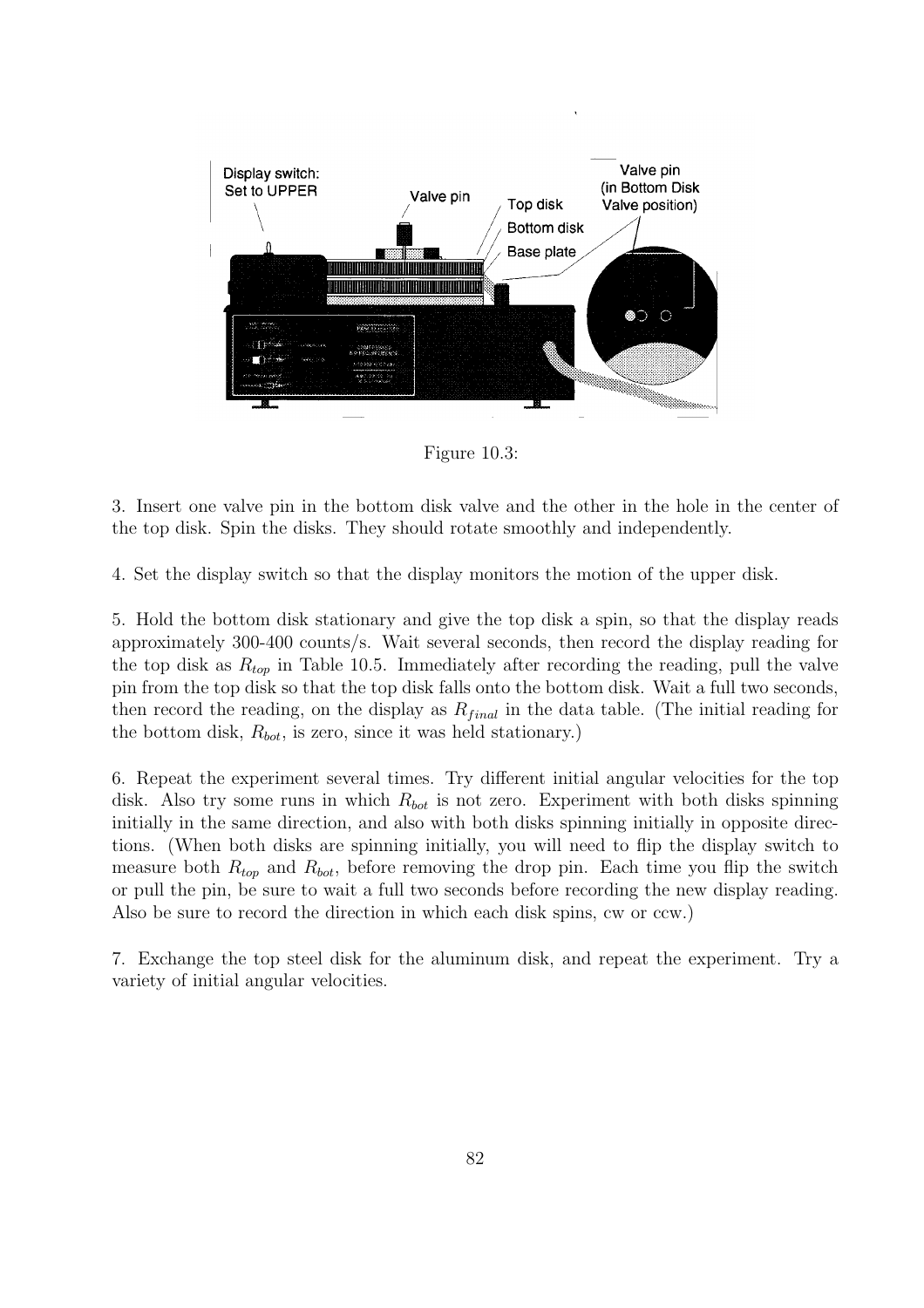

Figure 10.3:

3. Insert one valve pin in the bottom disk valve and the other in the hole in the center of the top disk. Spin the disks. They should rotate smoothly and independently.

4. Set the display switch so that the display monitors the motion of the upper disk.

5. Hold the bottom disk stationary and give the top disk a spin, so that the display reads approximately 300-400 counts/s. Wait several seconds, then record the display reading for the top disk as  $R_{top}$  in Table 10.5. Immediately after recording the reading, pull the valve pin from the top disk so that the top disk falls onto the bottom disk. Wait a full two seconds, then record the reading, on the display as  $R_{final}$  in the data table. (The initial reading for the bottom disk,  $R_{bot}$ , is zero, since it was held stationary.)

6. Repeat the experiment several times. Try different initial angular velocities for the top disk. Also try some runs in which  $R_{bot}$  is not zero. Experiment with both disks spinning initially in the same direction, and also with both disks spinning initially in opposite directions. (When both disks are spinning initially, you will need to flip the display switch to measure both  $R_{top}$  and  $R_{bot}$ , before removing the drop pin. Each time you flip the switch or pull the pin, be sure to wait a full two seconds before recording the new display reading. Also be sure to record the direction in which each disk spins, cw or ccw.)

7. Exchange the top steel disk for the aluminum disk, and repeat the experiment. Try a variety of initial angular velocities.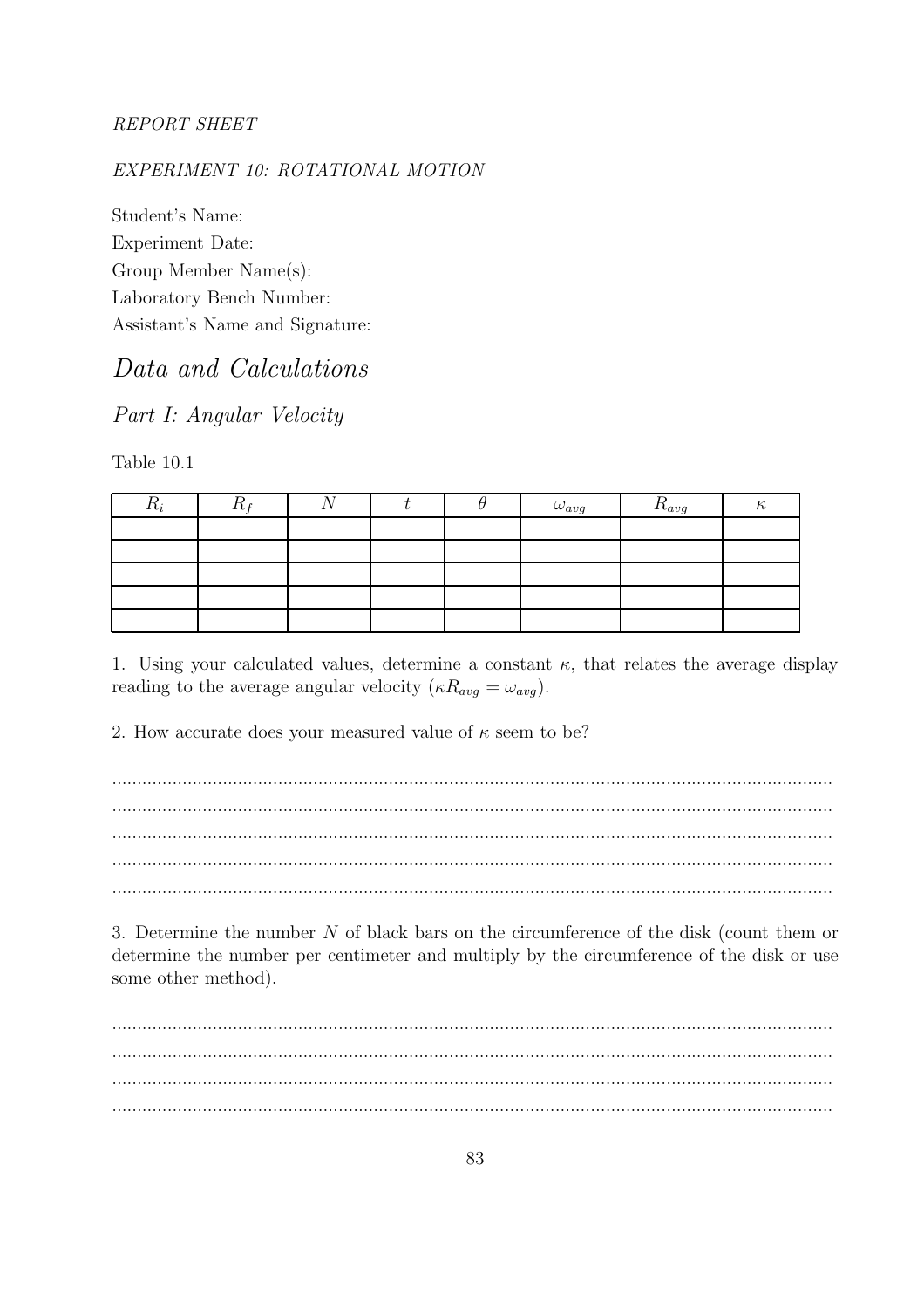#### **REPORT SHEET**

#### EXPERIMENT 10: ROTATIONAL MOTION

Student's Name: Experiment Date: Group Member Name(s): Laboratory Bench Number: Assistant's Name and Signature:

## Data and Calculations

Part I: Angular Velocity

Table 10.1

| $\mathfrak{n}_i$ | - |  | $\omega_{avg}$ | $I_{avg}$ |  |
|------------------|---|--|----------------|-----------|--|
|                  |   |  |                |           |  |
|                  |   |  |                |           |  |
|                  |   |  |                |           |  |
|                  |   |  |                |           |  |
|                  |   |  |                |           |  |

1. Using your calculated values, determine a constant  $\kappa$ , that relates the average display reading to the average angular velocity  $(\kappa R_{avg} = \omega_{avg})$ .

2. How accurate does your measured value of  $\kappa$  seem to be?

3. Determine the number  $N$  of black bars on the circumference of the disk (count them or determine the number per centimeter and multiply by the circumference of the disk or use some other method).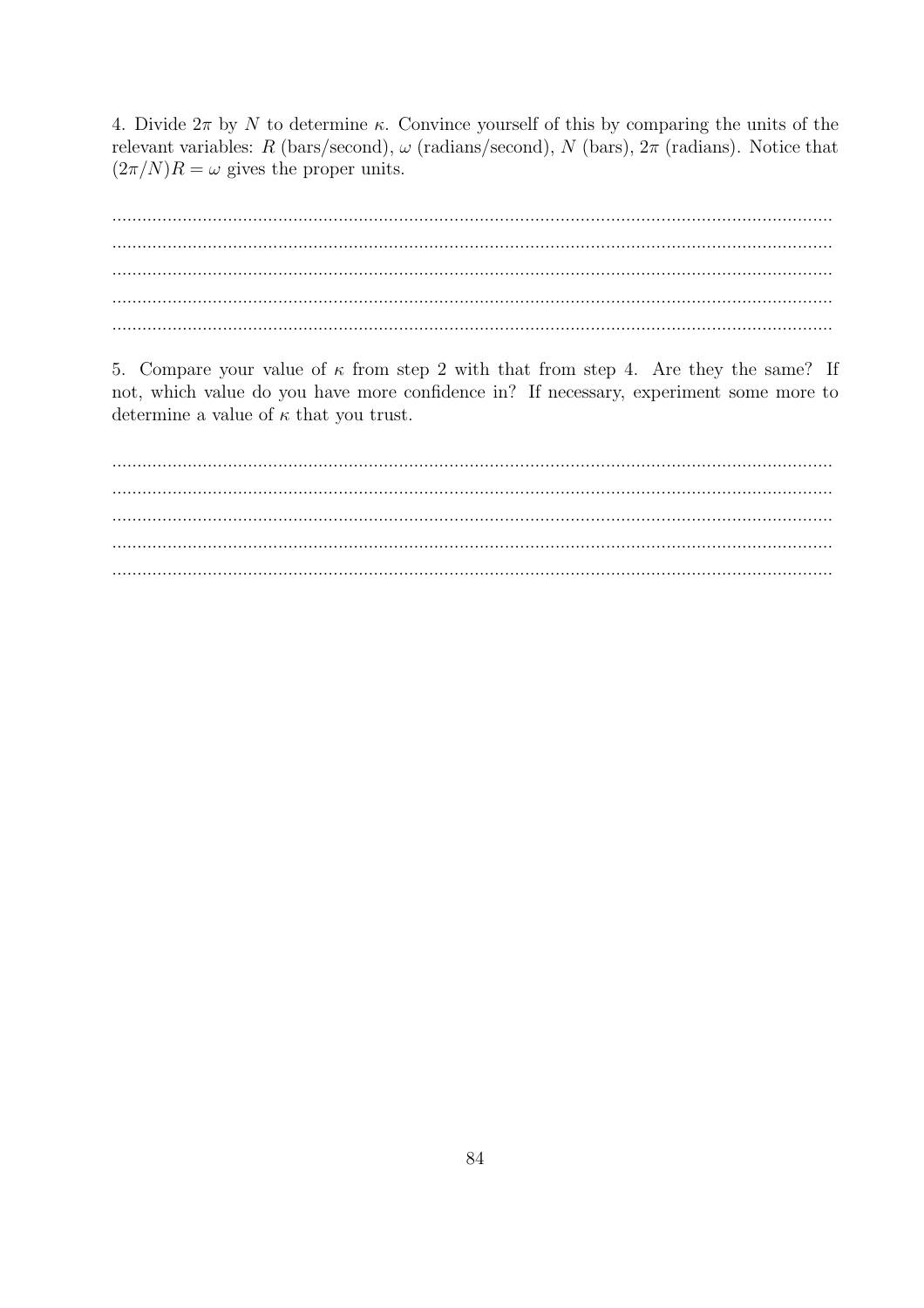4. Divide  $2\pi$  by N to determine  $\kappa$ . Convince yourself of this by comparing the units of the relevant variables: R (bars/second),  $\omega$  (radians/second), N (bars),  $2\pi$  (radians). Notice that  $(2\pi/N)R = \omega$  gives the proper units.

5. Compare your value of  $\kappa$  from step 2 with that from step 4. Are they the same? If not, which value do you have more confidence in? If necessary, experiment some more to determine a value of  $\kappa$  that you trust.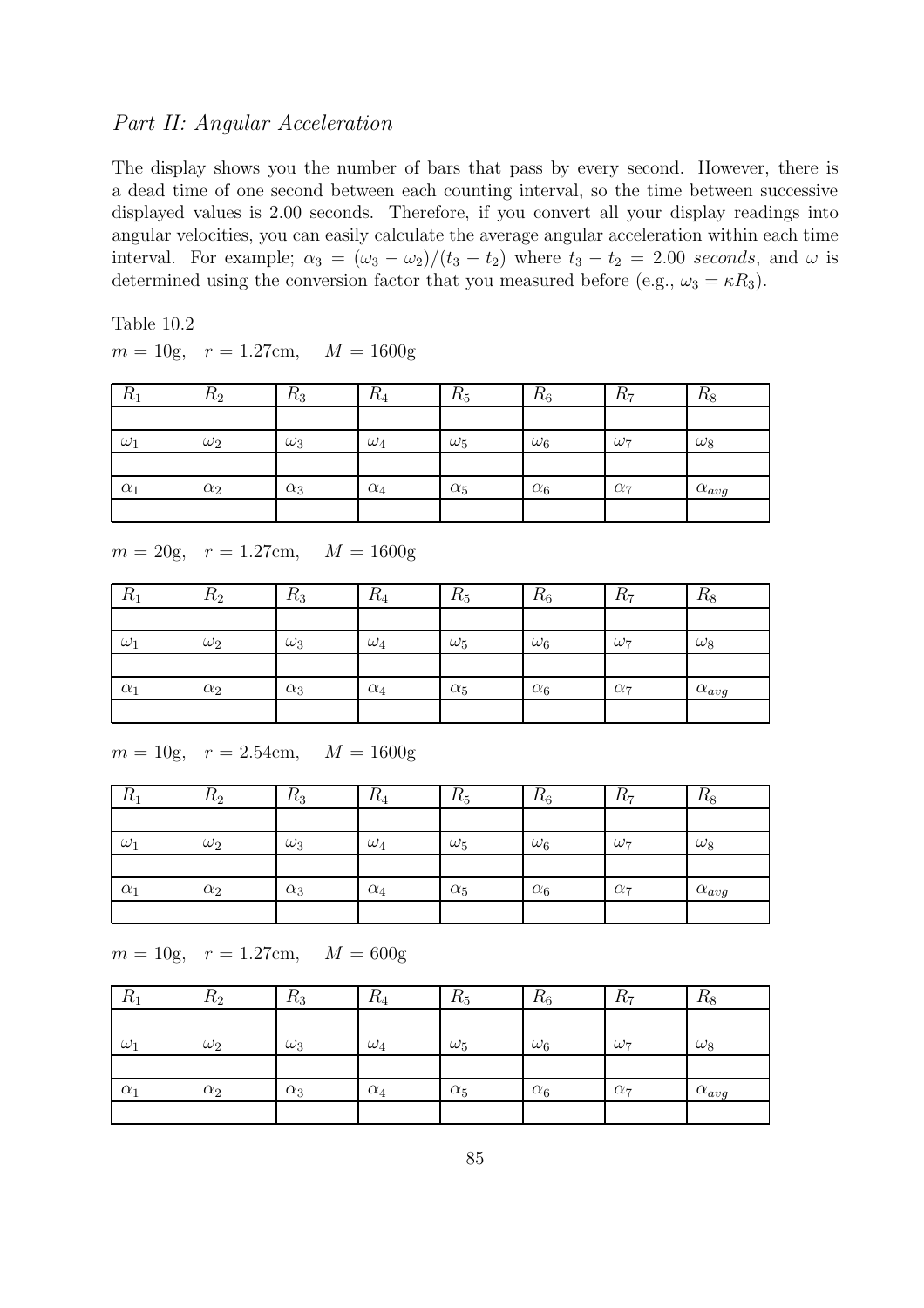#### Part II: Angular Acceleration

The display shows you the number of bars that pass by every second. However, there is a dead time of one second between each counting interval, so the time between successive displayed values is 2.00 seconds. Therefore, if you convert all your display readings into angular velocities, you can easily calculate the average angular acceleration within each time interval. For example;  $\alpha_3 = (\omega_3 - \omega_2)/(t_3 - t_2)$  where  $t_3 - t_2 = 2.00$  seconds, and  $\omega$  is determined using the conversion factor that you measured before (e.g.,  $\omega_3 = \kappa R_3$ ).

Table 10.2  $m = 10$ g,  $r = 1.27$ cm,  $M = 1600$ g

| $R_1$      | $R_2$      | $R_3$      | $\mathcal{L}_4$ | $R_5$      | $R_6$      | $K_7$      | $R_8$          |
|------------|------------|------------|-----------------|------------|------------|------------|----------------|
|            |            |            |                 |            |            |            |                |
| $\omega_1$ | $\omega_2$ | $\omega_3$ | $\omega_4$      | $\omega_5$ | $\omega_6$ | $\omega_7$ | $\omega_8$     |
|            |            |            |                 |            |            |            |                |
| $\alpha_1$ | $\alpha_2$ | $\alpha_3$ | $\alpha_4$      | $\alpha_5$ | $\alpha_6$ | $\alpha_7$ | $\alpha_{avg}$ |
|            |            |            |                 |            |            |            |                |

 $m = 20g$ ,  $r = 1.27cm$ ,  $M = 1600g$ 

| ת<br>$\kappa_1$ | $\Gamma$<br>$\pi_2$ | $\pi_3$    | $\pi_4$    | $\pi_5$    | $R_6$      | $\pi_7$    | $\pi_8$        |
|-----------------|---------------------|------------|------------|------------|------------|------------|----------------|
|                 |                     |            |            |            |            |            |                |
| $\omega_1$      | $\omega_2$          | $\omega_3$ | $\omega_4$ | $\omega_5$ | $\omega_6$ | $\omega_7$ | $\omega_8$     |
|                 |                     |            |            |            |            |            |                |
| $\alpha_1$      | $\alpha_2$          | $\alpha_3$ | $\alpha_4$ | $\alpha_5$ | $\alpha_6$ | $\alpha_7$ | $\alpha_{avg}$ |
|                 |                     |            |            |            |            |            |                |

 $m = 10$ g,  $r = 2.54$ cm,  $M = 1600$ g

| $\kappa_1$ | $R_2$      | $R_3$      | $\kappa_4$ | $\kappa_5$ | $R_6$      | $R_7$      | $R_8$          |
|------------|------------|------------|------------|------------|------------|------------|----------------|
|            |            |            |            |            |            |            |                |
| $\omega_1$ | $\omega_2$ | $\omega_3$ | $\omega_4$ | $\omega_5$ | $\omega_6$ | $\omega_7$ | $\omega_8$     |
|            |            |            |            |            |            |            |                |
| $\alpha_1$ | $\alpha_2$ | $\alpha_3$ | $\alpha_4$ | $\alpha_5$ | $\alpha_6$ | $\alpha_7$ | $\alpha_{avg}$ |
|            |            |            |            |            |            |            |                |

 $m = 10$ g,  $r = 1.27$ cm,  $M = 600$ g

| $R_1$      | $R_2$      | $R_3$      | $\kappa_4$ | $\kappa_5$ | $R_6$      | $K_7$      | $R_8$          |
|------------|------------|------------|------------|------------|------------|------------|----------------|
|            |            |            |            |            |            |            |                |
| $\omega_1$ | $\omega_2$ | $\omega_3$ | $\omega_4$ | $\omega_5$ | $\omega_6$ | $\omega_7$ | $\omega_8$     |
|            |            |            |            |            |            |            |                |
| $\alpha_1$ | $\alpha_2$ | $\alpha_3$ | $\alpha_4$ | $\alpha_5$ | $\alpha_6$ | $\alpha_7$ | $\alpha_{avg}$ |
|            |            |            |            |            |            |            |                |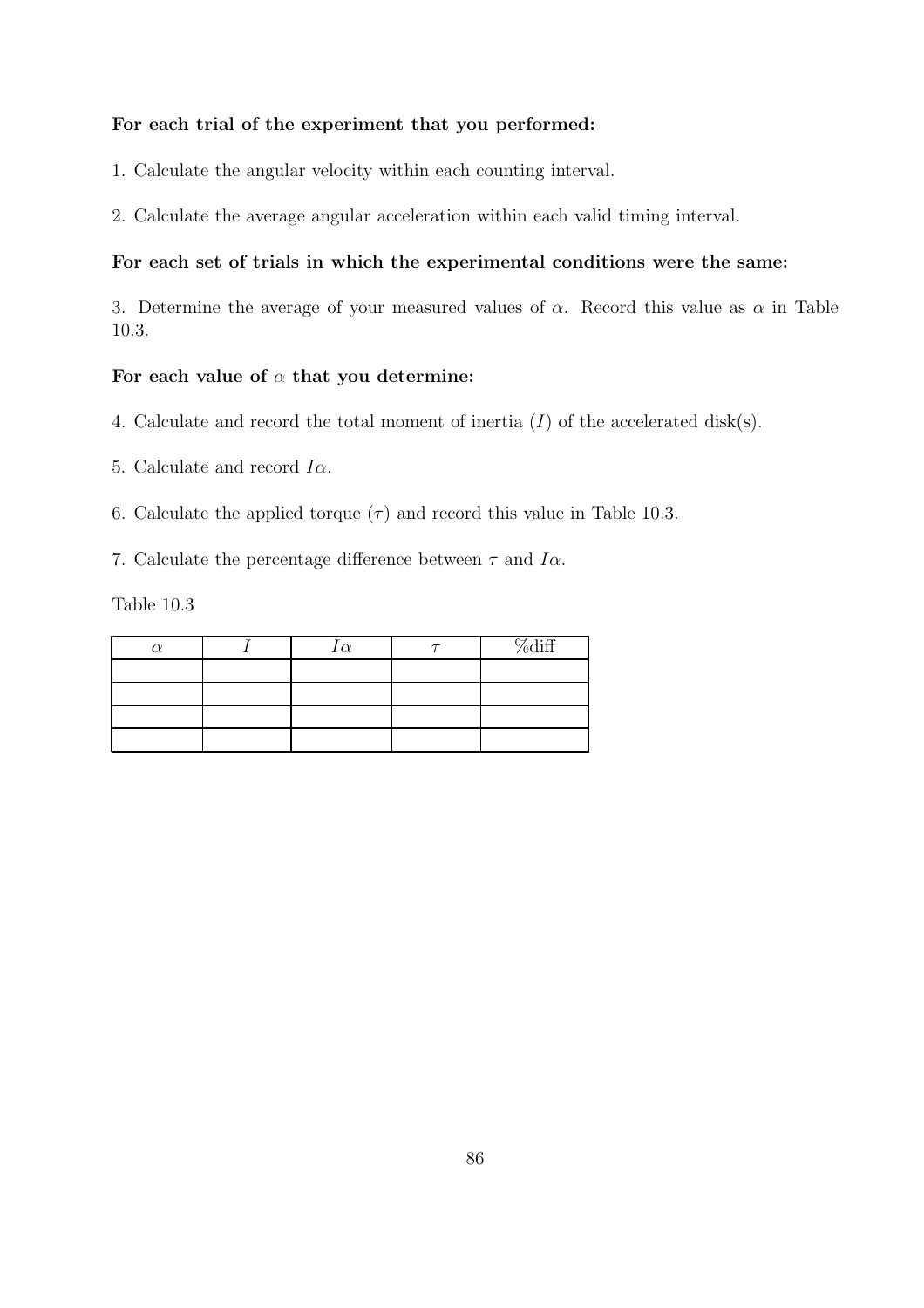#### For each trial of the experiment that you performed:

1. Calculate the angular velocity within each counting interval.

2. Calculate the average angular acceleration within each valid timing interval.

#### For each set of trials in which the experimental conditions were the same:

3. Determine the average of your measured values of  $\alpha$ . Record this value as  $\alpha$  in Table 10.3.

#### For each value of  $\alpha$  that you determine:

- 4. Calculate and record the total moment of inertia  $(I)$  of the accelerated disk(s).
- 5. Calculate and record  $I\alpha$ .
- 6. Calculate the applied torque  $(\tau)$  and record this value in Table 10.3.

7. Calculate the percentage difference between  $\tau$  and  $I\alpha$ .

Table 10.3

|  | $\alpha$ | %diff |
|--|----------|-------|
|  |          |       |
|  |          |       |
|  |          |       |
|  |          |       |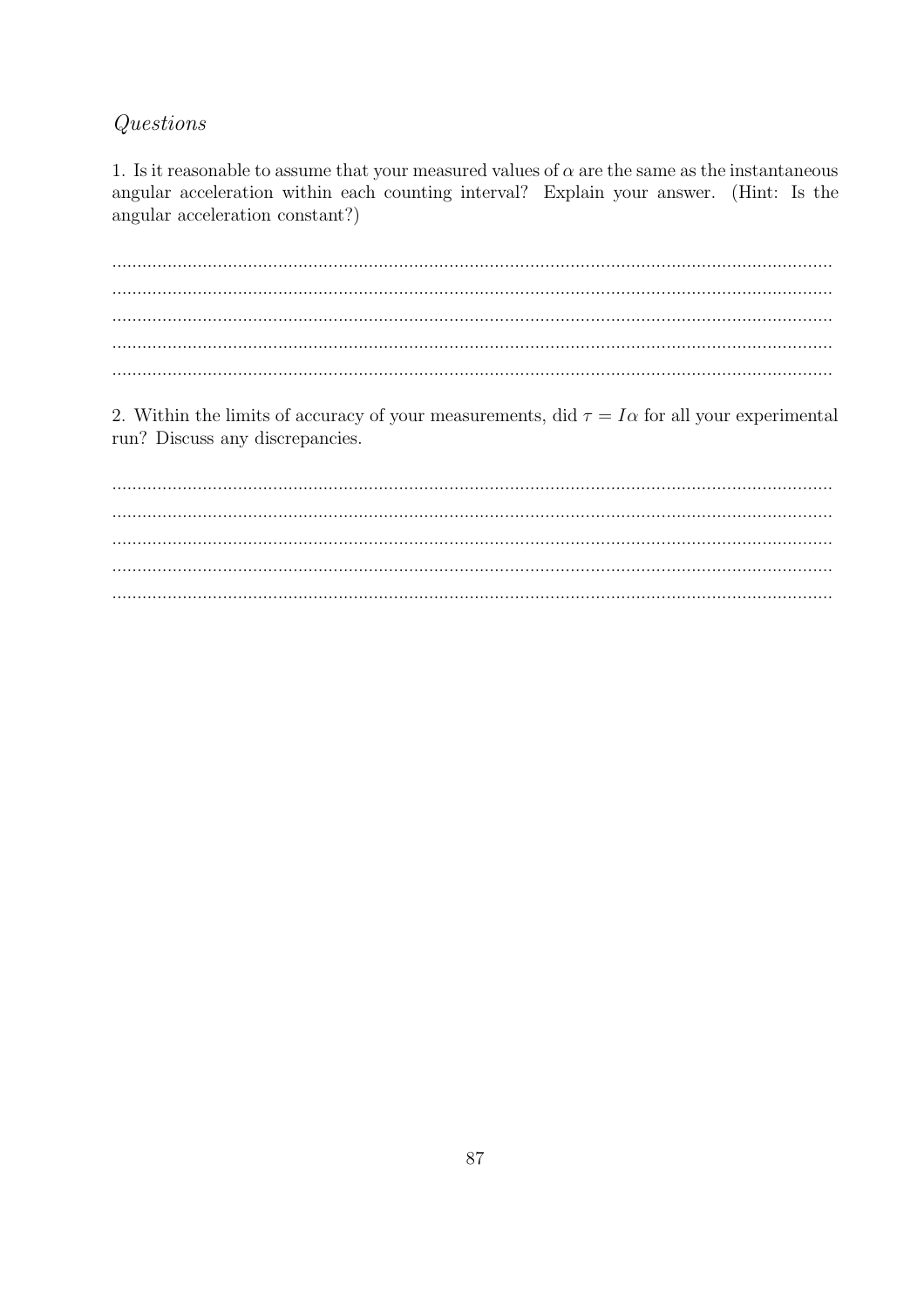### Questions

1. Is it reasonable to assume that your measured values of  $\alpha$  are the same as the instantaneous angular acceleration within each counting interval? Explain your answer. (Hint: Is the angular acceleration constant?)

 $\ddotsc$  $\dddotsc$  $\mathbf{r}$ 

2. Within the limits of accuracy of your measurements, did  $\tau = I\alpha$  for all your experimental run? Discuss any discrepancies.

 $\mathbf{r}$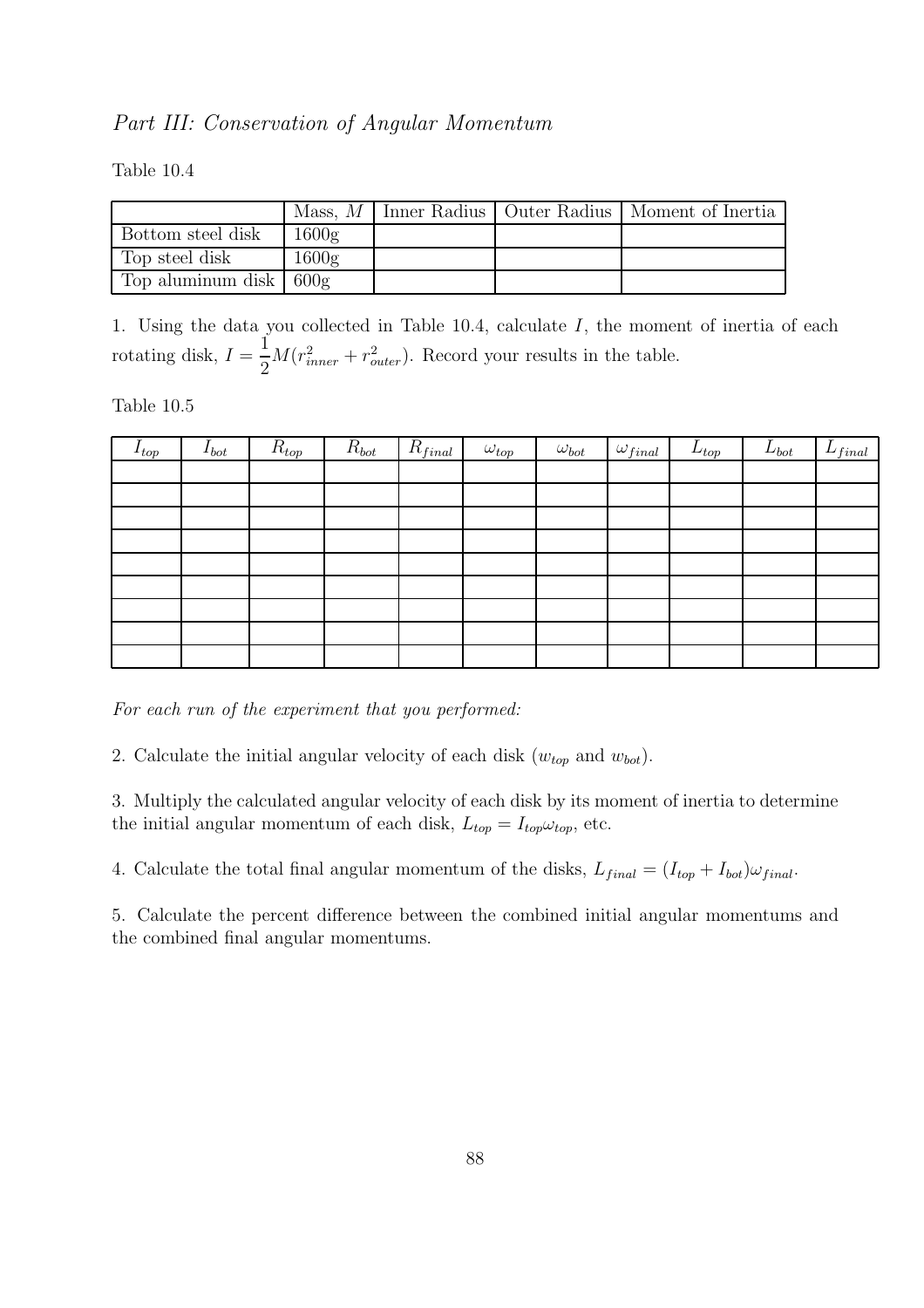#### Part III: Conservation of Angular Momentum

Table 10.4

|                                      |       |  | Mass, $M$   Inner Radius   Outer Radius   Moment of Inertia |
|--------------------------------------|-------|--|-------------------------------------------------------------|
| Bottom steel disk                    | 1600g |  |                                                             |
| Top steel disk                       | 1600g |  |                                                             |
| Top aluminum disk $\vert 600g \vert$ |       |  |                                                             |

1. Using the data you collected in Table 10.4, calculate I, the moment of inertia of each rotating disk,  $I =$ 1 2  $M(r_{inner}^2 + r_{outer}^2)$ . Record your results in the table.

Table 10.5

| $I_{top}$ | $I_{bot}$ | $R_{top}$ | $R_{bot}$ | $R_{final}$ | $\omega_{top}$ | $\omega_{bot}$ | $\omega_{final}$ | $L_{top}$ | $L_{bot}$ | $\mathbf{r}$<br>$L_{final}$ |
|-----------|-----------|-----------|-----------|-------------|----------------|----------------|------------------|-----------|-----------|-----------------------------|
|           |           |           |           |             |                |                |                  |           |           |                             |
|           |           |           |           |             |                |                |                  |           |           |                             |
|           |           |           |           |             |                |                |                  |           |           |                             |
|           |           |           |           |             |                |                |                  |           |           |                             |
|           |           |           |           |             |                |                |                  |           |           |                             |
|           |           |           |           |             |                |                |                  |           |           |                             |
|           |           |           |           |             |                |                |                  |           |           |                             |
|           |           |           |           |             |                |                |                  |           |           |                             |
|           |           |           |           |             |                |                |                  |           |           |                             |

For each run of the experiment that you performed:

2. Calculate the initial angular velocity of each disk  $(w_{top}$  and  $w_{bot})$ .

3. Multiply the calculated angular velocity of each disk by its moment of inertia to determine the initial angular momentum of each disk,  $L_{top} = I_{top} \omega_{top}$ , etc.

4. Calculate the total final angular momentum of the disks,  $L_{final} = (I_{top} + I_{bot})\omega_{final}$ .

5. Calculate the percent difference between the combined initial angular momentums and the combined final angular momentums.